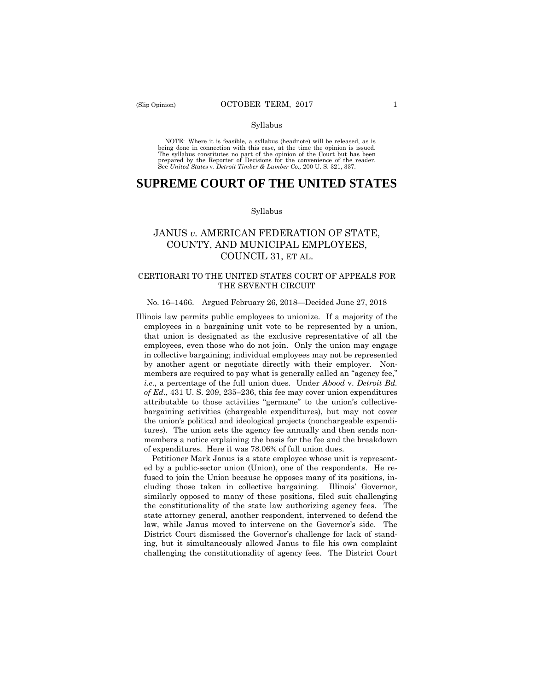NOTE: Where it is feasible, a syllabus (headnote) will be released, as is being done in connection with this case, at the time the opinion is issued. The syllabus constitutes no part of the opinion of the Court but has been<br>prepared by the Reporter of Decisions for the convenience of the reader.<br>See United States v. Detroit Timber & Lumber Co., 200 U. S. 321, 337.

# **SUPREME COURT OF THE UNITED STATES**

#### Syllabus

# JANUS v. AMERICAN FEDERATION OF STATE, COUNTY, AND MUNICIPAL EMPLOYEES, COUNCIL 31, ET AL.

## CERTIORARI TO THE UNITED STATES COURT OF APPEALS FOR THE SEVENTH CIRCUIT

#### No. 16–1466. Argued February 26, 2018—Decided June 27, 2018

Illinois law permits public employees to unionize. If a majority of the employees in a bargaining unit vote to be represented by a union, that union is designated as the exclusive representative of all the employees, even those who do not join. Only the union may engage in collective bargaining; individual employees may not be represented by another agent or negotiate directly with their employer. Nonmembers are required to pay what is generally called an "agency fee," *i.e.*, a percentage of the full union dues. Under *Abood* v. *Detroit Bd. of Ed.*, 431 U. S. 209, 235–236, this fee may cover union expenditures attributable to those activities "germane" to the union's collectivebargaining activities (chargeable expenditures), but may not cover the union's political and ideological projects (nonchargeable expenditures). The union sets the agency fee annually and then sends nonmembers a notice explaining the basis for the fee and the breakdown of expenditures. Here it was 78.06% of full union dues.

Petitioner Mark Janus is a state employee whose unit is represented by a public-sector union (Union), one of the respondents. He refused to join the Union because he opposes many of its positions, including those taken in collective bargaining. Illinois' Governor, similarly opposed to many of these positions, filed suit challenging the constitutionality of the state law authorizing agency fees. The state attorney general, another respondent, intervened to defend the law, while Janus moved to intervene on the Governor's side. The District Court dismissed the Governor's challenge for lack of standing, but it simultaneously allowed Janus to file his own complaint challenging the constitutionality of agency fees. The District Court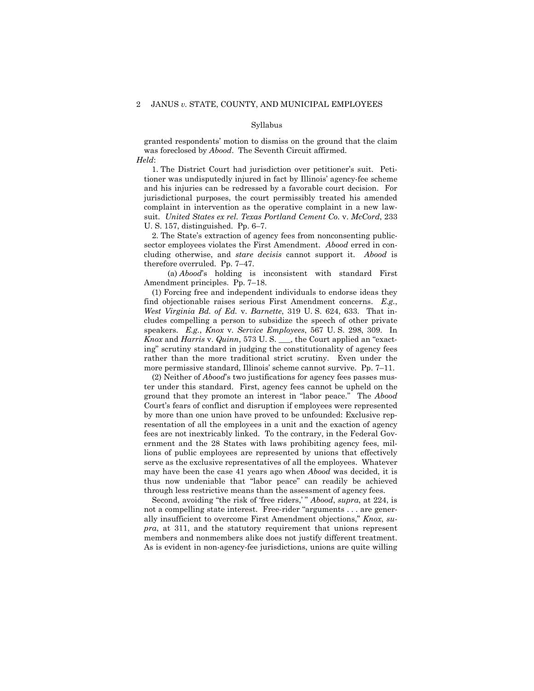granted respondents' motion to dismiss on the ground that the claim was foreclosed by *Abood*. The Seventh Circuit affirmed. *Held*:

 and his injuries can be redressed by a favorable court decision. For suit. *United States ex rel. Texas Portland Cement Co.* v. *McCord*, 233 1. The District Court had jurisdiction over petitioner's suit. Petitioner was undisputedly injured in fact by Illinois' agency-fee scheme jurisdictional purposes, the court permissibly treated his amended complaint in intervention as the operative complaint in a new law-U. S. 157, distinguished. Pp. 6–7.

2. The State's extraction of agency fees from nonconsenting publicsector employees violates the First Amendment. *Abood* erred in concluding otherwise, and *stare decisis* cannot support it. *Abood* is therefore overruled. Pp. 7–47.

(a) *Abood*'s holding is inconsistent with standard First Amendment principles. Pp. 7–18.

(1) Forcing free and independent individuals to endorse ideas they find objectionable raises serious First Amendment concerns. *E.g.*, *West Virginia Bd. of Ed.* v. *Barnette*, 319 U. S. 624, 633. That includes compelling a person to subsidize the speech of other private speakers. *E.g.*, *Knox* v. *Service Employees*, 567 U. S. 298, 309. In *Knox* and *Harris* v. *Quinn*, 573 U. S. \_\_\_, the Court applied an "exacting" scrutiny standard in judging the constitutionality of agency fees rather than the more traditional strict scrutiny. Even under the more permissive standard, Illinois' scheme cannot survive. Pp. 7–11.

 through less restrictive means than the assessment of agency fees. (2) Neither of *Abood*'s two justifications for agency fees passes muster under this standard. First, agency fees cannot be upheld on the ground that they promote an interest in "labor peace." The *Abood*  Court's fears of conflict and disruption if employees were represented by more than one union have proved to be unfounded: Exclusive representation of all the employees in a unit and the exaction of agency fees are not inextricably linked. To the contrary, in the Federal Government and the 28 States with laws prohibiting agency fees, millions of public employees are represented by unions that effectively serve as the exclusive representatives of all the employees. Whatever may have been the case 41 years ago when *Abood* was decided, it is thus now undeniable that "labor peace" can readily be achieved

 members and nonmembers alike does not justify different treatment. Second, avoiding "the risk of 'free riders,' " *Abood*, *supra*, at 224, is not a compelling state interest. Free-rider "arguments . . . are generally insufficient to overcome First Amendment objections," *Knox*, *supra*, at 311, and the statutory requirement that unions represent As is evident in non-agency-fee jurisdictions, unions are quite willing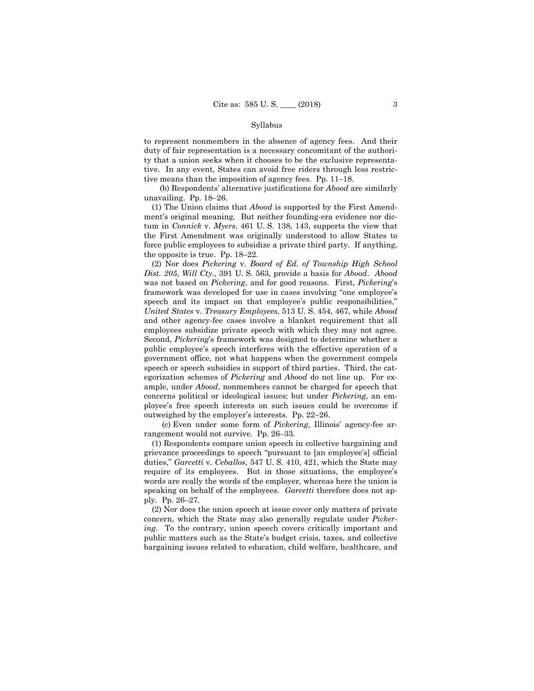to represent nonmembers in the absence of agency fees. And their duty of fair representation is a necessary concomitant of the authority that a union seeks when it chooses to be the exclusive representative. In any event, States can avoid free riders through less restrictive means than the imposition of agency fees. Pp. 11–18.

(b) Respondents' alternative justifications for *Abood* are similarly unavailing. Pp. 18–26.

(1) The Union claims that *Abood* is supported by the First Amendment's original meaning. But neither founding-era evidence nor dictum in *Connick* v. *Myers*, 461 U. S. 138, 143, supports the view that the First Amendment was originally understood to allow States to force public employees to subsidize a private third party. If anything, the opposite is true. Pp. 18–22.

 speech or speech subsidies in support of third parties. Third, the cat-(2) Nor does *Pickering* v. *Board of Ed. of Township High School Dist. 205, Will Cty.*, 391 U. S. 563, provide a basis for *Abood*. *Abood*  was not based on *Pickering*, and for good reasons. First, *Pickering*'s framework was developed for use in cases involving "one employee's speech and its impact on that employee's public responsibilities," *United States* v. *Treasury Employees*, 513 U. S. 454, 467, while *Abood*  and other agency-fee cases involve a blanket requirement that all employees subsidize private speech with which they may not agree. Second, *Pickering*'s framework was designed to determine whether a public employee's speech interferes with the effective operation of a government office, not what happens when the government compels egorization schemes of *Pickering* and *Abood* do not line up. For example, under *Abood*, nonmembers cannot be charged for speech that concerns political or ideological issues; but under *Pickering*, an employee's free speech interests on such issues could be overcome if outweighed by the employer's interests. Pp. 22–26.

(c) Even under some form of *Pickering*, Illinois' agency-fee arrangement would not survive. Pp. 26–33.

(1) Respondents compare union speech in collective bargaining and grievance proceedings to speech "pursuant to [an employee's] official duties," *Garcetti* v. *Ceballos*, 547 U. S. 410, 421, which the State may require of its employees. But in those situations, the employee's words are really the words of the employer, whereas here the union is speaking on behalf of the employees. *Garcetti* therefore does not apply. Pp. 26–27.

(2) Nor does the union speech at issue cover only matters of private concern, which the State may also generally regulate under *Pickering*. To the contrary, union speech covers critically important and public matters such as the State's budget crisis, taxes, and collective bargaining issues related to education, child welfare, healthcare, and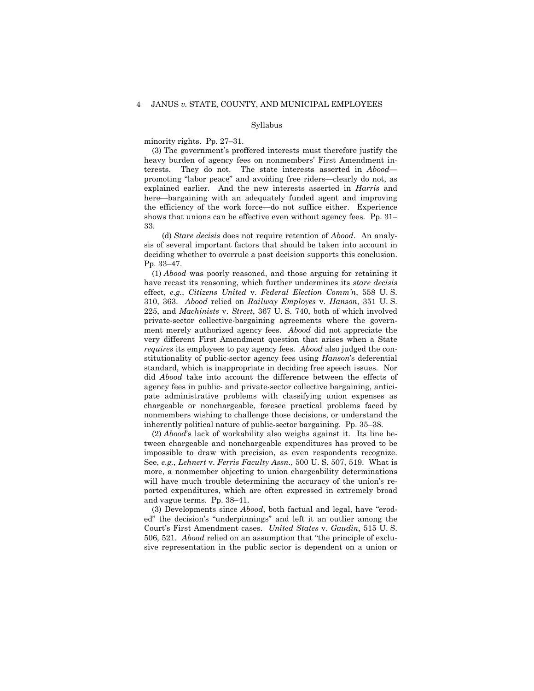minority rights. Pp. 27–31.

(3) The government's proffered interests must therefore justify the heavy burden of agency fees on nonmembers' First Amendment interests. They do not. The state interests asserted in *Abood* promoting "labor peace" and avoiding free riders—clearly do not, as explained earlier. And the new interests asserted in *Harris* and here—bargaining with an adequately funded agent and improving the efficiency of the work force—do not suffice either. Experience shows that unions can be effective even without agency fees. Pp. 31– 33.

 deciding whether to overrule a past decision supports this conclusion. (d) *Stare decisis* does not require retention of *Abood*. An analysis of several important factors that should be taken into account in Pp. 33–47.

(1) *Abood* was poorly reasoned, and those arguing for retaining it have recast its reasoning, which further undermines its *stare decisis*  effect, *e.g.*, *Citizens United* v. *Federal Election Comm'n*, 558 U. S. 310, 363. *Abood* relied on *Railway Employes* v. *Hanson*, 351 U. S. 225, and *Machinists* v. *Street*, 367 U. S. 740, both of which involved private-sector collective-bargaining agreements where the government merely authorized agency fees. *Abood* did not appreciate the very different First Amendment question that arises when a State *requires* its employees to pay agency fees. *Abood* also judged the constitutionality of public-sector agency fees using *Hanson*'s deferential standard, which is inappropriate in deciding free speech issues. Nor did *Abood* take into account the difference between the effects of agency fees in public- and private-sector collective bargaining, anticipate administrative problems with classifying union expenses as chargeable or nonchargeable, foresee practical problems faced by nonmembers wishing to challenge those decisions, or understand the inherently political nature of public-sector bargaining. Pp. 35–38.

(2) *Abood*'s lack of workability also weighs against it. Its line between chargeable and nonchargeable expenditures has proved to be impossible to draw with precision, as even respondents recognize. See, *e.g.*, *Lehnert* v. *Ferris Faculty Assn.*, 500 U. S. 507, 519. What is more, a nonmember objecting to union chargeability determinations will have much trouble determining the accuracy of the union's reported expenditures, which are often expressed in extremely broad and vague terms. Pp. 38–41.

(3) Developments since *Abood*, both factual and legal, have "eroded" the decision's "underpinnings" and left it an outlier among the Court's First Amendment cases. *United States* v. *Gaudin*, 515 U. S. 506, 521. *Abood* relied on an assumption that "the principle of exclusive representation in the public sector is dependent on a union or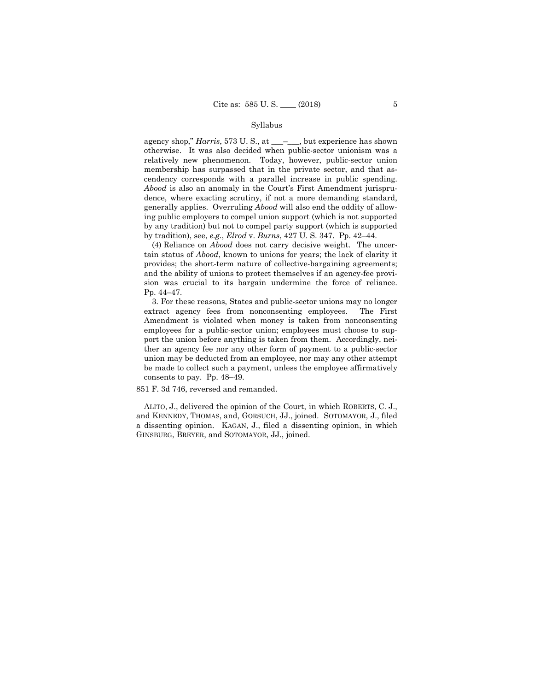agency shop," *Harris*, 573 U. S., at \_\_\_–\_\_\_, but experience has shown otherwise. It was also decided when public-sector unionism was a relatively new phenomenon. Today, however, public-sector union membership has surpassed that in the private sector, and that ascendency corresponds with a parallel increase in public spending. *Abood* is also an anomaly in the Court's First Amendment jurisprudence, where exacting scrutiny, if not a more demanding standard, generally applies. Overruling *Abood* will also end the oddity of allowing public employers to compel union support (which is not supported by any tradition) but not to compel party support (which is supported by tradition), see, *e.g.*, *Elrod* v. *Burns*, 427 U. S. 347. Pp. 42–44.

(4) Reliance on *Abood* does not carry decisive weight. The uncertain status of *Abood*, known to unions for years; the lack of clarity it provides; the short-term nature of collective-bargaining agreements; and the ability of unions to protect themselves if an agency-fee provision was crucial to its bargain undermine the force of reliance. Pp. 44–47.

3. For these reasons, States and public-sector unions may no longer extract agency fees from nonconsenting employees. The First Amendment is violated when money is taken from nonconsenting employees for a public-sector union; employees must choose to support the union before anything is taken from them. Accordingly, neither an agency fee nor any other form of payment to a public-sector union may be deducted from an employee, nor may any other attempt be made to collect such a payment, unless the employee affirmatively consents to pay. Pp. 48–49.

851 F. 3d 746, reversed and remanded.

 ALITO, J., delivered the opinion of the Court, in which ROBERTS, C. J., and KENNEDY, THOMAS, and, GORSUCH, JJ., joined. SOTOMAYOR, J., filed a dissenting opinion. KAGAN, J., filed a dissenting opinion, in which GINSBURG, BREYER, and SOTOMAYOR, JJ., joined.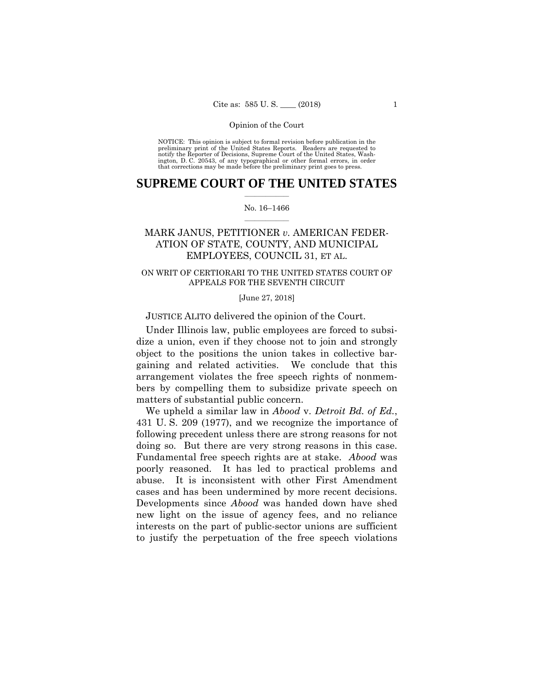preliminary print of the United States Reports. Readers are requested to notify the Reporter of Decisions, Supreme Court of the United States, Wash- ington, D. C. 20543, of any typographical or other formal errors, in order that corrections may be made before the preliminary print goes to press. NOTICE: This opinion is subject to formal revision before publication in the

## $\frac{1}{2}$  ,  $\frac{1}{2}$  ,  $\frac{1}{2}$  ,  $\frac{1}{2}$  ,  $\frac{1}{2}$  ,  $\frac{1}{2}$  ,  $\frac{1}{2}$ **SUPREME COURT OF THE UNITED STATES**

#### $\frac{1}{2}$  ,  $\frac{1}{2}$  ,  $\frac{1}{2}$  ,  $\frac{1}{2}$  ,  $\frac{1}{2}$  ,  $\frac{1}{2}$ No. 16–1466

# MARK JANUS, PETITIONER *v.* AMERICAN FEDER-ATION OF STATE, COUNTY, AND MUNICIPAL EMPLOYEES, COUNCIL 31, ET AL.

# ON WRIT OF CERTIORARI TO THE UNITED STATES COURT OF APPEALS FOR THE SEVENTH CIRCUIT

[June 27, 2018]

JUSTICE ALITO delivered the opinion of the Court.

Under Illinois law, public employees are forced to subsidize a union, even if they choose not to join and strongly object to the positions the union takes in collective bargaining and related activities. We conclude that this arrangement violates the free speech rights of nonmembers by compelling them to subsidize private speech on matters of substantial public concern.

 doing so. But there are very strong reasons in this case. cases and has been undermined by more recent decisions. We upheld a similar law in *Abood* v. *Detroit Bd. of Ed.*, 431 U. S. 209 (1977), and we recognize the importance of following precedent unless there are strong reasons for not Fundamental free speech rights are at stake. *Abood* was poorly reasoned. It has led to practical problems and abuse. It is inconsistent with other First Amendment Developments since *Abood* was handed down have shed new light on the issue of agency fees, and no reliance interests on the part of public-sector unions are sufficient to justify the perpetuation of the free speech violations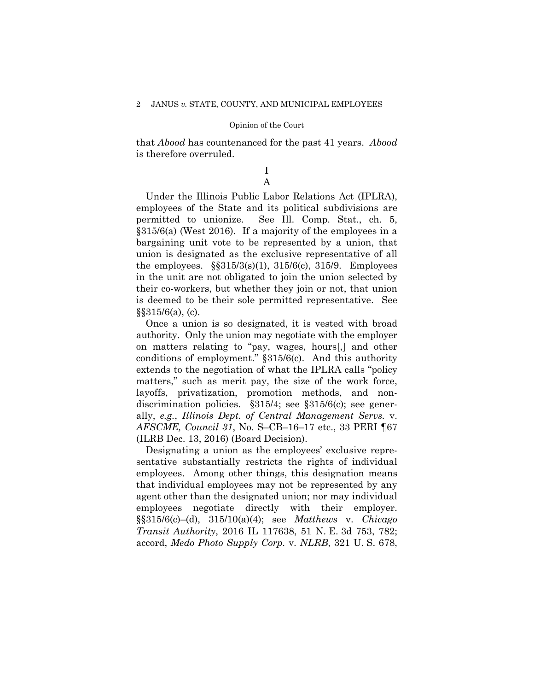that *Abood* has countenanced for the past 41 years. *Abood*  is therefore overruled.

# I A

Under the Illinois Public Labor Relations Act (IPLRA), employees of the State and its political subdivisions are permitted to unionize. See Ill. Comp. Stat., ch. 5, §315/6(a) (West 2016). If a majority of the employees in a bargaining unit vote to be represented by a union, that union is designated as the exclusive representative of all the employees.  $\S$ §315/3(s)(1), 315/6(c), 315/9. Employees in the unit are not obligated to join the union selected by their co-workers, but whether they join or not, that union is deemed to be their sole permitted representative. See  $\S$ §315/6(a), (c).

Once a union is so designated, it is vested with broad authority. Only the union may negotiate with the employer on matters relating to "pay, wages, hours[,] and other conditions of employment." §315/6(c). And this authority extends to the negotiation of what the IPLRA calls "policy matters," such as merit pay, the size of the work force, layoffs, privatization, promotion methods, and nondiscrimination policies. §315/4; see §315/6(c); see generally, *e.g.*, *Illinois Dept. of Central Management Servs.* v. *AFSCME, Council 31*, No. S–CB–16–17 etc., 33 PERI ¶67 (ILRB Dec. 13, 2016) (Board Decision).

Designating a union as the employees' exclusive representative substantially restricts the rights of individual employees. Among other things, this designation means that individual employees may not be represented by any agent other than the designated union; nor may individual employees negotiate directly with their employer. §§315/6(c)–(d), 315/10(a)(4); see *Matthews* v. *Chicago Transit Authority*, 2016 IL 117638, 51 N. E. 3d 753, 782; accord, *Medo Photo Supply Corp.* v. *NLRB*, 321 U. S. 678,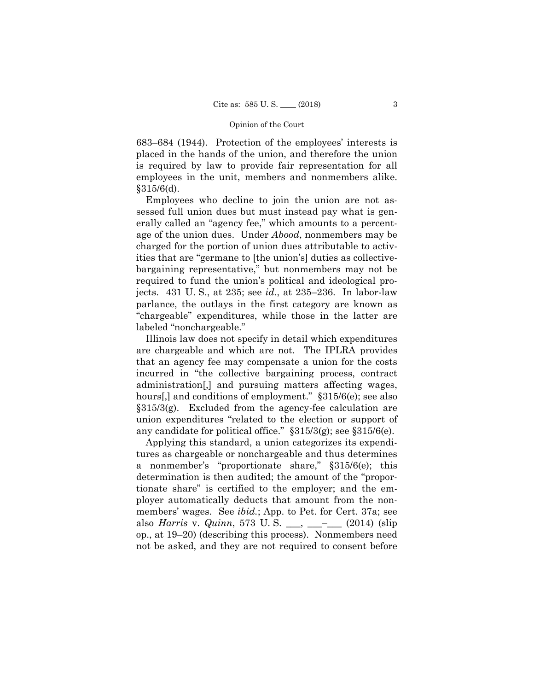683–684 (1944). Protection of the employees' interests is placed in the hands of the union, and therefore the union is required by law to provide fair representation for all employees in the unit, members and nonmembers alike.  $$315/6(d)$ .

Employees who decline to join the union are not assessed full union dues but must instead pay what is generally called an "agency fee," which amounts to a percentage of the union dues. Under *Abood*, nonmembers may be charged for the portion of union dues attributable to activities that are "germane to [the union's] duties as collectivebargaining representative," but nonmembers may not be required to fund the union's political and ideological projects. 431 U. S., at 235; see *id.*, at 235–236. In labor-law parlance, the outlays in the first category are known as "chargeable" expenditures, while those in the latter are labeled "nonchargeable."

Illinois law does not specify in detail which expenditures are chargeable and which are not. The IPLRA provides that an agency fee may compensate a union for the costs incurred in "the collective bargaining process, contract administration[,] and pursuing matters affecting wages, hours[,] and conditions of employment."  $\S 315/6$ (e); see also  $§315/3(g)$ . Excluded from the agency-fee calculation are union expenditures "related to the election or support of any candidate for political office." §315/3(g); see §315/6(e).

Applying this standard, a union categorizes its expenditures as chargeable or nonchargeable and thus determines a nonmember's "proportionate share," §315/6(e); this determination is then audited; the amount of the "proportionate share" is certified to the employer; and the employer automatically deducts that amount from the nonmembers' wages. See *ibid.*; App. to Pet. for Cert. 37a; see also *Harris* v. *Quinn*, 573 U. S. \_\_\_, \_\_\_–\_\_\_ (2014) (slip op., at 19–20) (describing this process). Nonmembers need not be asked, and they are not required to consent before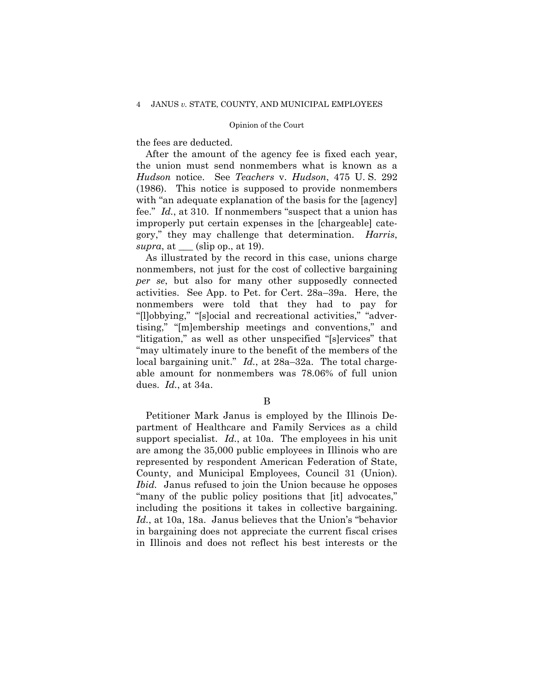the fees are deducted.

After the amount of the agency fee is fixed each year, the union must send nonmembers what is known as a *Hudson* notice. See *Teachers* v. *Hudson*, 475 U. S. 292 (1986). This notice is supposed to provide nonmembers with "an adequate explanation of the basis for the [agency] fee." *Id.*, at 310. If nonmembers "suspect that a union has improperly put certain expenses in the [chargeable] category," they may challenge that determination. *Harris*, *supra*, at \_\_\_ (slip op., at 19).

As illustrated by the record in this case, unions charge nonmembers, not just for the cost of collective bargaining *per se*, but also for many other supposedly connected activities. See App. to Pet. for Cert. 28a–39a. Here, the nonmembers were told that they had to pay for "[l]obbying," "[s]ocial and recreational activities," "advertising," "[m]embership meetings and conventions," and "litigation," as well as other unspecified "[s]ervices" that "may ultimately inure to the benefit of the members of the local bargaining unit." *Id.*, at 28a–32a. The total chargeable amount for nonmembers was 78.06% of full union dues. *Id.*, at 34a.

B

Petitioner Mark Janus is employed by the Illinois Department of Healthcare and Family Services as a child support specialist. *Id.*, at 10a. The employees in his unit are among the 35,000 public employees in Illinois who are represented by respondent American Federation of State, County, and Municipal Employees, Council 31 (Union). *Ibid.* Janus refused to join the Union because he opposes "many of the public policy positions that [it] advocates," including the positions it takes in collective bargaining. *Id.*, at 10a, 18a. Janus believes that the Union's "behavior in bargaining does not appreciate the current fiscal crises in Illinois and does not reflect his best interests or the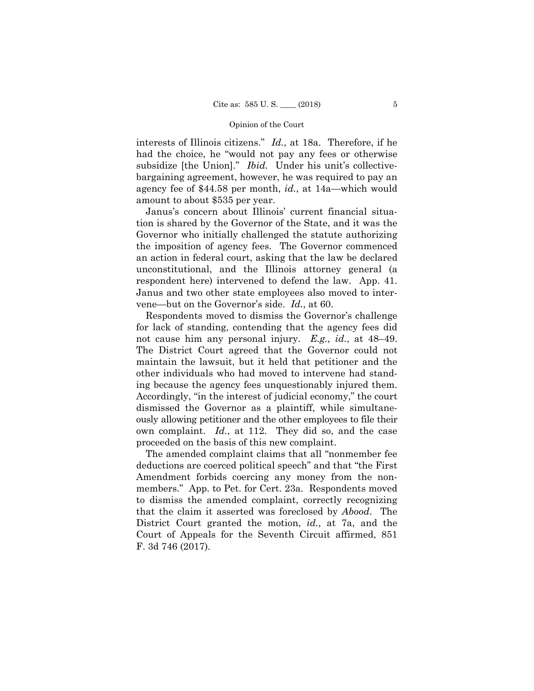subsidize [the Union]." *Ibid.* Under his unit's collectiveinterests of Illinois citizens." *Id.*, at 18a. Therefore, if he had the choice, he "would not pay any fees or otherwise bargaining agreement, however, he was required to pay an agency fee of \$44.58 per month, *id.*, at 14a—which would amount to about \$535 per year.

Janus's concern about Illinois' current financial situation is shared by the Governor of the State, and it was the Governor who initially challenged the statute authorizing the imposition of agency fees. The Governor commenced an action in federal court, asking that the law be declared unconstitutional, and the Illinois attorney general (a respondent here) intervened to defend the law. App. 41. Janus and two other state employees also moved to intervene—but on the Governor's side. *Id.*, at 60.

not cause him any personal injury. E.g., id., at  $48-49$ . Respondents moved to dismiss the Governor's challenge for lack of standing, contending that the agency fees did The District Court agreed that the Governor could not maintain the lawsuit, but it held that petitioner and the other individuals who had moved to intervene had standing because the agency fees unquestionably injured them. Accordingly, "in the interest of judicial economy," the court dismissed the Governor as a plaintiff, while simultaneously allowing petitioner and the other employees to file their own complaint. *Id.*, at 112. They did so, and the case proceeded on the basis of this new complaint.

The amended complaint claims that all "nonmember fee deductions are coerced political speech" and that "the First Amendment forbids coercing any money from the nonmembers." App. to Pet. for Cert. 23a. Respondents moved to dismiss the amended complaint, correctly recognizing that the claim it asserted was foreclosed by *Abood*. The District Court granted the motion, *id.*, at 7a, and the Court of Appeals for the Seventh Circuit affirmed, 851 F. 3d 746 (2017).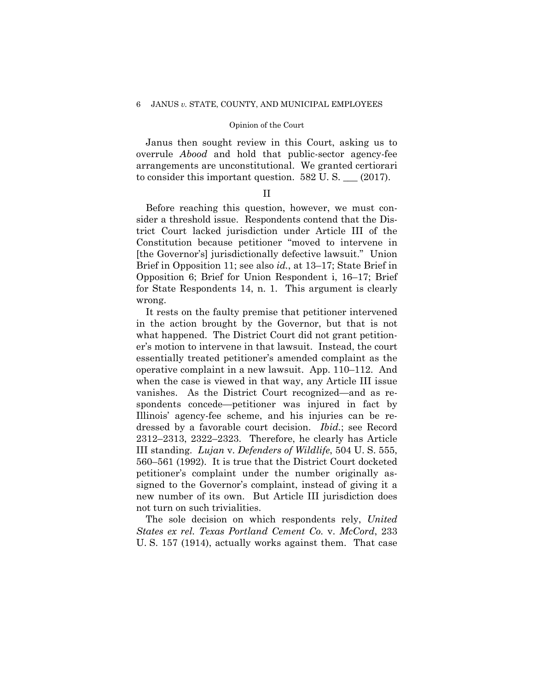Janus then sought review in this Court, asking us to overrule *Abood* and hold that public-sector agency-fee arrangements are unconstitutional. We granted certiorari to consider this important question. 582 U. S. \_\_\_ (2017).

## II

Before reaching this question, however, we must consider a threshold issue. Respondents contend that the District Court lacked jurisdiction under Article III of the Constitution because petitioner "moved to intervene in [the Governor's] jurisdictionally defective lawsuit." Union Brief in Opposition 11; see also *id.*, at 13–17; State Brief in Opposition 6; Brief for Union Respondent i, 16–17; Brief for State Respondents 14, n. 1. This argument is clearly wrong.

 III standing. *Lujan* v. *Defenders of Wildlife*, 504 U. S. 555, It rests on the faulty premise that petitioner intervened in the action brought by the Governor, but that is not what happened. The District Court did not grant petitioner's motion to intervene in that lawsuit. Instead, the court essentially treated petitioner's amended complaint as the operative complaint in a new lawsuit. App. 110–112. And when the case is viewed in that way, any Article III issue vanishes. As the District Court recognized—and as respondents concede—petitioner was injured in fact by Illinois' agency-fee scheme, and his injuries can be redressed by a favorable court decision. *Ibid.*; see Record 2312–2313, 2322–2323. Therefore, he clearly has Article 560–561 (1992). It is true that the District Court docketed petitioner's complaint under the number originally assigned to the Governor's complaint, instead of giving it a new number of its own. But Article III jurisdiction does not turn on such trivialities.

The sole decision on which respondents rely, *United States ex rel. Texas Portland Cement Co.* v. *McCord*, 233 U. S. 157 (1914), actually works against them. That case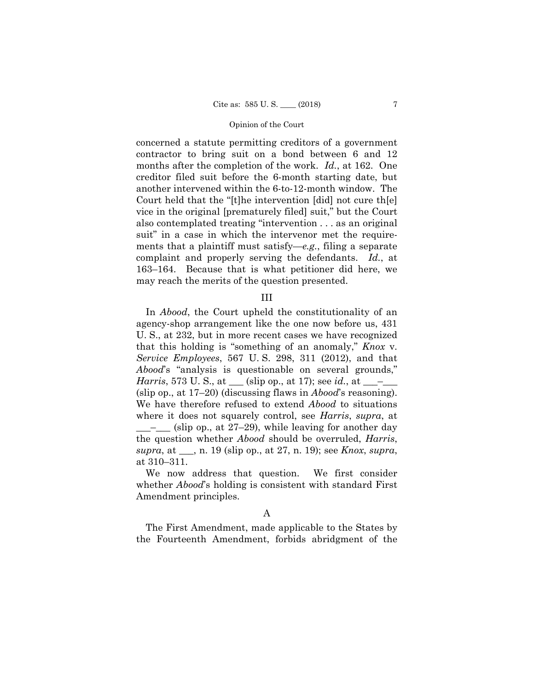concerned a statute permitting creditors of a government contractor to bring suit on a bond between 6 and 12 months after the completion of the work. *Id.*, at 162. One creditor filed suit before the 6-month starting date, but another intervened within the 6-to-12-month window. The Court held that the "[t]he intervention [did] not cure th[e] vice in the original [prematurely filed] suit," but the Court also contemplated treating "intervention . . . as an original suit" in a case in which the intervenor met the requirements that a plaintiff must satisfy—*e.g.*, filing a separate complaint and properly serving the defendants. *Id.*, at 163–164. Because that is what petitioner did here, we may reach the merits of the question presented.

# III

 In *Abood*, the Court upheld the constitutionality of an agency-shop arrangement like the one now before us, 431 U. S., at 232, but in more recent cases we have recognized that this holding is "something of an anomaly," *Knox* v. *Service Employees*, 567 U. S. 298, 311 (2012), and that *Abood*'s "analysis is questionable on several grounds," *Harris*, 573 U. S., at <u>equal</u> (slip op., at 17); see *id.*, at <u>equal</u> (slip op., at 17–20) (discussing flaws in *Abood*'s reasoning). We have therefore refused to extend *Abood* to situations where it does not squarely control, see *Harris*, *supra*, at  $\frac{\text{S}_{\text{max}}}{\text{S}_{\text{max}}}$  (slip op., at 27–29), while leaving for another day the question whether *Abood* should be overruled, *Harris*, *supra*, at \_\_\_, n. 19 (slip op., at 27, n. 19); see *Knox*, *supra*, at 310–311.

We now address that question. We first consider whether *Abood*'s holding is consistent with standard First Amendment principles.

# A

The First Amendment, made applicable to the States by the Fourteenth Amendment, forbids abridgment of the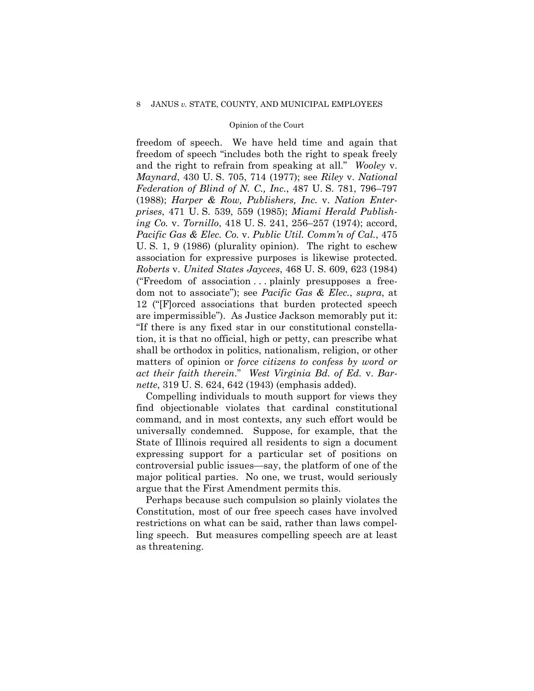## 8 JANUS *v.* STATE, COUNTY, AND MUNICIPAL EMPLOYEES

### Opinion of the Court

 *act their faith therein*." *West Virginia Bd. of Ed.* v. *Bar*freedom of speech. We have held time and again that freedom of speech "includes both the right to speak freely and the right to refrain from speaking at all." *Wooley* v. *Maynard*, 430 U. S. 705, 714 (1977); see *Riley* v. *National Federation of Blind of N. C., Inc.*, 487 U. S. 781, 796–797 (1988); *Harper & Row, Publishers, Inc.* v. *Nation Enterprises*, 471 U. S. 539, 559 (1985); *Miami Herald Publishing Co.* v. *Tornillo*, 418 U. S. 241, 256–257 (1974); accord, *Pacific Gas & Elec. Co.* v. *Public Util. Comm'n of Cal.*, 475 U. S. 1, 9 (1986) (plurality opinion). The right to eschew association for expressive purposes is likewise protected. *Roberts* v. *United States Jaycees*, 468 U. S. 609, 623 (1984) ("Freedom of association . . . plainly presupposes a freedom not to associate"); see *Pacific Gas & Elec.*, *supra*, at 12 ("[F]orced associations that burden protected speech are impermissible"). As Justice Jackson memorably put it: "If there is any fixed star in our constitutional constellation, it is that no official, high or petty, can prescribe what shall be orthodox in politics, nationalism, religion, or other matters of opinion or *force citizens to confess by word or nette*, 319 U. S. 624, 642 (1943) (emphasis added).

Compelling individuals to mouth support for views they find objectionable violates that cardinal constitutional command, and in most contexts, any such effort would be universally condemned. Suppose, for example, that the State of Illinois required all residents to sign a document expressing support for a particular set of positions on controversial public issues—say, the platform of one of the major political parties. No one, we trust, would seriously argue that the First Amendment permits this.

Perhaps because such compulsion so plainly violates the Constitution, most of our free speech cases have involved restrictions on what can be said, rather than laws compelling speech. But measures compelling speech are at least as threatening.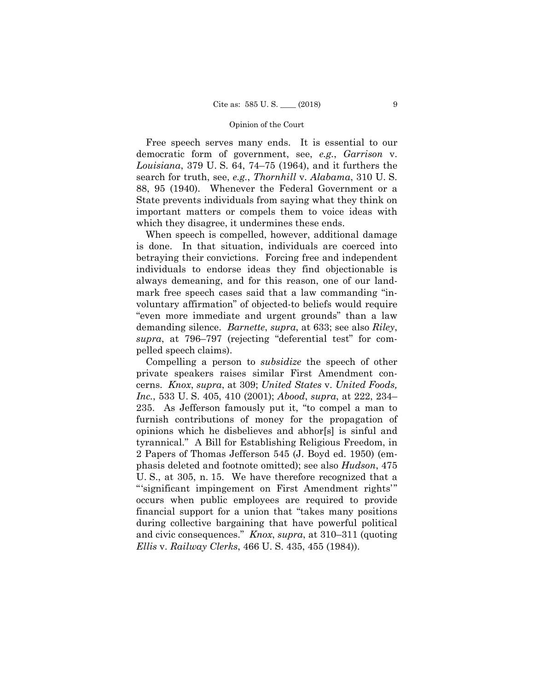Free speech serves many ends. It is essential to our democratic form of government, see, *e.g.*, *Garrison* v. *Louisiana*, 379 U. S. 64, 74–75 (1964), and it furthers the search for truth, see, *e.g.*, *Thornhill* v. *Alabama*, 310 U. S. 88, 95 (1940). Whenever the Federal Government or a State prevents individuals from saying what they think on important matters or compels them to voice ideas with which they disagree, it undermines these ends.

 is done. In that situation, individuals are coerced into When speech is compelled, however, additional damage betraying their convictions. Forcing free and independent individuals to endorse ideas they find objectionable is always demeaning, and for this reason, one of our landmark free speech cases said that a law commanding "involuntary affirmation" of objected-to beliefs would require "even more immediate and urgent grounds" than a law demanding silence. *Barnette*, *supra*, at 633; see also *Riley*, *supra*, at 796–797 (rejecting "deferential test" for compelled speech claims).

 and civic consequences." *Knox*, *supra*, at 310–311 (quoting Compelling a person to *subsidize* the speech of other private speakers raises similar First Amendment concerns. *Knox*, *supra*, at 309; *United States* v. *United Foods, Inc.*, 533 U. S. 405, 410 (2001); *Abood*, *supra*, at 222, 234– 235. As Jefferson famously put it, "to compel a man to furnish contributions of money for the propagation of opinions which he disbelieves and abhor[s] is sinful and tyrannical." A Bill for Establishing Religious Freedom, in 2 Papers of Thomas Jefferson 545 (J. Boyd ed. 1950) (emphasis deleted and footnote omitted); see also *Hudson*, 475 U. S., at 305, n. 15. We have therefore recognized that a "'significant impingement on First Amendment rights'" occurs when public employees are required to provide financial support for a union that "takes many positions during collective bargaining that have powerful political *Ellis* v. *Railway Clerks*, 466 U. S. 435, 455 (1984)).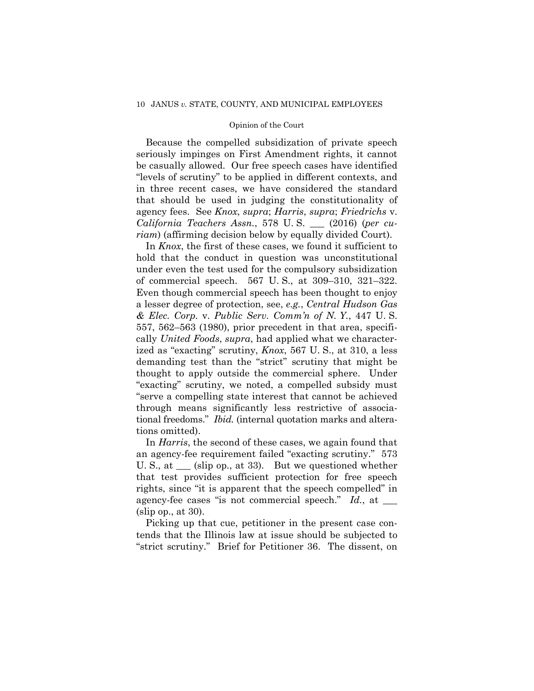## 10 JANUS *v.* STATE, COUNTY, AND MUNICIPAL EMPLOYEES

### Opinion of the Court

Because the compelled subsidization of private speech seriously impinges on First Amendment rights, it cannot be casually allowed. Our free speech cases have identified "levels of scrutiny" to be applied in different contexts, and in three recent cases, we have considered the standard that should be used in judging the constitutionality of agency fees. See *Knox*, *supra*; *Harris*, *supra*; *Friedrichs* v. *California Teachers Assn.*, 578 U. S. \_\_\_ (2016) (*per curiam*) (affirming decision below by equally divided Court).

In *Knox*, the first of these cases, we found it sufficient to hold that the conduct in question was unconstitutional under even the test used for the compulsory subsidization of commercial speech. 567 U. S., at 309–310, 321–322. Even though commercial speech has been thought to enjoy a lesser degree of protection, see, *e.g.*, *Central Hudson Gas & Elec. Corp.* v. *Public Serv. Comm'n of N. Y.*, 447 U. S. 557, 562–563 (1980), prior precedent in that area, specifically *United Foods*, *supra*, had applied what we characterized as "exacting" scrutiny, *Knox*, 567 U. S., at 310, a less demanding test than the "strict" scrutiny that might be thought to apply outside the commercial sphere. Under "exacting" scrutiny, we noted, a compelled subsidy must "serve a compelling state interest that cannot be achieved through means significantly less restrictive of associational freedoms." *Ibid.* (internal quotation marks and alterations omitted).

 agency-fee cases "is not commercial speech." *Id.*, at \_\_\_ In *Harris*, the second of these cases, we again found that an agency-fee requirement failed "exacting scrutiny." 573 U. S., at \_\_\_ (slip op., at 33). But we questioned whether that test provides sufficient protection for free speech rights, since "it is apparent that the speech compelled" in (slip op., at 30).

Picking up that cue, petitioner in the present case contends that the Illinois law at issue should be subjected to "strict scrutiny." Brief for Petitioner 36. The dissent, on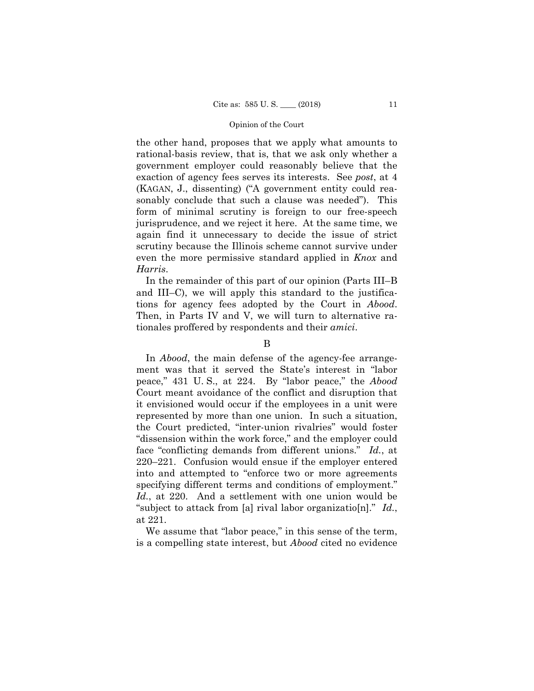the other hand, proposes that we apply what amounts to rational-basis review, that is, that we ask only whether a government employer could reasonably believe that the exaction of agency fees serves its interests. See *post*, at 4 (KAGAN, J., dissenting) ("A government entity could reasonably conclude that such a clause was needed"). This form of minimal scrutiny is foreign to our free-speech jurisprudence, and we reject it here. At the same time, we again find it unnecessary to decide the issue of strict scrutiny because the Illinois scheme cannot survive under even the more permissive standard applied in *Knox* and *Harris*.

In the remainder of this part of our opinion (Parts III–B and III–C), we will apply this standard to the justifications for agency fees adopted by the Court in *Abood*. Then, in Parts IV and V, we will turn to alternative rationales proffered by respondents and their *amici*.

## B

In *Abood*, the main defense of the agency-fee arrangement was that it served the State's interest in "labor peace," 431 U. S., at 224. By "labor peace," the *Abood*  Court meant avoidance of the conflict and disruption that it envisioned would occur if the employees in a unit were represented by more than one union. In such a situation, the Court predicted, "inter-union rivalries" would foster "dissension within the work force," and the employer could face "conflicting demands from different unions." *Id.*, at 220–221. Confusion would ensue if the employer entered into and attempted to "enforce two or more agreements specifying different terms and conditions of employment." *Id.*, at 220. And a settlement with one union would be "subject to attack from [a] rival labor organizatio[n]." *Id.*, at 221.

We assume that "labor peace," in this sense of the term, is a compelling state interest, but *Abood* cited no evidence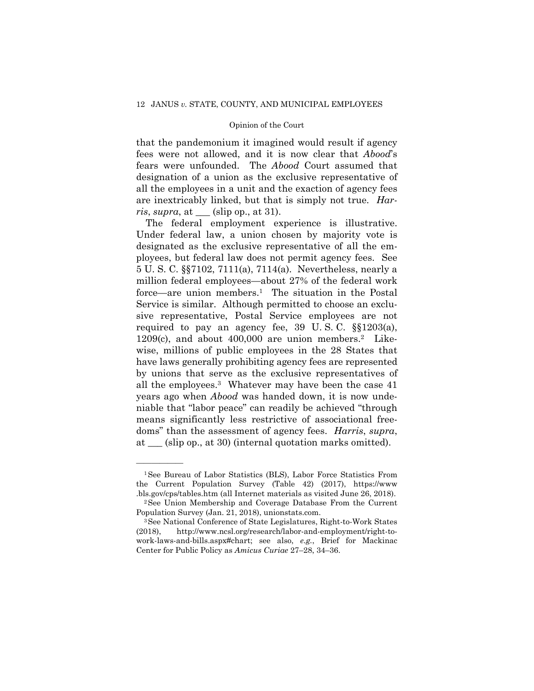that the pandemonium it imagined would result if agency fees were not allowed, and it is now clear that *Abood*'s fears were unfounded. The *Abood* Court assumed that designation of a union as the exclusive representative of all the employees in a unit and the exaction of agency fees are inextricably linked, but that is simply not true. *Harris*, *supra*, at  $\_\_\_$  (slip op., at 31).

 by unions that serve as the exclusive representatives of The federal employment experience is illustrative. Under federal law, a union chosen by majority vote is designated as the exclusive representative of all the employees, but federal law does not permit agency fees. See 5 U. S. C. §§7102, 7111(a), 7114(a). Nevertheless, nearly a million federal employees—about 27% of the federal work force—are union members.<sup>1</sup> The situation in the Postal Service is similar. Although permitted to choose an exclusive representative, Postal Service employees are not required to pay an agency fee, 39 U. S. C. §§1203(a),  $1209(c)$ , and about  $400,000$  are union members.<sup>2</sup> Likewise, millions of public employees in the 28 States that have laws generally prohibiting agency fees are represented all the employees.3 Whatever may have been the case 41 years ago when *Abood* was handed down, it is now undeniable that "labor peace" can readily be achieved "through means significantly less restrictive of associational freedoms" than the assessment of agency fees. *Harris*, *supra*, at \_\_\_ (slip op., at 30) (internal quotation marks omitted).

<sup>1</sup>See Bureau of Labor Statistics (BLS), Labor Force Statistics From the Current Population Survey (Table 42) (2017), https://www .bls.gov/cps/tables.htm (all Internet materials as visited June 26, 2018). 2See Union Membership and Coverage Database From the Current

Population Survey (Jan. 21, 2018), unionstats.com. 3See National Conference of State Legislatures, Right-to-Work States

<sup>(2018),</sup> http://www.ncsl.org/research/labor-and-employment/right-towork-laws-and-bills.aspx#chart; see also, *e.g.*, Brief for Mackinac Center for Public Policy as *Amicus Curiae* 27–28, 34–36.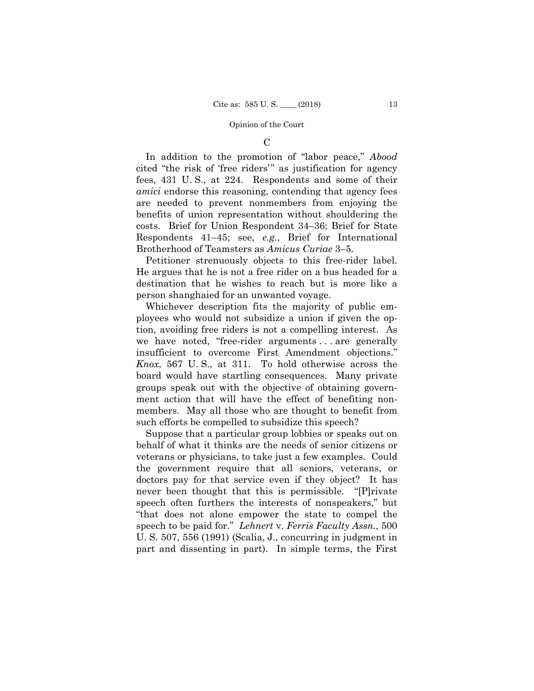$\mathcal{C}$ 

In addition to the promotion of "labor peace," *Abood*  cited "the risk of 'free riders'" as justification for agency fees, 431 U. S., at 224. Respondents and some of their *amici* endorse this reasoning, contending that agency fees are needed to prevent nonmembers from enjoying the benefits of union representation without shouldering the costs. Brief for Union Respondent 34–36; Brief for State Respondents 41–45; see, *e.g.*, Brief for International Brotherhood of Teamsters as *Amicus Curiae* 3–5.

Petitioner strenuously objects to this free-rider label. He argues that he is not a free rider on a bus headed for a destination that he wishes to reach but is more like a person shanghaied for an unwanted voyage.

Whichever description fits the majority of public employees who would not subsidize a union if given the option, avoiding free riders is not a compelling interest. As we have noted, "free-rider arguments . . . are generally insufficient to overcome First Amendment objections." *Knox*, 567 U. S., at 311. To hold otherwise across the board would have startling consequences. Many private groups speak out with the objective of obtaining government action that will have the effect of benefiting nonmembers. May all those who are thought to benefit from such efforts be compelled to subsidize this speech?

Suppose that a particular group lobbies or speaks out on behalf of what it thinks are the needs of senior citizens or veterans or physicians, to take just a few examples. Could the government require that all seniors, veterans, or doctors pay for that service even if they object? It has never been thought that this is permissible. "[P]rivate speech often furthers the interests of nonspeakers," but "that does not alone empower the state to compel the speech to be paid for." *Lehnert* v. *Ferris Faculty Assn.*, 500 U. S. 507, 556 (1991) (Scalia, J., concurring in judgment in part and dissenting in part). In simple terms, the First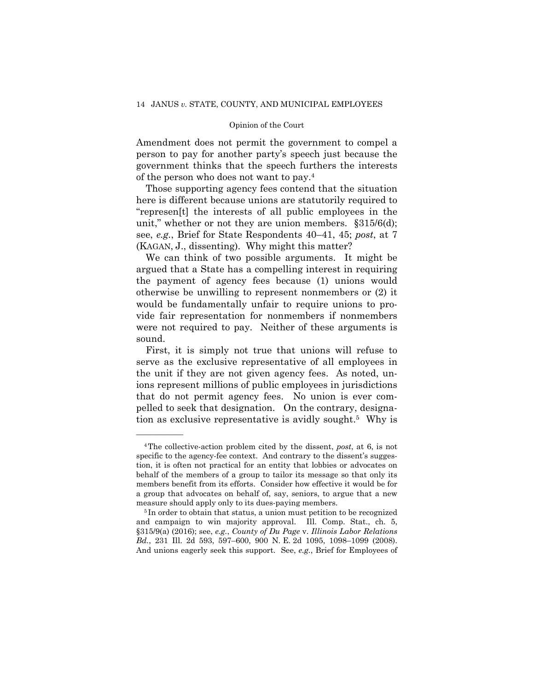Amendment does not permit the government to compel a person to pay for another party's speech just because the government thinks that the speech furthers the interests of the person who does not want to pay.4

Those supporting agency fees contend that the situation here is different because unions are statutorily required to "represen[t] the interests of all public employees in the unit," whether or not they are union members. §315/6(d); see, *e.g.*, Brief for State Respondents 40–41, 45; *post*, at 7 (KAGAN, J., dissenting). Why might this matter?

We can think of two possible arguments. It might be argued that a State has a compelling interest in requiring the payment of agency fees because (1) unions would otherwise be unwilling to represent nonmembers or (2) it would be fundamentally unfair to require unions to provide fair representation for nonmembers if nonmembers were not required to pay. Neither of these arguments is sound.

First, it is simply not true that unions will refuse to serve as the exclusive representative of all employees in the unit if they are not given agency fees. As noted, unions represent millions of public employees in jurisdictions that do not permit agency fees. No union is ever compelled to seek that designation. On the contrary, designation as exclusive representative is avidly sought.5 Why is

<sup>4</sup>The collective-action problem cited by the dissent, *post*, at 6, is not specific to the agency-fee context. And contrary to the dissent's suggestion, it is often not practical for an entity that lobbies or advocates on behalf of the members of a group to tailor its message so that only its members benefit from its efforts. Consider how effective it would be for a group that advocates on behalf of, say, seniors, to argue that a new measure should apply only to its dues-paying members. 5 In order to obtain that status, a union must petition to be recognized

and campaign to win majority approval. Ill. Comp. Stat., ch. 5, §315/9(a) (2016); see, *e.g.*, *County of Du Page* v. *Illinois Labor Relations Bd.*, 231 Ill. 2d 593, 597–600, 900 N. E. 2d 1095, 1098–1099 (2008). And unions eagerly seek this support. See, *e.g.*, Brief for Employees of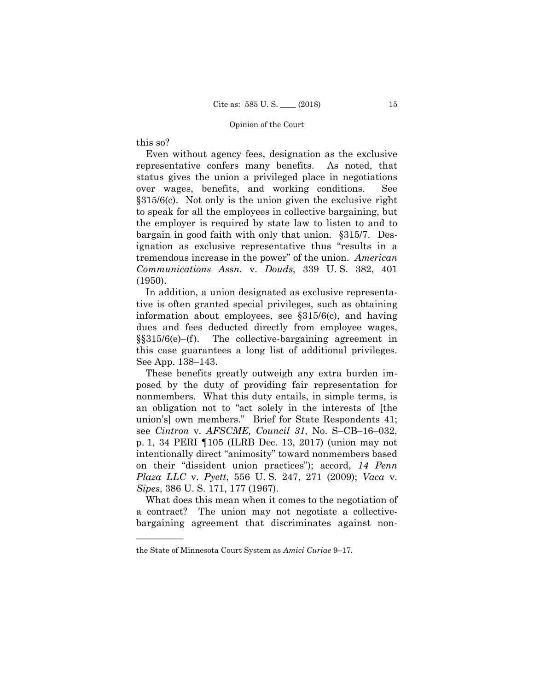this so?

Even without agency fees, designation as the exclusive representative confers many benefits. As noted, that status gives the union a privileged place in negotiations over wages, benefits, and working conditions. See §315/6(c). Not only is the union given the exclusive right to speak for all the employees in collective bargaining, but the employer is required by state law to listen to and to bargain in good faith with only that union. §315/7. Designation as exclusive representative thus "results in a tremendous increase in the power" of the union. *American Communications Assn.* v. *Douds*, 339 U. S. 382, 401 (1950).

In addition, a union designated as exclusive representative is often granted special privileges, such as obtaining information about employees, see §315/6(c), and having dues and fees deducted directly from employee wages, §§315/6(e)–(f). The collective-bargaining agreement in this case guarantees a long list of additional privileges. See App. 138–143.

These benefits greatly outweigh any extra burden imposed by the duty of providing fair representation for nonmembers. What this duty entails, in simple terms, is an obligation not to "act solely in the interests of [the union's] own members." Brief for State Respondents 41; see *Cintron* v. *AFSCME, Council 31*, No. S–CB–16–032, p. 1, 34 PERI ¶105 (ILRB Dec. 13, 2017) (union may not intentionally direct "animosity" toward nonmembers based on their "dissident union practices"); accord, *14 Penn Plaza LLC* v. *Pyett*, 556 U. S. 247, 271 (2009); *Vaca* v. *Sipes*, 386 U. S. 171, 177 (1967).

What does this mean when it comes to the negotiation of a contract? The union may not negotiate a collectivebargaining agreement that discriminates against non

the State of Minnesota Court System as *Amici Curiae* 9–17.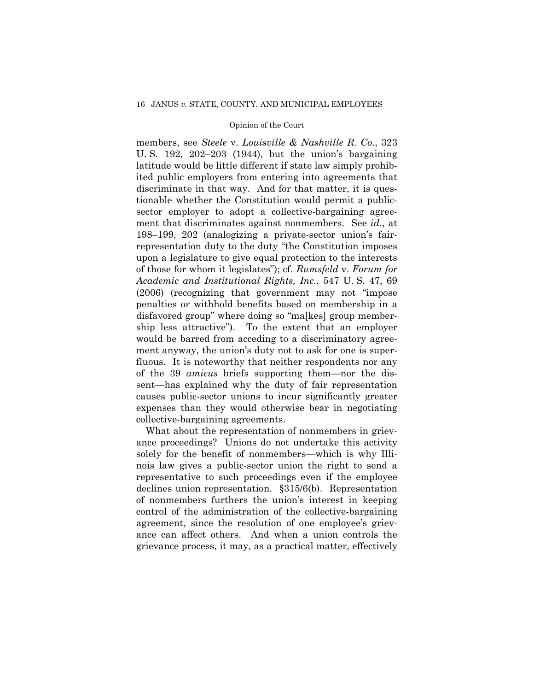## 16 JANUS *v.* STATE, COUNTY, AND MUNICIPAL EMPLOYEES

### Opinion of the Court

members, see *Steele* v. *Louisville & Nashville R. Co.*, 323 U. S. 192, 202–203 (1944), but the union's bargaining latitude would be little different if state law simply prohibited public employers from entering into agreements that discriminate in that way. And for that matter, it is questionable whether the Constitution would permit a publicsector employer to adopt a collective-bargaining agreement that discriminates against nonmembers. See *id.*, at 198–199, 202 (analogizing a private-sector union's fairrepresentation duty to the duty "the Constitution imposes upon a legislature to give equal protection to the interests of those for whom it legislates"); cf. *Rumsfeld* v. *Forum for Academic and Institutional Rights, Inc.*, 547 U. S. 47, 69 (2006) (recognizing that government may not "impose penalties or withhold benefits based on membership in a disfavored group" where doing so "ma[kes] group membership less attractive"). To the extent that an employer would be barred from acceding to a discriminatory agreement anyway, the union's duty not to ask for one is superfluous. It is noteworthy that neither respondents nor any of the 39 *amicus* briefs supporting them—nor the dissent—has explained why the duty of fair representation causes public-sector unions to incur significantly greater expenses than they would otherwise bear in negotiating collective-bargaining agreements.

What about the representation of nonmembers in grievance proceedings? Unions do not undertake this activity solely for the benefit of nonmembers—which is why Illinois law gives a public-sector union the right to send a representative to such proceedings even if the employee declines union representation. §315/6(b). Representation of nonmembers furthers the union's interest in keeping control of the administration of the collective-bargaining agreement, since the resolution of one employee's grievance can affect others. And when a union controls the grievance process, it may, as a practical matter, effectively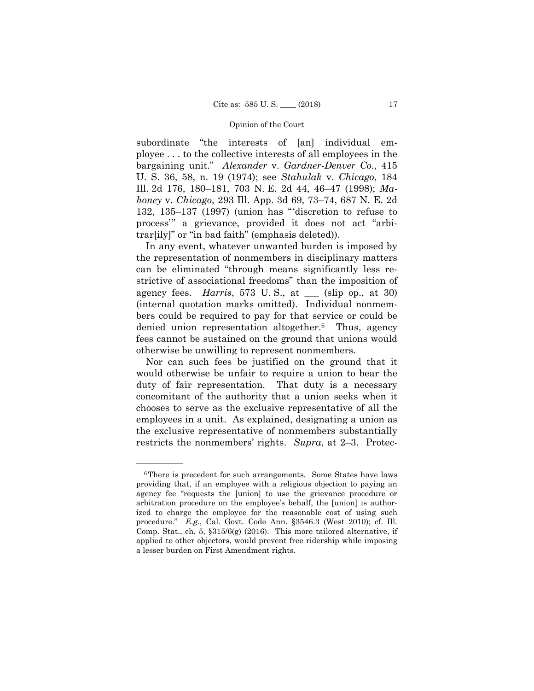subordinate "the interests of [an] individual employee . . . to the collective interests of all employees in the bargaining unit." *Alexander* v. *Gardner-Denver Co.*, 415 U. S. 36, 58, n. 19 (1974); see *Stahulak* v. *Chicago*, 184 Ill. 2d 176, 180–181, 703 N. E. 2d 44, 46–47 (1998); *Mahoney* v. *Chicago*, 293 Ill. App. 3d 69, 73–74, 687 N. E. 2d 132, 135–137 (1997) (union has "'discretion to refuse to process'" a grievance, provided it does not act "arbitrar[ily]" or "in bad faith" (emphasis deleted)).

 denied union representation altogether.6 Thus, agency In any event, whatever unwanted burden is imposed by the representation of nonmembers in disciplinary matters can be eliminated "through means significantly less restrictive of associational freedoms" than the imposition of agency fees. *Harris*, 573 U. S., at \_\_\_ (slip op., at 30) (internal quotation marks omitted). Individual nonmembers could be required to pay for that service or could be fees cannot be sustained on the ground that unions would otherwise be unwilling to represent nonmembers.

Nor can such fees be justified on the ground that it would otherwise be unfair to require a union to bear the duty of fair representation. That duty is a necessary concomitant of the authority that a union seeks when it chooses to serve as the exclusive representative of all the employees in a unit. As explained, designating a union as the exclusive representative of nonmembers substantially restricts the nonmembers' rights. *Supra*, at 2–3. Protec

<sup>6</sup>There is precedent for such arrangements. Some States have laws providing that, if an employee with a religious objection to paying an agency fee "requests the [union] to use the grievance procedure or arbitration procedure on the employee's behalf, the [union] is authorized to charge the employee for the reasonable cost of using such procedure." *E.g.*, Cal. Govt. Code Ann. §3546.3 (West 2010); cf. Ill. Comp. Stat., ch. 5, §315/6(g) (2016). This more tailored alternative, if applied to other objectors, would prevent free ridership while imposing a lesser burden on First Amendment rights.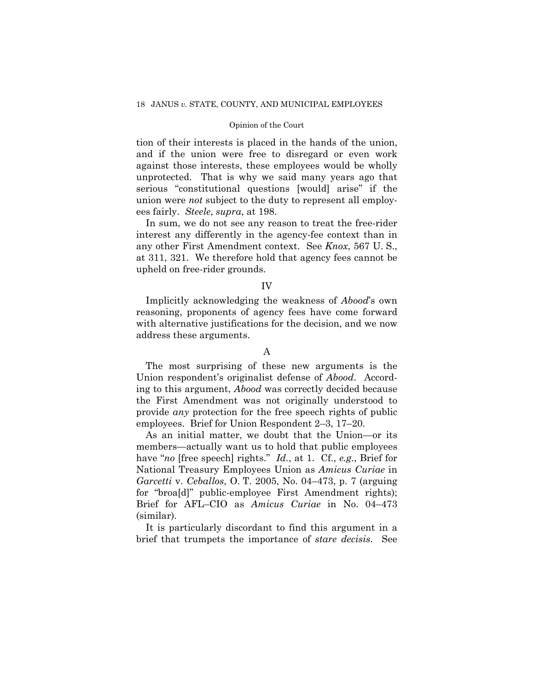## 18 JANUS *v.* STATE, COUNTY, AND MUNICIPAL EMPLOYEES

#### Opinion of the Court

tion of their interests is placed in the hands of the union, and if the union were free to disregard or even work against those interests, these employees would be wholly unprotected. That is why we said many years ago that serious "constitutional questions [would] arise" if the union were *not* subject to the duty to represent all employees fairly. *Steele*, *supra*, at 198.

In sum, we do not see any reason to treat the free-rider interest any differently in the agency-fee context than in any other First Amendment context. See *Knox*, 567 U. S., at 311, 321. We therefore hold that agency fees cannot be upheld on free-rider grounds.

#### IV

Implicitly acknowledging the weakness of *Abood*'s own reasoning, proponents of agency fees have come forward with alternative justifications for the decision, and we now address these arguments.

# A

The most surprising of these new arguments is the Union respondent's originalist defense of *Abood*. According to this argument, *Abood* was correctly decided because the First Amendment was not originally understood to provide *any* protection for the free speech rights of public employees. Brief for Union Respondent 2–3, 17–20.

As an initial matter, we doubt that the Union—or its members—actually want us to hold that public employees have "*no* [free speech] rights." *Id.*, at 1. Cf., *e.g.*, Brief for National Treasury Employees Union as *Amicus Curiae* in *Garcetti* v. *Ceballos*, O. T. 2005, No. 04–473, p. 7 (arguing for "broa[d]" public-employee First Amendment rights); Brief for AFL–CIO as *Amicus Curiae* in No. 04–473 (similar).

It is particularly discordant to find this argument in a brief that trumpets the importance of *stare decisis*. See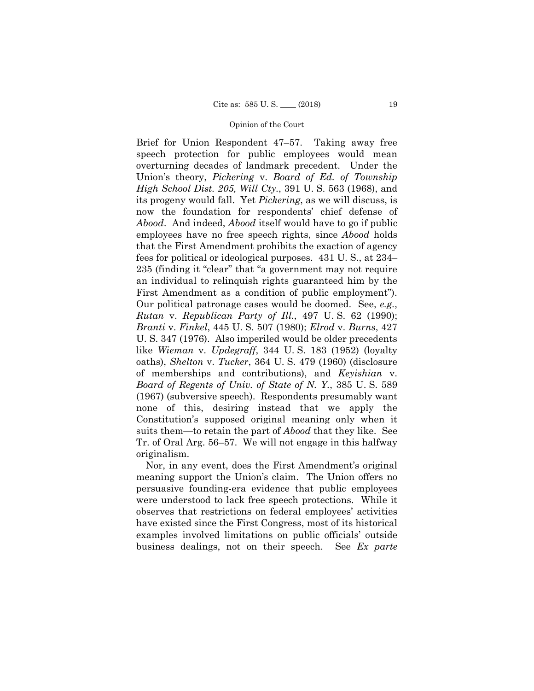Brief for Union Respondent 47–57. Taking away free speech protection for public employees would mean overturning decades of landmark precedent. Under the Union's theory, *Pickering* v. *Board of Ed. of Township High School Dist. 205, Will Cty.*, 391 U. S. 563 (1968), and its progeny would fall. Yet *Pickering*, as we will discuss, is now the foundation for respondents' chief defense of *Abood*. And indeed, *Abood* itself would have to go if public employees have no free speech rights, since *Abood* holds that the First Amendment prohibits the exaction of agency fees for political or ideological purposes. 431 U. S., at 234– 235 (finding it "clear" that "a government may not require an individual to relinquish rights guaranteed him by the First Amendment as a condition of public employment"). Our political patronage cases would be doomed. See, *e.g.*, *Rutan* v. *Republican Party of Ill.*, 497 U. S. 62 (1990); *Branti* v. *Finkel*, 445 U. S. 507 (1980); *Elrod* v. *Burns*, 427 U. S. 347 (1976). Also imperiled would be older precedents like *Wieman* v. *Updegraff*, 344 U. S. 183 (1952) (loyalty oaths), *Shelton* v. *Tucker*, 364 U. S. 479 (1960) (disclosure of memberships and contributions), and *Keyishian* v. *Board of Regents of Univ. of State of N. Y.*, 385 U. S. 589 (1967) (subversive speech). Respondents presumably want none of this, desiring instead that we apply the Constitution's supposed original meaning only when it suits them—to retain the part of *Abood* that they like. See Tr. of Oral Arg. 56–57. We will not engage in this halfway originalism.

Nor, in any event, does the First Amendment's original meaning support the Union's claim. The Union offers no persuasive founding-era evidence that public employees were understood to lack free speech protections. While it observes that restrictions on federal employees' activities have existed since the First Congress, most of its historical examples involved limitations on public officials' outside business dealings, not on their speech. See *Ex parte*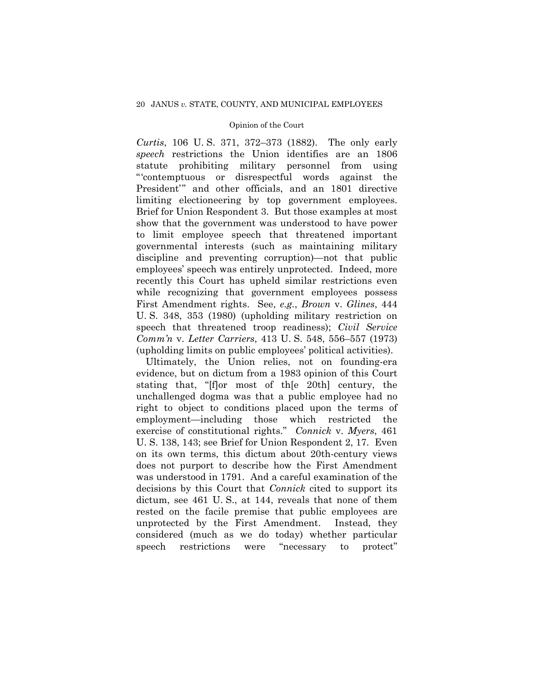## 20 JANUS *v.* STATE, COUNTY, AND MUNICIPAL EMPLOYEES

## Opinion of the Court

*Curtis*, 106 U. S. 371, 372–373 (1882). The only early *speech* restrictions the Union identifies are an 1806 statute prohibiting military personnel from using "'contemptuous or disrespectful words against the President'" and other officials, and an 1801 directive limiting electioneering by top government employees. Brief for Union Respondent 3. But those examples at most show that the government was understood to have power to limit employee speech that threatened important governmental interests (such as maintaining military discipline and preventing corruption)—not that public employees' speech was entirely unprotected. Indeed, more recently this Court has upheld similar restrictions even while recognizing that government employees possess First Amendment rights. See, *e.g.*, *Brown* v. *Glines*, 444 U. S. 348, 353 (1980) (upholding military restriction on speech that threatened troop readiness); *Civil Service Comm'n* v. *Letter Carriers*, 413 U. S. 548, 556–557 (1973) (upholding limits on public employees' political activities).

 employment—including those which restricted the Ultimately, the Union relies, not on founding-era evidence, but on dictum from a 1983 opinion of this Court stating that, "[f]or most of th[e 20th] century, the unchallenged dogma was that a public employee had no right to object to conditions placed upon the terms of exercise of constitutional rights." *Connick* v. *Myers*, 461 U. S. 138, 143; see Brief for Union Respondent 2, 17. Even on its own terms, this dictum about 20th-century views does not purport to describe how the First Amendment was understood in 1791. And a careful examination of the decisions by this Court that *Connick* cited to support its dictum, see 461 U. S., at 144, reveals that none of them rested on the facile premise that public employees are unprotected by the First Amendment. Instead, they considered (much as we do today) whether particular speech restrictions were "necessary to protect"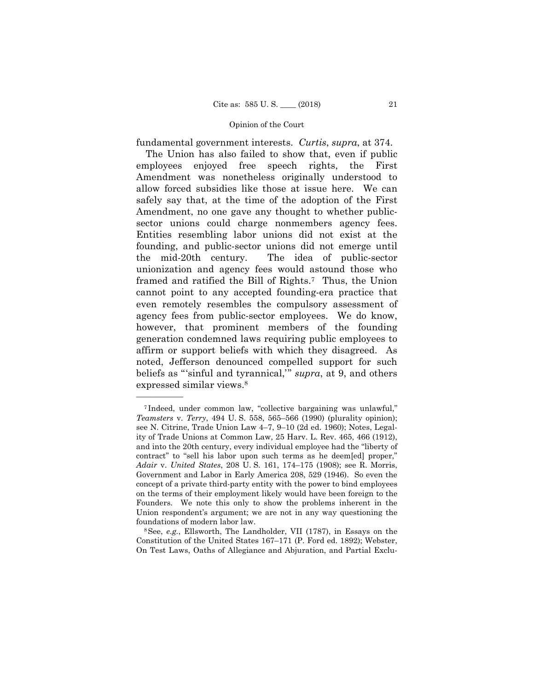fundamental government interests. *Curtis*, *supra*, at 374.

The Union has also failed to show that, even if public employees enjoyed free speech rights, the First Amendment was nonetheless originally understood to allow forced subsidies like those at issue here. We can safely say that, at the time of the adoption of the First Amendment, no one gave any thought to whether publicsector unions could charge nonmembers agency fees. Entities resembling labor unions did not exist at the founding, and public-sector unions did not emerge until the mid-20th century. The idea of public-sector unionization and agency fees would astound those who framed and ratified the Bill of Rights.7 Thus, the Union cannot point to any accepted founding-era practice that even remotely resembles the compulsory assessment of agency fees from public-sector employees. We do know, however, that prominent members of the founding generation condemned laws requiring public employees to affirm or support beliefs with which they disagreed. As noted, Jefferson denounced compelled support for such beliefs as "'sinful and tyrannical,'" *supra*, at 9, and others expressed similar views.8

<sup>7</sup> Indeed, under common law, "collective bargaining was unlawful," *Teamsters* v. *Terry*, 494 U. S. 558, 565–566 (1990) (plurality opinion); see N. Citrine, Trade Union Law 4–7, 9–10 (2d ed. 1960); Notes, Legality of Trade Unions at Common Law, 25 Harv. L. Rev. 465, 466 (1912), and into the 20th century, every individual employee had the "liberty of contract" to "sell his labor upon such terms as he deem[ed] proper," *Adair* v. *United States*, 208 U. S. 161, 174–175 (1908); see R. Morris, Government and Labor in Early America 208, 529 (1946). So even the concept of a private third-party entity with the power to bind employees on the terms of their employment likely would have been foreign to the Founders. We note this only to show the problems inherent in the Union respondent's argument; we are not in any way questioning the

foundations of modern labor law. 8See, *e.g.*, Ellsworth, The Landholder, VII (1787), in Essays on the Constitution of the United States 167–171 (P. Ford ed. 1892); Webster, On Test Laws, Oaths of Allegiance and Abjuration, and Partial Exclu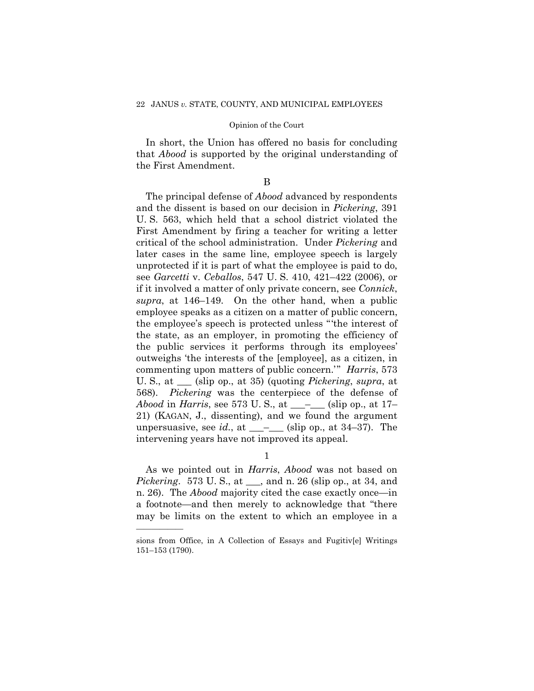In short, the Union has offered no basis for concluding that *Abood* is supported by the original understanding of the First Amendment.

#### B

The principal defense of *Abood* advanced by respondents and the dissent is based on our decision in *Pickering*, 391 U. S. 563, which held that a school district violated the First Amendment by firing a teacher for writing a letter critical of the school administration. Under *Pickering* and later cases in the same line, employee speech is largely unprotected if it is part of what the employee is paid to do, see *Garcetti* v. *Ceballos*, 547 U. S. 410, 421–422 (2006), or if it involved a matter of only private concern, see *Connick*, *supra*, at 146–149. On the other hand, when a public employee speaks as a citizen on a matter of public concern, the employee's speech is protected unless "'the interest of the state, as an employer, in promoting the efficiency of the public services it performs through its employees' outweighs 'the interests of the [employee], as a citizen, in commenting upon matters of public concern.'" *Harris*, 573 U. S., at \_\_\_ (slip op., at 35) (quoting *Pickering*, *supra*, at 568). *Pickering* was the centerpiece of the defense of *Abood* in *Harris*, see 573 U. S., at \_\_\_–\_\_\_ (slip op., at 17– 21) (KAGAN, J., dissenting), and we found the argument unpersuasive, see *id.*, at  $\_\_\_\_\_$  (slip op., at 34–37). The intervening years have not improved its appeal.

1

As we pointed out in *Harris*, *Abood* was not based on *Pickering*. 573 U. S., at \_\_\_, and n. 26 (slip op., at 34, and n. 26). The *Abood* majority cited the case exactly once—in a footnote—and then merely to acknowledge that "there may be limits on the extent to which an employee in a

sions from Office, in A Collection of Essays and Fugitiv[e] Writings 151–153 (1790).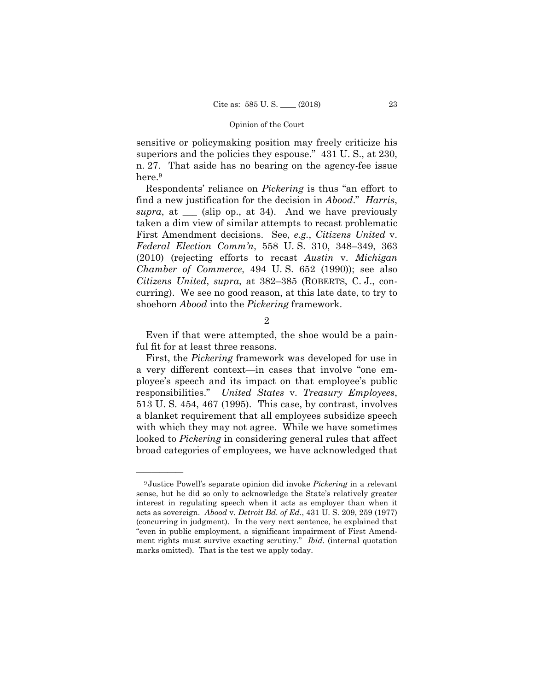sensitive or policymaking position may freely criticize his superiors and the policies they espouse." 431 U. S., at 230, n. 27. That aside has no bearing on the agency-fee issue here.<sup>9</sup>

Respondents' reliance on *Pickering* is thus "an effort to find a new justification for the decision in *Abood*." *Harris*, *supra*, at \_\_\_ (slip op., at 34). And we have previously taken a dim view of similar attempts to recast problematic First Amendment decisions. See, *e.g.*, *Citizens United* v. *Federal Election Comm'n*, 558 U. S. 310, 348–349, 363 (2010) (rejecting efforts to recast *Austin* v. *Michigan Chamber of Commerce*, 494 U. S. 652 (1990)); see also *Citizens United*, *supra*, at 382–385 (ROBERTS, C. J., concurring). We see no good reason, at this late date, to try to shoehorn *Abood* into the *Pickering* framework.

2

Even if that were attempted, the shoe would be a painful fit for at least three reasons.

 First, the *Pickering* framework was developed for use in a very different context—in cases that involve "one employee's speech and its impact on that employee's public responsibilities." *United States* v. *Treasury Employees*, 513 U. S. 454, 467 (1995). This case, by contrast, involves a blanket requirement that all employees subsidize speech with which they may not agree. While we have sometimes looked to *Pickering* in considering general rules that affect broad categories of employees, we have acknowledged that

 acts as sovereign. *Abood* v. *Detroit Bd. of Ed.*, 431 U. S. 209, 259 (1977) (concurring in judgment). In the very next sentence, he explained that <sup>9</sup> Justice Powell's separate opinion did invoke *Pickering* in a relevant sense, but he did so only to acknowledge the State's relatively greater interest in regulating speech when it acts as employer than when it "even in public employment, a significant impairment of First Amendment rights must survive exacting scrutiny." *Ibid.* (internal quotation marks omitted). That is the test we apply today.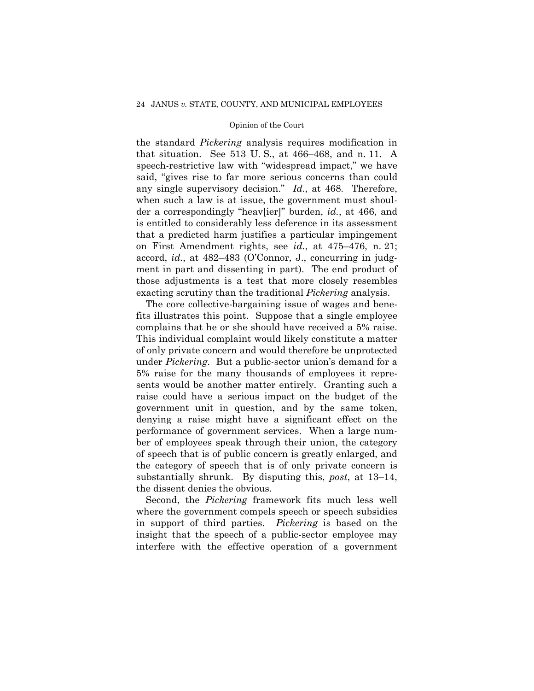## 24 JANUS *v.* STATE, COUNTY, AND MUNICIPAL EMPLOYEES

### Opinion of the Court

the standard *Pickering* analysis requires modification in that situation. See 513 U. S., at 466–468, and n. 11. A speech-restrictive law with "widespread impact," we have said, "gives rise to far more serious concerns than could any single supervisory decision." *Id.*, at 468. Therefore, when such a law is at issue, the government must shoulder a correspondingly "heav[ier]" burden, *id.*, at 466, and is entitled to considerably less deference in its assessment that a predicted harm justifies a particular impingement on First Amendment rights, see *id.*, at 475–476, n. 21; accord, *id.*, at 482–483 (O'Connor, J., concurring in judgment in part and dissenting in part). The end product of those adjustments is a test that more closely resembles exacting scrutiny than the traditional *Pickering* analysis.

The core collective-bargaining issue of wages and benefits illustrates this point. Suppose that a single employee complains that he or she should have received a 5% raise. This individual complaint would likely constitute a matter of only private concern and would therefore be unprotected under *Pickering*. But a public-sector union's demand for a 5% raise for the many thousands of employees it represents would be another matter entirely. Granting such a raise could have a serious impact on the budget of the government unit in question, and by the same token, denying a raise might have a significant effect on the performance of government services. When a large number of employees speak through their union, the category of speech that is of public concern is greatly enlarged, and the category of speech that is of only private concern is substantially shrunk. By disputing this, *post*, at 13–14, the dissent denies the obvious.

 Second, the *Pickering* framework fits much less well where the government compels speech or speech subsidies in support of third parties. *Pickering* is based on the insight that the speech of a public-sector employee may interfere with the effective operation of a government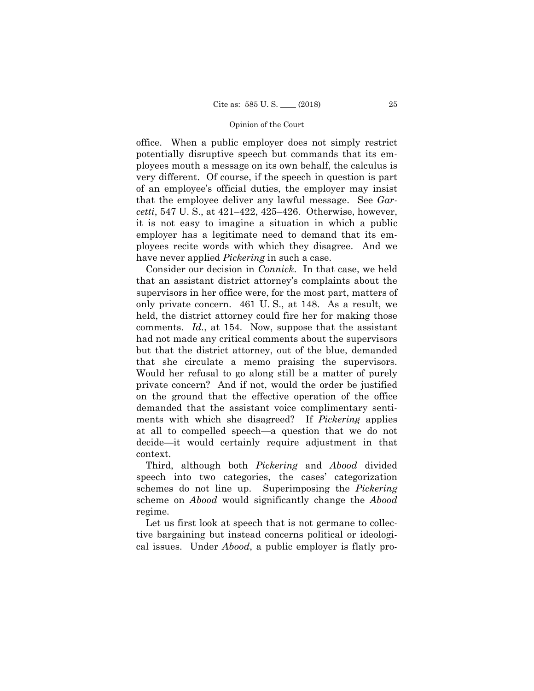office. When a public employer does not simply restrict potentially disruptive speech but commands that its employees mouth a message on its own behalf, the calculus is very different. Of course, if the speech in question is part of an employee's official duties, the employer may insist that the employee deliver any lawful message. See *Garcetti*, 547 U. S., at 421–422, 425–426. Otherwise, however, it is not easy to imagine a situation in which a public employer has a legitimate need to demand that its employees recite words with which they disagree. And we have never applied *Pickering* in such a case.

Consider our decision in *Connick*. In that case, we held that an assistant district attorney's complaints about the supervisors in her office were, for the most part, matters of only private concern. 461 U. S., at 148. As a result, we held, the district attorney could fire her for making those comments. *Id.*, at 154. Now, suppose that the assistant had not made any critical comments about the supervisors but that the district attorney, out of the blue, demanded that she circulate a memo praising the supervisors. Would her refusal to go along still be a matter of purely private concern? And if not, would the order be justified on the ground that the effective operation of the office demanded that the assistant voice complimentary sentiments with which she disagreed? If *Pickering* applies at all to compelled speech—a question that we do not decide—it would certainly require adjustment in that context.

Third, although both *Pickering* and *Abood* divided speech into two categories, the cases' categorization schemes do not line up. Superimposing the *Pickering*  scheme on *Abood* would significantly change the *Abood*  regime.

Let us first look at speech that is not germane to collective bargaining but instead concerns political or ideological issues. Under *Abood*, a public employer is flatly pro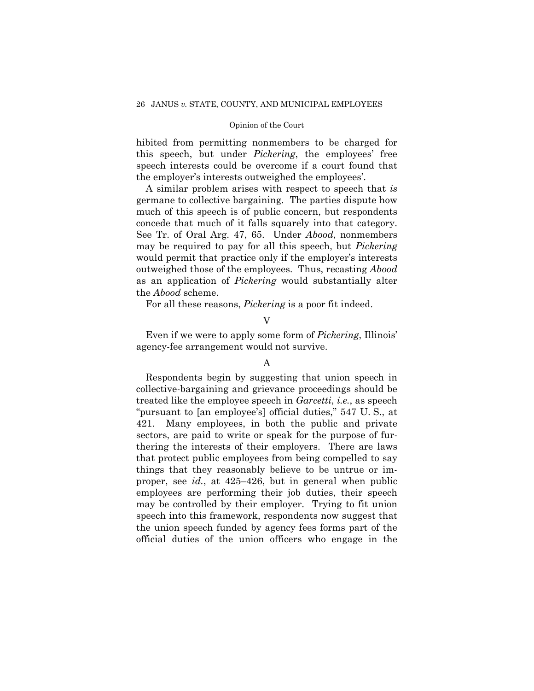hibited from permitting nonmembers to be charged for this speech, but under *Pickering*, the employees' free speech interests could be overcome if a court found that the employer's interests outweighed the employees'.

 concede that much of it falls squarely into that category. A similar problem arises with respect to speech that *is*  germane to collective bargaining. The parties dispute how much of this speech is of public concern, but respondents See Tr. of Oral Arg. 47, 65. Under *Abood*, nonmembers may be required to pay for all this speech, but *Pickering* would permit that practice only if the employer's interests outweighed those of the employees. Thus, recasting *Abood*  as an application of *Pickering* would substantially alter the *Abood* scheme.

For all these reasons, *Pickering* is a poor fit indeed.

# V

Even if we were to apply some form of *Pickering*, Illinois' agency-fee arrangement would not survive.

## A

Respondents begin by suggesting that union speech in collective-bargaining and grievance proceedings should be treated like the employee speech in *Garcetti*, *i.e.*, as speech "pursuant to [an employee's] official duties," 547 U. S., at 421. Many employees, in both the public and private sectors, are paid to write or speak for the purpose of furthering the interests of their employers. There are laws that protect public employees from being compelled to say things that they reasonably believe to be untrue or improper, see *id.*, at 425–426, but in general when public employees are performing their job duties, their speech may be controlled by their employer. Trying to fit union speech into this framework, respondents now suggest that the union speech funded by agency fees forms part of the official duties of the union officers who engage in the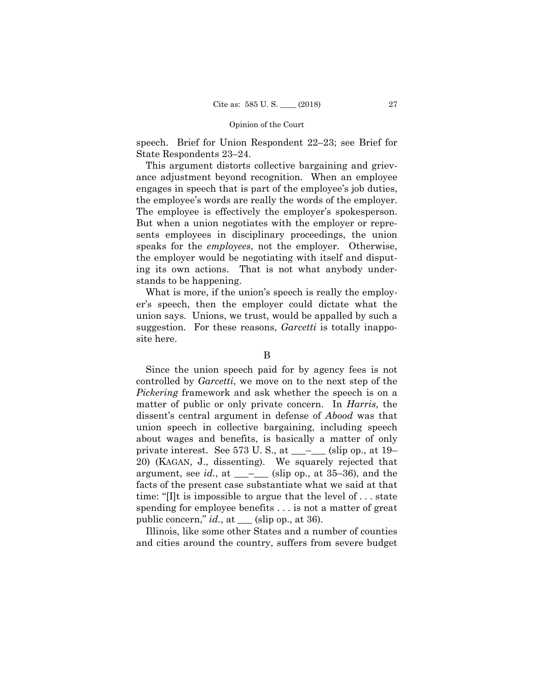speech. Brief for Union Respondent 22–23; see Brief for State Respondents 23–24.

This argument distorts collective bargaining and grievance adjustment beyond recognition. When an employee engages in speech that is part of the employee's job duties, the employee's words are really the words of the employer. The employee is effectively the employer's spokesperson. But when a union negotiates with the employer or represents employees in disciplinary proceedings, the union speaks for the *employees*, not the employer. Otherwise, the employer would be negotiating with itself and disputing its own actions. That is not what anybody understands to be happening.

 union says. Unions, we trust, would be appalled by such a What is more, if the union's speech is really the employer's speech, then the employer could dictate what the suggestion. For these reasons, *Garcetti* is totally inapposite here.

# B

Since the union speech paid for by agency fees is not controlled by *Garcetti*, we move on to the next step of the *Pickering* framework and ask whether the speech is on a matter of public or only private concern. In *Harris*, the dissent's central argument in defense of *Abood* was that union speech in collective bargaining, including speech about wages and benefits, is basically a matter of only private interest. See 573 U.S., at  $\_\_\_\_\_\_$  (slip op., at 19– 20) (KAGAN, J., dissenting). We squarely rejected that argument, see  $id.$ , at  $\_\_\_\_\_$  (slip op., at 35–36), and the facts of the present case substantiate what we said at that time: "[I]t is impossible to argue that the level of . . . state spending for employee benefits . . . is not a matter of great public concern," *id.*, at (slip op., at 36).

Illinois, like some other States and a number of counties and cities around the country, suffers from severe budget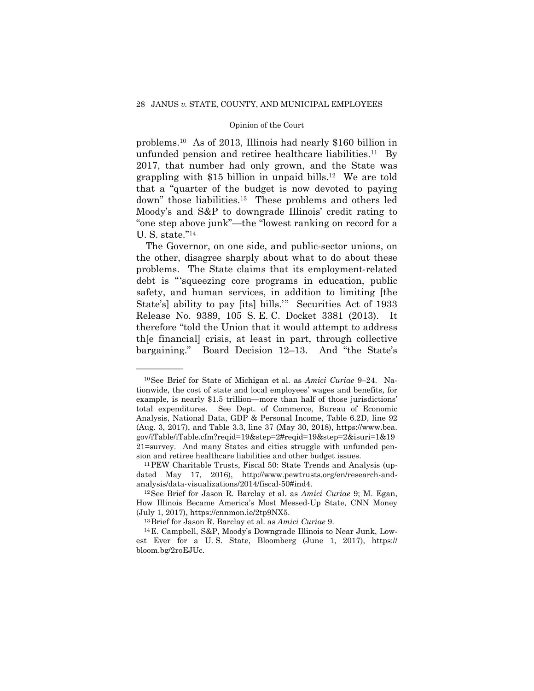problems.10 As of 2013, Illinois had nearly \$160 billion in unfunded pension and retiree healthcare liabilities.<sup>11</sup> By 2017, that number had only grown, and the State was grappling with \$15 billion in unpaid bills.12 We are told that a "quarter of the budget is now devoted to paying down" those liabilities.13 These problems and others led Moody's and S&P to downgrade Illinois' credit rating to "one step above junk"—the "lowest ranking on record for a U. S. state."14

The Governor, on one side, and public-sector unions, on the other, disagree sharply about what to do about these problems. The State claims that its employment-related debt is "'squeezing core programs in education, public safety, and human services, in addition to limiting [the State's] ability to pay [its] bills.'" Securities Act of 1933 Release No. 9389, 105 S. E. C. Docket 3381 (2013). It therefore "told the Union that it would attempt to address th[e financial] crisis, at least in part, through collective bargaining." Board Decision 12–13. And "the State's

<sup>10</sup>See Brief for State of Michigan et al. as *Amici Curiae* 9–24. Nationwide, the cost of state and local employees' wages and benefits, for example, is nearly \$1.5 trillion—more than half of those jurisdictions' total expenditures. See Dept. of Commerce, Bureau of Economic Analysis, National Data, GDP & Personal Income, Table 6.2D, line 92 (Aug. 3, 2017), and Table 3.3, line 37 (May 30, 2018), https://www.bea. gov/iTable/iTable.cfm?reqid=19&step=2#reqid=19&step=2&isuri=1&19 21=survey. And many States and cities struggle with unfunded pension and retiree healthcare liabilities and other budget issues.<br><sup>11</sup>PEW Charitable Trusts, Fiscal 50: State Trends and Analysis (up-

dated May 17, 2016), http://www.pewtrusts.org/en/research-andanalysis/data-visualizations/2014/fiscal-50#ind4. 12See Brief for Jason R. Barclay et al. as *Amici Curiae* 9; M. Egan,

How Illinois Became America's Most Messed-Up State, CNN Money (July 1, 2017), https://cnnmon.ie/2tp9NX5. 13Brief for Jason R. Barclay et al. as *Amici Curiae* 9. 14E. Campbell, S&P, Moody's Downgrade Illinois to Near Junk, Low-

est Ever for a U. S. State, Bloomberg (June 1, 2017), https:// bloom.bg/2roEJUc.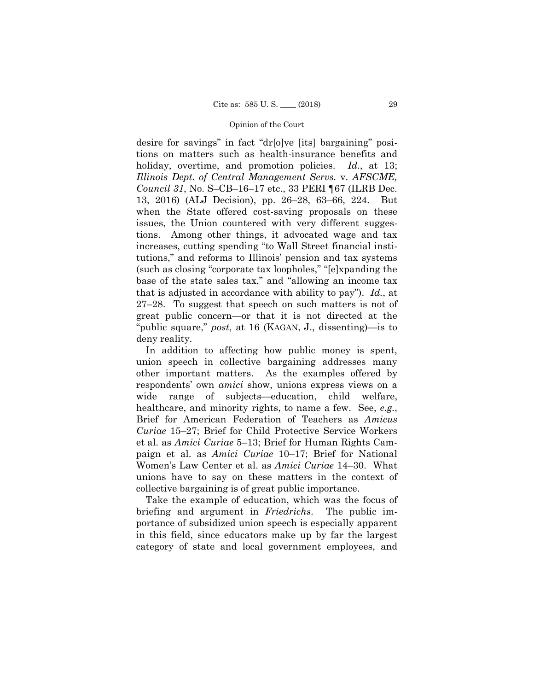holiday, overtime, and promotion policies. *Id.*, at 13; desire for savings" in fact "dr[o]ve [its] bargaining" positions on matters such as health-insurance benefits and *Illinois Dept. of Central Management Servs.* v. *AFSCME, Council 31*, No. S–CB–16–17 etc., 33 PERI ¶67 (ILRB Dec. 13, 2016) (ALJ Decision), pp. 26–28, 63–66, 224. But when the State offered cost-saving proposals on these issues, the Union countered with very different suggestions. Among other things, it advocated wage and tax increases, cutting spending "to Wall Street financial institutions," and reforms to Illinois' pension and tax systems (such as closing "corporate tax loopholes," "[e]xpanding the base of the state sales tax," and "allowing an income tax that is adjusted in accordance with ability to pay"). *Id.*, at 27–28. To suggest that speech on such matters is not of great public concern—or that it is not directed at the "public square," *post*, at 16 (KAGAN, J., dissenting)—is to deny reality.

In addition to affecting how public money is spent, union speech in collective bargaining addresses many other important matters. As the examples offered by respondents' own *amici* show, unions express views on a wide range of subjects—education, child welfare, healthcare, and minority rights, to name a few. See, *e.g.*, Brief for American Federation of Teachers as *Amicus Curiae* 15–27; Brief for Child Protective Service Workers et al. as *Amici Curiae* 5–13; Brief for Human Rights Campaign et al. as *Amici Curiae* 10–17; Brief for National Women's Law Center et al. as *Amici Curiae* 14–30. What unions have to say on these matters in the context of collective bargaining is of great public importance.

Take the example of education, which was the focus of briefing and argument in *Friedrichs*. The public importance of subsidized union speech is especially apparent in this field, since educators make up by far the largest category of state and local government employees, and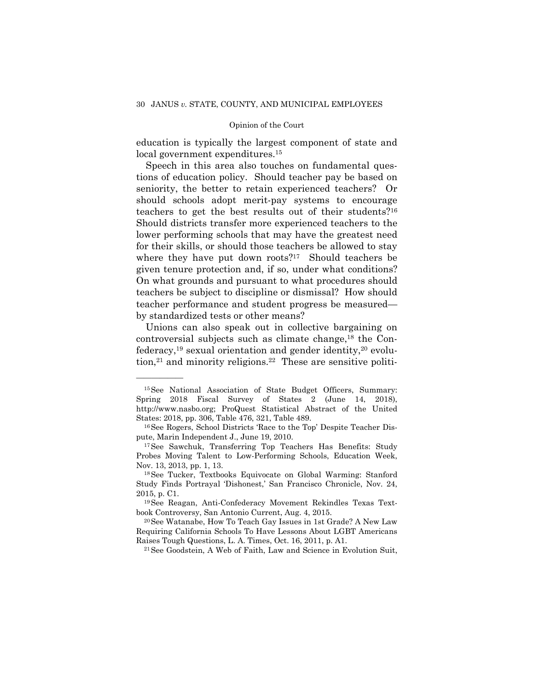education is typically the largest component of state and local government expenditures.<sup>15</sup>

 teachers to get the best results out of their students?16 given tenure protection and, if so, under what conditions? Speech in this area also touches on fundamental questions of education policy. Should teacher pay be based on seniority, the better to retain experienced teachers? Or should schools adopt merit-pay systems to encourage Should districts transfer more experienced teachers to the lower performing schools that may have the greatest need for their skills, or should those teachers be allowed to stay where they have put down roots?<sup>17</sup> Should teachers be On what grounds and pursuant to what procedures should teachers be subject to discipline or dismissal? How should teacher performance and student progress be measured by standardized tests or other means?

Unions can also speak out in collective bargaining on controversial subjects such as climate change,18 the Confederacy,<sup>19</sup> sexual orientation and gender identity,<sup>20</sup> evolution,<sup>21</sup> and minority religions.<sup>22</sup> These are sensitive politi-

<sup>15</sup>See National Association of State Budget Officers, Summary: Spring 2018 Fiscal Survey of States 2 (June 14, 2018), http://www.nasbo.org; ProQuest Statistical Abstract of the United States: 2018, pp. 306, Table 476, 321, Table 489.

<sup>16</sup>See Rogers, School Districts 'Race to the Top' Despite Teacher Dispute, Marin Independent J., June 19, 2010.<br><sup>17</sup>See Sawchuk, Transferring Top Teachers Has Benefits: Study

Probes Moving Talent to Low-Performing Schools, Education Week, Nov. 13, 2013, pp. 1, 13. 18See Tucker, Textbooks Equivocate on Global Warming: Stanford

Study Finds Portrayal 'Dishonest,' San Francisco Chronicle, Nov. 24, 2015, p. C1. 19See Reagan, Anti-Confederacy Movement Rekindles Texas Text-

book Controversy, San Antonio Current, Aug. 4, 2015.<br><sup>20</sup>See Watanabe, How To Teach Gay Issues in 1st Grade? A New Law

Requiring California Schools To Have Lessons About LGBT Americans Raises Tough Questions, L. A. Times, Oct. 16, 2011, p. A1.<br><sup>21</sup>See Goodstein, A Web of Faith, Law and Science in Evolution Suit,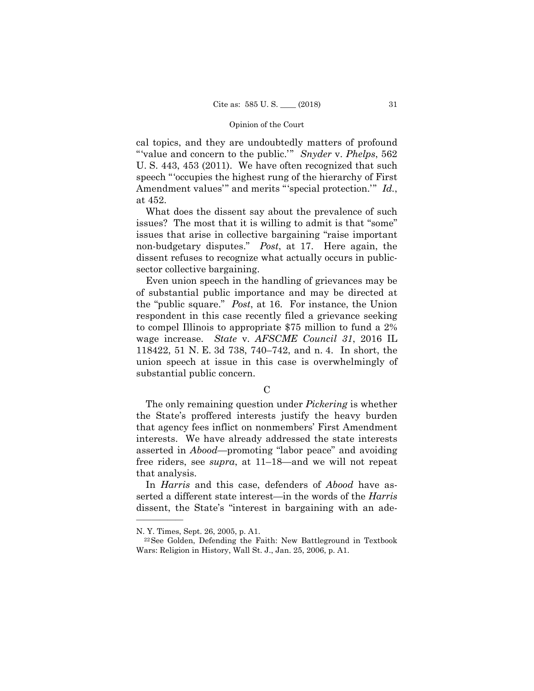cal topics, and they are undoubtedly matters of profound "'value and concern to the public.'" *Snyder* v. *Phelps*, 562 U. S. 443, 453 (2011). We have often recognized that such speech "'occupies the highest rung of the hierarchy of First Amendment values'" and merits "'special protection.'" *Id.*, at 452.

What does the dissent say about the prevalence of such issues? The most that it is willing to admit is that "some" issues that arise in collective bargaining "raise important non-budgetary disputes." *Post*, at 17. Here again, the dissent refuses to recognize what actually occurs in publicsector collective bargaining.

Even union speech in the handling of grievances may be of substantial public importance and may be directed at the "public square." *Post*, at 16. For instance, the Union respondent in this case recently filed a grievance seeking to compel Illinois to appropriate \$75 million to fund a 2% wage increase. *State* v. *AFSCME Council 31*, 2016 IL 118422, 51 N. E. 3d 738, 740–742, and n. 4. In short, the union speech at issue in this case is overwhelmingly of substantial public concern.

### $\mathcal{C}$

The only remaining question under *Pickering* is whether the State's proffered interests justify the heavy burden that agency fees inflict on nonmembers' First Amendment interests. We have already addressed the state interests asserted in *Abood*—promoting "labor peace" and avoiding free riders, see *supra*, at 11–18—and we will not repeat that analysis.

In *Harris* and this case, defenders of *Abood* have asserted a different state interest—in the words of the *Harris*  dissent, the State's "interest in bargaining with an ade

N. Y. Times, Sept. 26, 2005, p. A1.

<sup>22</sup>See Golden, Defending the Faith: New Battleground in Textbook Wars: Religion in History, Wall St. J., Jan. 25, 2006, p. A1.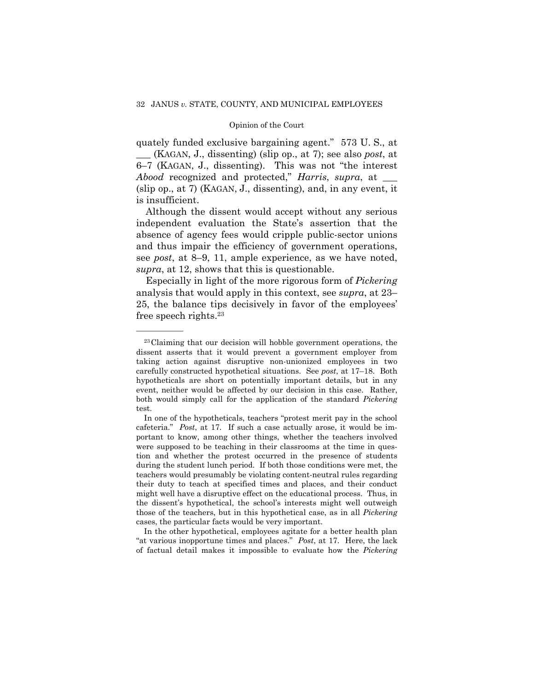quately funded exclusive bargaining agent." 573 U. S., at \_\_\_ (KAGAN, J., dissenting) (slip op., at 7); see also *post*, at 6–7 (KAGAN, J., dissenting). This was not "the interest *Abood* recognized and protected," *Harris*, *supra*, at \_\_\_ (slip op., at 7) (KAGAN, J., dissenting), and, in any event, it is insufficient.

Although the dissent would accept without any serious independent evaluation the State's assertion that the absence of agency fees would cripple public-sector unions and thus impair the efficiency of government operations, see *post*, at 8–9, 11, ample experience, as we have noted, *supra*, at 12, shows that this is questionable.

Especially in light of the more rigorous form of *Pickering*  analysis that would apply in this context, see *supra*, at 23– 25, the balance tips decisively in favor of the employees' free speech rights.23

——————

 "at various inopportune times and places." *Post*, at 17. Here, the lack In the other hypothetical, employees agitate for a better health plan of factual detail makes it impossible to evaluate how the *Pickering* 

<sup>23</sup>Claiming that our decision will hobble government operations, the dissent asserts that it would prevent a government employer from taking action against disruptive non-unionized employees in two carefully constructed hypothetical situations. See *post*, at 17–18. Both hypotheticals are short on potentially important details, but in any event, neither would be affected by our decision in this case. Rather, both would simply call for the application of the standard *Pickering*  test.

 cafeteria." *Post*, at 17. If such a case actually arose, it would be im-In one of the hypotheticals, teachers "protest merit pay in the school portant to know, among other things, whether the teachers involved were supposed to be teaching in their classrooms at the time in question and whether the protest occurred in the presence of students during the student lunch period. If both those conditions were met, the teachers would presumably be violating content-neutral rules regarding their duty to teach at specified times and places, and their conduct might well have a disruptive effect on the educational process. Thus, in the dissent's hypothetical, the school's interests might well outweigh those of the teachers, but in this hypothetical case, as in all *Pickering*  cases, the particular facts would be very important.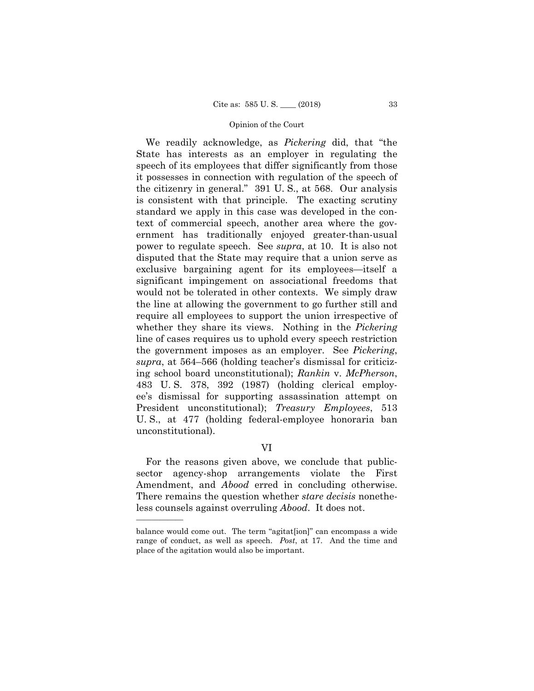We readily acknowledge, as *Pickering* did, that "the State has interests as an employer in regulating the speech of its employees that differ significantly from those it possesses in connection with regulation of the speech of the citizenry in general." 391 U. S., at 568. Our analysis is consistent with that principle. The exacting scrutiny standard we apply in this case was developed in the context of commercial speech, another area where the government has traditionally enjoyed greater-than-usual power to regulate speech. See *supra*, at 10. It is also not disputed that the State may require that a union serve as exclusive bargaining agent for its employees—itself a significant impingement on associational freedoms that would not be tolerated in other contexts. We simply draw the line at allowing the government to go further still and require all employees to support the union irrespective of whether they share its views. Nothing in the *Pickering* line of cases requires us to uphold every speech restriction the government imposes as an employer. See *Pickering*, *supra*, at 564–566 (holding teacher's dismissal for criticizing school board unconstitutional); *Rankin* v. *McPherson*, 483 U. S. 378, 392 (1987) (holding clerical employee's dismissal for supporting assassination attempt on President unconstitutional); *Treasury Employees*, 513 U. S., at 477 (holding federal-employee honoraria ban unconstitutional).

# VI

For the reasons given above, we conclude that publicsector agency-shop arrangements violate the First Amendment, and *Abood* erred in concluding otherwise. There remains the question whether *stare decisis* nonetheless counsels against overruling *Abood*. It does not.

——————

balance would come out. The term "agitat[ion]" can encompass a wide range of conduct, as well as speech. *Post*, at 17. And the time and place of the agitation would also be important.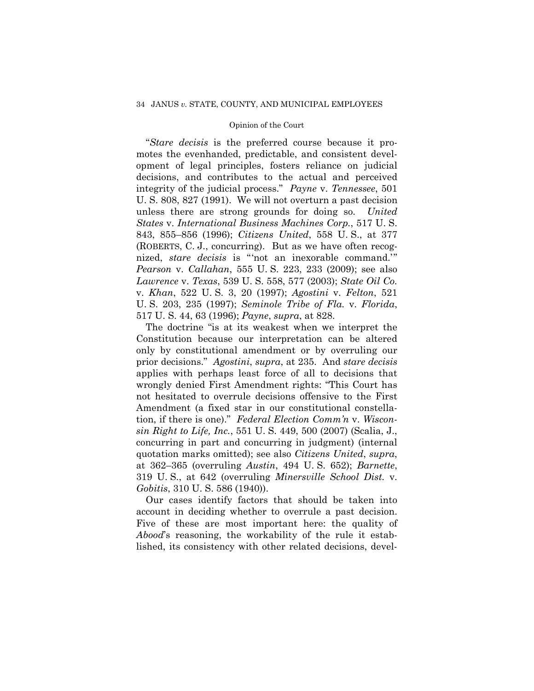"*Stare decisis* is the preferred course because it promotes the evenhanded, predictable, and consistent development of legal principles, fosters reliance on judicial decisions, and contributes to the actual and perceived integrity of the judicial process." *Payne* v. *Tennessee*, 501 U. S. 808, 827 (1991). We will not overturn a past decision unless there are strong grounds for doing so. *United States* v. *International Business Machines Corp.*, 517 U. S. 843, 855–856 (1996); *Citizens United*, 558 U. S., at 377 (ROBERTS, C. J., concurring). But as we have often recognized, *stare decisis* is "'not an inexorable command.'" *Pearson* v. *Callahan*, 555 U. S. 223, 233 (2009); see also *Lawrence* v. *Texas*, 539 U. S. 558, 577 (2003); *State Oil Co.*  v. *Khan*, 522 U. S. 3, 20 (1997); *Agostini* v. *Felton*, 521 U. S. 203, 235 (1997); *Seminole Tribe of Fla.* v. *Florida*, 517 U. S. 44, 63 (1996); *Payne*, *supra*, at 828.

The doctrine "is at its weakest when we interpret the Constitution because our interpretation can be altered only by constitutional amendment or by overruling our prior decisions." *Agostini*, *supra*, at 235. And *stare decisis*  applies with perhaps least force of all to decisions that wrongly denied First Amendment rights: "This Court has not hesitated to overrule decisions offensive to the First Amendment (a fixed star in our constitutional constellation, if there is one)." *Federal Election Comm'n* v. *Wisconsin Right to Life, Inc.*, 551 U. S. 449, 500 (2007) (Scalia, J., concurring in part and concurring in judgment) (internal quotation marks omitted); see also *Citizens United*, *supra*, at 362–365 (overruling *Austin*, 494 U. S. 652); *Barnette*, 319 U. S., at 642 (overruling *Minersville School Dist.* v. *Gobitis*, 310 U. S. 586 (1940)).

Our cases identify factors that should be taken into account in deciding whether to overrule a past decision. Five of these are most important here: the quality of *Abood*'s reasoning, the workability of the rule it established, its consistency with other related decisions, devel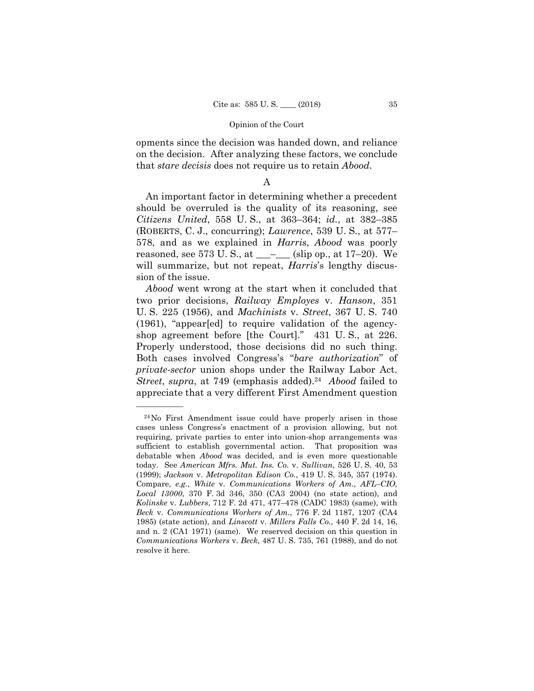opments since the decision was handed down, and reliance on the decision. After analyzing these factors, we conclude that *stare decisis* does not require us to retain *Abood*.

# A

An important factor in determining whether a precedent should be overruled is the quality of its reasoning, see *Citizens United*, 558 U. S., at 363–364; *id.*, at 382–385 (ROBERTS, C. J., concurring); *Lawrence*, 539 U. S., at 577– 578, and as we explained in *Harris*, *Abood* was poorly reasoned, see 573 U.S., at  $\_\_\_\_\_$  (slip op., at 17–20). We will summarize, but not repeat, *Harris*'s lengthy discussion of the issue.

*Street*, *supra*, at 749 (emphasis added).<sup>24</sup> *Abood* failed to *Abood* went wrong at the start when it concluded that two prior decisions, *Railway Employes* v. *Hanson*, 351 U. S. 225 (1956), and *Machinists* v. *Street*, 367 U. S. 740 (1961), "appear[ed] to require validation of the agencyshop agreement before [the Court]." 431 U. S., at 226. Properly understood, those decisions did no such thing. Both cases involved Congress's "*bare authorization*" of *private-sector* union shops under the Railway Labor Act. appreciate that a very different First Amendment question

——————

<sup>24</sup>No First Amendment issue could have properly arisen in those cases unless Congress's enactment of a provision allowing, but not requiring, private parties to enter into union-shop arrangements was sufficient to establish governmental action. That proposition was debatable when *Abood* was decided, and is even more questionable today. See *American Mfrs. Mut. Ins. Co.* v. *Sullivan*, 526 U. S. 40, 53 (1999); *Jackson* v. *Metropolitan Edison Co.*, 419 U. S. 345, 357 (1974). Compare, *e.g.*, *White* v. *Communications Workers of Am., AFL–CIO, Local 13000*, 370 F. 3d 346, 350 (CA3 2004) (no state action), and *Kolinske* v. *Lubbers*, 712 F. 2d 471, 477–478 (CADC 1983) (same), with *Beck* v. *Communications Workers of Am.*, 776 F. 2d 1187, 1207 (CA4 1985) (state action), and *Linscott* v. *Millers Falls Co.*, 440 F. 2d 14, 16, and n. 2 (CA1 1971) (same). We reserved decision on this question in *Communications Workers* v. *Beck*, 487 U. S. 735, 761 (1988), and do not resolve it here.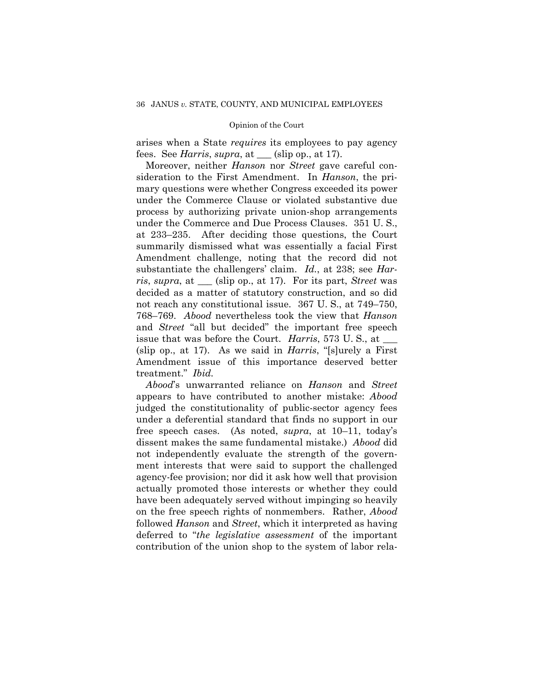arises when a State *requires* its employees to pay agency fees. See *Harris*, *supra*, at \_\_\_ (slip op., at 17).

 Moreover, neither *Hanson* nor *Street* gave careful consideration to the First Amendment. In *Hanson*, the primary questions were whether Congress exceeded its power under the Commerce Clause or violated substantive due process by authorizing private union-shop arrangements under the Commerce and Due Process Clauses. 351 U. S., at 233–235. After deciding those questions, the Court summarily dismissed what was essentially a facial First Amendment challenge, noting that the record did not substantiate the challengers' claim. *Id.*, at 238; see *Harris*, *supra*, at \_\_\_ (slip op., at 17). For its part, *Street* was decided as a matter of statutory construction, and so did not reach any constitutional issue. 367 U. S., at 749–750, 768–769. *Abood* nevertheless took the view that *Hanson*  and *Street* "all but decided" the important free speech issue that was before the Court. *Harris*, 573 U. S., at \_\_\_ (slip op., at 17). As we said in *Harris*, "[s]urely a First Amendment issue of this importance deserved better treatment." *Ibid.* 

*Abood*'s unwarranted reliance on *Hanson* and *Street*  appears to have contributed to another mistake: *Abood*  judged the constitutionality of public-sector agency fees under a deferential standard that finds no support in our free speech cases. (As noted, *supra*, at 10–11, today's dissent makes the same fundamental mistake.) *Abood* did not independently evaluate the strength of the government interests that were said to support the challenged agency-fee provision; nor did it ask how well that provision actually promoted those interests or whether they could have been adequately served without impinging so heavily on the free speech rights of nonmembers. Rather, *Abood*  followed *Hanson* and *Street*, which it interpreted as having deferred to "*the legislative assessment* of the important contribution of the union shop to the system of labor rela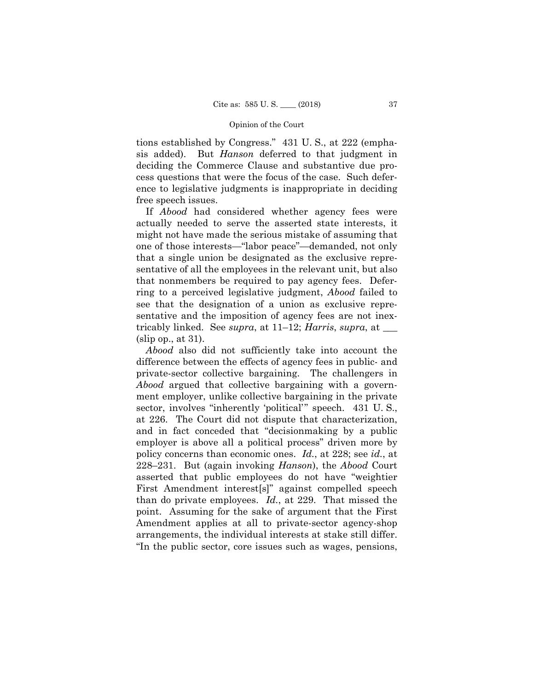tions established by Congress." 431 U. S., at 222 (emphasis added). But *Hanson* deferred to that judgment in deciding the Commerce Clause and substantive due process questions that were the focus of the case. Such deference to legislative judgments is inappropriate in deciding free speech issues.

If *Abood* had considered whether agency fees were actually needed to serve the asserted state interests, it might not have made the serious mistake of assuming that one of those interests—"labor peace"—demanded, not only that a single union be designated as the exclusive representative of all the employees in the relevant unit, but also that nonmembers be required to pay agency fees. Deferring to a perceived legislative judgment, *Abood* failed to see that the designation of a union as exclusive representative and the imposition of agency fees are not inextricably linked. See *supra*, at 11–12; *Harris*, *supra*, at \_\_\_ (slip op., at 31).

*Abood* also did not sufficiently take into account the difference between the effects of agency fees in public- and private-sector collective bargaining. The challengers in *Abood* argued that collective bargaining with a government employer, unlike collective bargaining in the private sector, involves "inherently 'political'" speech. 431 U.S., at 226. The Court did not dispute that characterization, and in fact conceded that "decisionmaking by a public employer is above all a political process" driven more by policy concerns than economic ones. *Id.*, at 228; see *id.*, at 228–231. But (again invoking *Hanson*), the *Abood* Court asserted that public employees do not have "weightier First Amendment interest[s]" against compelled speech than do private employees. *Id.*, at 229. That missed the point. Assuming for the sake of argument that the First Amendment applies at all to private-sector agency-shop arrangements, the individual interests at stake still differ. "In the public sector, core issues such as wages, pensions,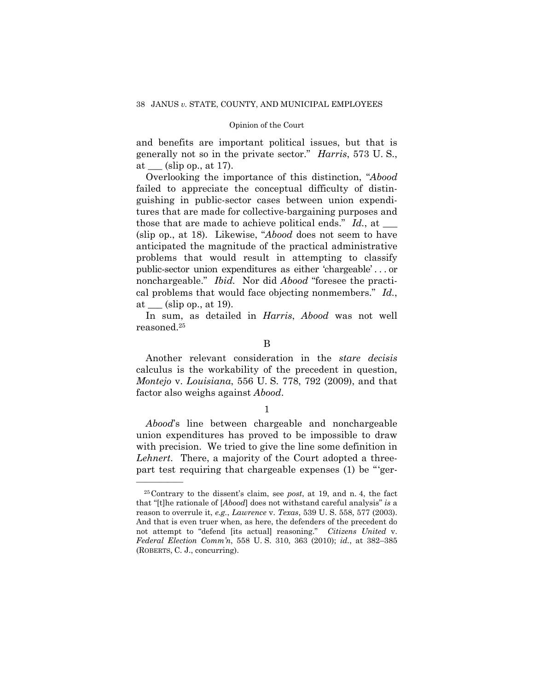and benefits are important political issues, but that is generally not so in the private sector." *Harris*, 573 U. S., at  $\_\_\$  (slip op., at 17).

 problems that would result in attempting to classify Overlooking the importance of this distinction, "*Abood*  failed to appreciate the conceptual difficulty of distinguishing in public-sector cases between union expenditures that are made for collective-bargaining purposes and those that are made to achieve political ends." *Id.*, at \_\_\_ (slip op., at 18). Likewise, "*Abood* does not seem to have anticipated the magnitude of the practical administrative public-sector union expenditures as either 'chargeable' . . . or nonchargeable." *Ibid.* Nor did *Abood* "foresee the practical problems that would face objecting nonmembers." *Id.*, at  $\_\_\$  (slip op., at 19).

In sum, as detailed in *Harris*, *Abood* was not well reasoned.25

# B

Another relevant consideration in the *stare decisis*  calculus is the workability of the precedent in question, *Montejo* v. *Louisiana*, 556 U. S. 778, 792 (2009), and that factor also weighs against *Abood*.

# 1

*Abood*'s line between chargeable and nonchargeable union expenditures has proved to be impossible to draw with precision. We tried to give the line some definition in *Lehnert*. There, a majority of the Court adopted a threepart test requiring that chargeable expenses (1) be "'ger

——————

 25Contrary to the dissent's claim, see *post*, at 19, and n. 4, the fact that "[t]he rationale of [*Abood*] does not withstand careful analysis" *is* a reason to overrule it, *e.g.*, *Lawrence* v. *Texas*, 539 U. S. 558, 577 (2003). And that is even truer when, as here, the defenders of the precedent do not attempt to "defend [its actual] reasoning." *Citizens United* v. *Federal Election Comm'n*, 558 U. S. 310, 363 (2010); *id.*, at 382–385 (ROBERTS, C. J., concurring).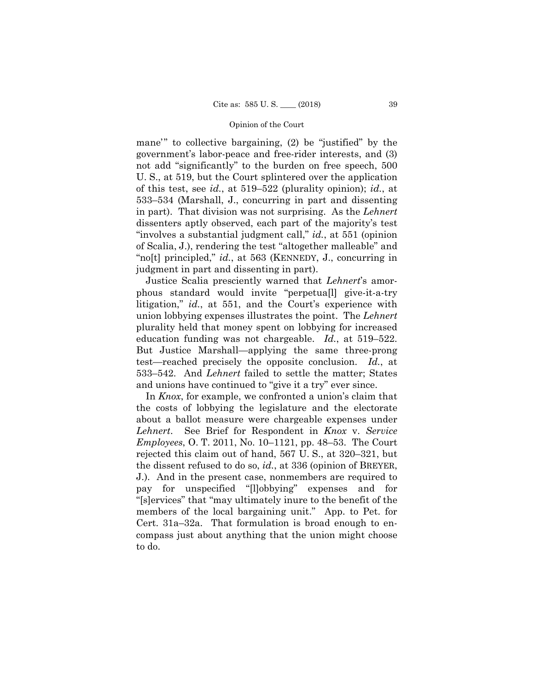mane'" to collective bargaining, (2) be "justified" by the government's labor-peace and free-rider interests, and (3) not add "significantly" to the burden on free speech, 500 U. S., at 519, but the Court splintered over the application of this test, see *id.*, at 519–522 (plurality opinion); *id.*, at 533–534 (Marshall, J., concurring in part and dissenting in part). That division was not surprising. As the *Lehnert*  dissenters aptly observed, each part of the majority's test "involves a substantial judgment call," *id.*, at 551 (opinion of Scalia, J.), rendering the test "altogether malleable" and "no[t] principled," *id.*, at 563 (KENNEDY, J., concurring in judgment in part and dissenting in part).

Justice Scalia presciently warned that *Lehnert*'s amorphous standard would invite "perpetua[l] give-it-a-try litigation," *id.*, at 551, and the Court's experience with union lobbying expenses illustrates the point. The *Lehnert*  plurality held that money spent on lobbying for increased education funding was not chargeable. *Id.*, at 519–522. But Justice Marshall—applying the same three-prong test—reached precisely the opposite conclusion. *Id.*, at 533–542. And *Lehnert* failed to settle the matter; States and unions have continued to "give it a try" ever since.

In *Knox*, for example, we confronted a union's claim that the costs of lobbying the legislature and the electorate about a ballot measure were chargeable expenses under *Lehnert*. See Brief for Respondent in *Knox* v. *Service Employees*, O. T. 2011, No. 10–1121, pp. 48–53. The Court rejected this claim out of hand, 567 U. S., at 320–321, but the dissent refused to do so, *id.*, at 336 (opinion of BREYER, J.). And in the present case, nonmembers are required to pay for unspecified "[l]obbying" expenses and for "[s]ervices" that "may ultimately inure to the benefit of the members of the local bargaining unit." App. to Pet. for Cert. 31a–32a. That formulation is broad enough to encompass just about anything that the union might choose to do.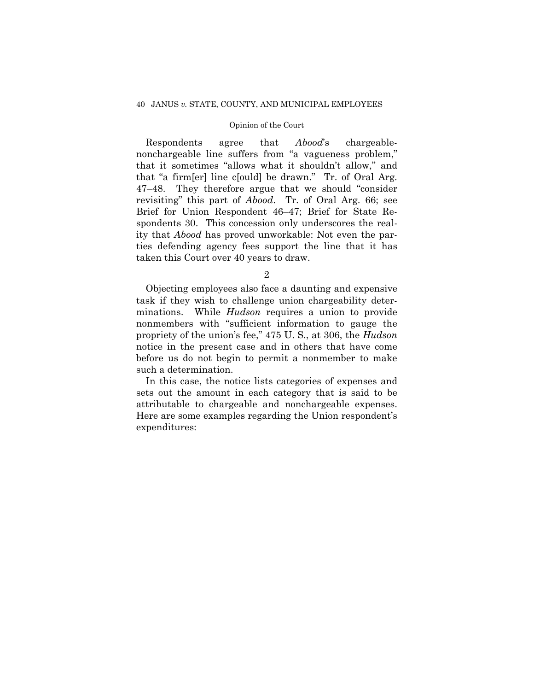## 40 JANUS *v.* STATE, COUNTY, AND MUNICIPAL EMPLOYEES

# Opinion of the Court

Respondents agree that *Abood*'s chargeablenonchargeable line suffers from "a vagueness problem," that it sometimes "allows what it shouldn't allow," and that "a firm[er] line c[ould] be drawn." Tr. of Oral Arg. 47–48. They therefore argue that we should "consider revisiting" this part of *Abood*. Tr. of Oral Arg. 66; see Brief for Union Respondent 46–47; Brief for State Respondents 30. This concession only underscores the reality that *Abood* has proved unworkable: Not even the parties defending agency fees support the line that it has taken this Court over 40 years to draw.

2

Objecting employees also face a daunting and expensive task if they wish to challenge union chargeability determinations. While *Hudson* requires a union to provide nonmembers with "sufficient information to gauge the propriety of the union's fee," 475 U. S., at 306, the *Hudson*  notice in the present case and in others that have come before us do not begin to permit a nonmember to make such a determination.

 attributable to chargeable and nonchargeable expenses. In this case, the notice lists categories of expenses and sets out the amount in each category that is said to be Here are some examples regarding the Union respondent's expenditures: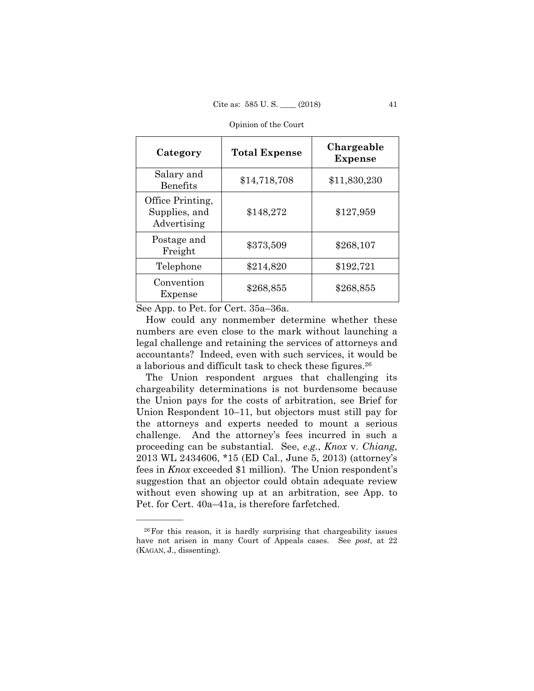| Category                                         | <b>Total Expense</b> | Chargeable<br><b>Expense</b> |
|--------------------------------------------------|----------------------|------------------------------|
| Salary and<br><b>Benefits</b>                    | \$14,718,708         | \$11,830,230                 |
| Office Printing,<br>Supplies, and<br>Advertising | \$148,272            | \$127,959                    |
| Postage and<br>Freight                           | \$373,509            | \$268,107                    |
| Telephone                                        | \$214,820            | \$192,721                    |
| Convention<br>Expense                            | \$268,855            | \$268,855                    |

See App. to Pet. for Cert. 35a–36a.

——————

How could any nonmember determine whether these numbers are even close to the mark without launching a legal challenge and retaining the services of attorneys and accountants? Indeed, even with such services, it would be a laborious and difficult task to check these figures.26

The Union respondent argues that challenging its chargeability determinations is not burdensome because the Union pays for the costs of arbitration, see Brief for Union Respondent 10–11, but objectors must still pay for the attorneys and experts needed to mount a serious challenge. And the attorney's fees incurred in such a proceeding can be substantial. See, *e.g.*, *Knox* v. *Chiang*, 2013 WL 2434606, \*15 (ED Cal., June 5, 2013) (attorney's fees in *Knox* exceeded \$1 million). The Union respondent's suggestion that an objector could obtain adequate review without even showing up at an arbitration, see App. to Pet. for Cert. 40a–41a, is therefore farfetched.

<sup>26</sup>For this reason, it is hardly surprising that chargeability issues have not arisen in many Court of Appeals cases. See *post*, at 22 (KAGAN, J., dissenting).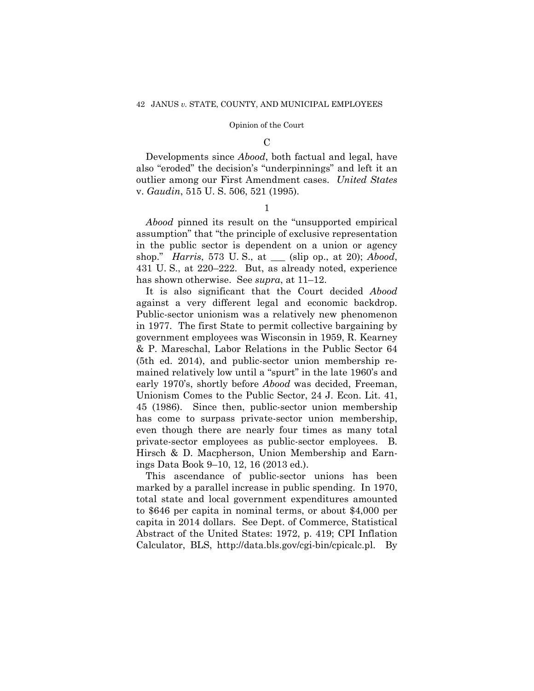### $\mathcal{C}$

 Developments since *Abood*, both factual and legal, have also "eroded" the decision's "underpinnings" and left it an outlier among our First Amendment cases. *United States*  v. *Gaudin*, 515 U. S. 506, 521 (1995).

1

*Abood* pinned its result on the "unsupported empirical assumption" that "the principle of exclusive representation in the public sector is dependent on a union or agency shop." *Harris*, 573 U. S., at \_\_\_ (slip op., at 20); *Abood*, 431 U. S., at 220–222. But, as already noted, experience has shown otherwise. See *supra*, at 11–12.

It is also significant that the Court decided *Abood*  against a very different legal and economic backdrop. Public-sector unionism was a relatively new phenomenon in 1977. The first State to permit collective bargaining by government employees was Wisconsin in 1959, R. Kearney & P. Mareschal, Labor Relations in the Public Sector 64 (5th ed. 2014), and public-sector union membership remained relatively low until a "spurt" in the late 1960's and early 1970's, shortly before *Abood* was decided, Freeman, Unionism Comes to the Public Sector, 24 J. Econ. Lit. 41, 45 (1986). Since then, public-sector union membership has come to surpass private-sector union membership, even though there are nearly four times as many total private-sector employees as public-sector employees. B. Hirsch & D. Macpherson, Union Membership and Earnings Data Book 9–10, 12, 16 (2013 ed.).

This ascendance of public-sector unions has been marked by a parallel increase in public spending. In 1970, total state and local government expenditures amounted to \$646 per capita in nominal terms, or about \$4,000 per capita in 2014 dollars. See Dept. of Commerce, Statistical Abstract of the United States: 1972, p. 419; CPI Inflation Calculator, BLS, http://data.bls.gov/cgi-bin/cpicalc.pl. By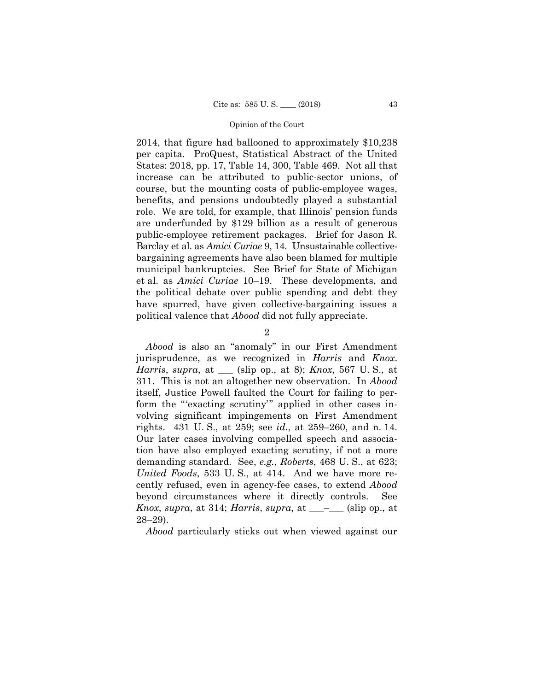2014, that figure had ballooned to approximately \$10,238 per capita. ProQuest, Statistical Abstract of the United States: 2018, pp. 17, Table 14, 300, Table 469. Not all that increase can be attributed to public-sector unions, of course, but the mounting costs of public-employee wages, benefits, and pensions undoubtedly played a substantial role. We are told, for example, that Illinois' pension funds are underfunded by \$129 billion as a result of generous public-employee retirement packages. Brief for Jason R. Barclay et al. as *Amici Curiae* 9, 14. Unsustainable collectivebargaining agreements have also been blamed for multiple municipal bankruptcies. See Brief for State of Michigan et al. as *Amici Curiae* 10–19. These developments, and the political debate over public spending and debt they have spurred, have given collective-bargaining issues a political valence that *Abood* did not fully appreciate.

2

*Abood* is also an "anomaly" in our First Amendment jurisprudence, as we recognized in *Harris* and *Knox*. *Harris*, *supra*, at \_\_\_ (slip op., at 8); *Knox*, 567 U. S., at 311. This is not an altogether new observation. In *Abood*  itself, Justice Powell faulted the Court for failing to perform the "'exacting scrutiny'" applied in other cases involving significant impingements on First Amendment rights. 431 U. S., at 259; see *id.*, at 259–260, and n. 14. Our later cases involving compelled speech and association have also employed exacting scrutiny, if not a more demanding standard. See, *e.g.*, *Roberts*, 468 U. S., at 623; *United Foods*, 533 U. S., at 414. And we have more recently refused, even in agency-fee cases, to extend *Abood*  beyond circumstances where it directly controls. See *Knox*, *supra*, at 314; *Harris*, *supra*, at \_\_\_–\_\_\_ (slip op., at 28–29).

*Abood* particularly sticks out when viewed against our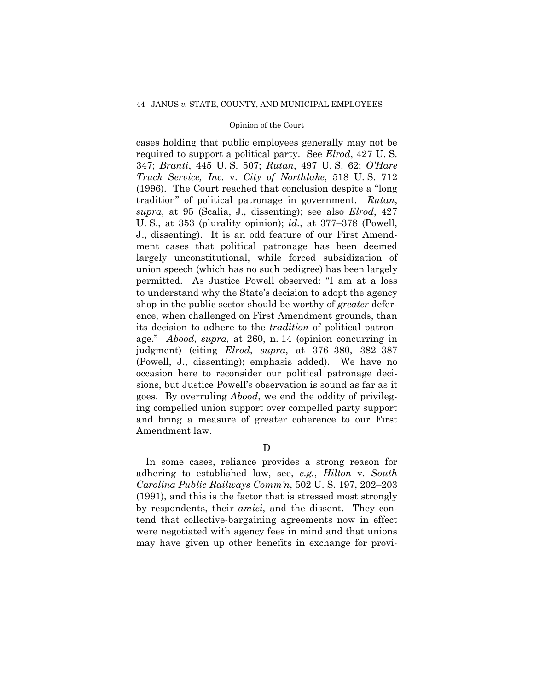## 44 JANUS *v.* STATE, COUNTY, AND MUNICIPAL EMPLOYEES

### Opinion of the Court

permitted. As Justice Powell observed: "I am at a loss cases holding that public employees generally may not be required to support a political party. See *Elrod*, 427 U. S. 347; *Branti*, 445 U. S. 507; *Rutan*, 497 U. S. 62; *O'Hare Truck Service, Inc.* v. *City of Northlake*, 518 U. S. 712 (1996). The Court reached that conclusion despite a "long tradition" of political patronage in government. *Rutan*, *supra*, at 95 (Scalia, J., dissenting); see also *Elrod*, 427 U. S., at 353 (plurality opinion); *id.*, at 377–378 (Powell, J., dissenting). It is an odd feature of our First Amendment cases that political patronage has been deemed largely unconstitutional, while forced subsidization of union speech (which has no such pedigree) has been largely to understand why the State's decision to adopt the agency shop in the public sector should be worthy of *greater* deference, when challenged on First Amendment grounds, than its decision to adhere to the *tradition* of political patronage." *Abood*, *supra*, at 260, n. 14 (opinion concurring in judgment) (citing *Elrod*, *supra*, at 376–380, 382–387 (Powell, J., dissenting); emphasis added). We have no occasion here to reconsider our political patronage decisions, but Justice Powell's observation is sound as far as it goes. By overruling *Abood*, we end the oddity of privileging compelled union support over compelled party support and bring a measure of greater coherence to our First Amendment law.

D

In some cases, reliance provides a strong reason for adhering to established law, see, *e.g.*, *Hilton* v. *South Carolina Public Railways Comm'n*, 502 U. S. 197, 202–203 (1991), and this is the factor that is stressed most strongly by respondents, their *amici*, and the dissent. They contend that collective-bargaining agreements now in effect were negotiated with agency fees in mind and that unions may have given up other benefits in exchange for provi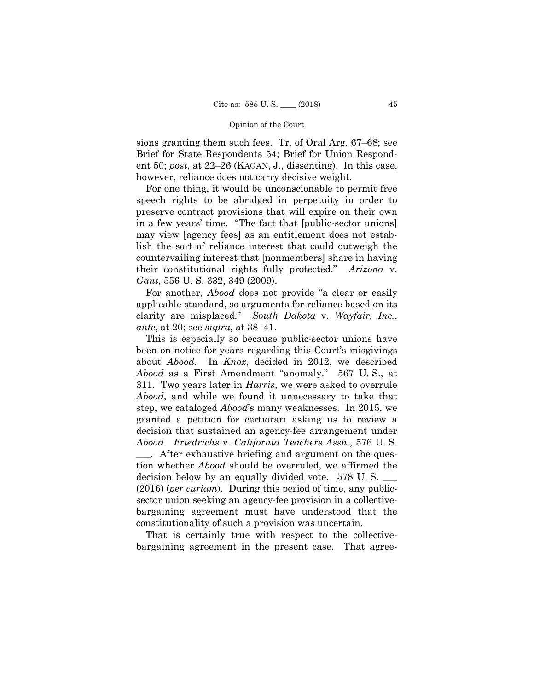sions granting them such fees. Tr. of Oral Arg. 67–68; see Brief for State Respondents 54; Brief for Union Respondent 50; *post*, at 22–26 (KAGAN, J., dissenting). In this case, however, reliance does not carry decisive weight.

 their constitutional rights fully protected." *Arizona* v. For one thing, it would be unconscionable to permit free speech rights to be abridged in perpetuity in order to preserve contract provisions that will expire on their own in a few years' time. "The fact that [public-sector unions] may view [agency fees] as an entitlement does not establish the sort of reliance interest that could outweigh the countervailing interest that [nonmembers] share in having *Gant*, 556 U. S. 332, 349 (2009).

 For another, *Abood* does not provide "a clear or easily applicable standard, so arguments for reliance based on its clarity are misplaced." *South Dakota* v. *Wayfair, Inc.*, *ante*, at 20; see *supra*, at 38–41.

 *Abood*. *Friedrichs* v. *California Teachers Assn.*, 576 U. S. This is especially so because public-sector unions have been on notice for years regarding this Court's misgivings about *Abood*. In *Knox*, decided in 2012, we described *Abood* as a First Amendment "anomaly." 567 U. S., at 311. Two years later in *Harris*, we were asked to overrule *Abood*, and while we found it unnecessary to take that step, we cataloged *Abood*'s many weaknesses. In 2015, we granted a petition for certiorari asking us to review a decision that sustained an agency-fee arrangement under \_\_\_. After exhaustive briefing and argument on the question whether *Abood* should be overruled, we affirmed the decision below by an equally divided vote. 578 U.S. (2016) (*per curiam*). During this period of time, any publicsector union seeking an agency-fee provision in a collectivebargaining agreement must have understood that the

constitutionality of such a provision was uncertain. That is certainly true with respect to the collectivebargaining agreement in the present case. That agree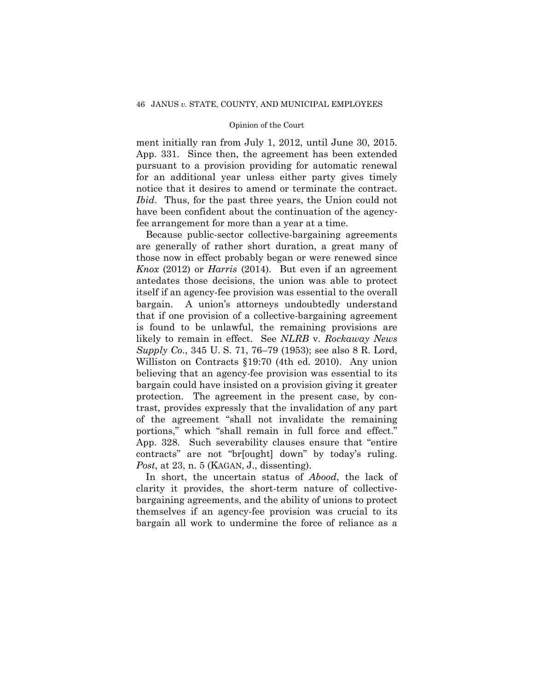notice that it desires to amend or terminate the contract. ment initially ran from July 1, 2012, until June 30, 2015. App. 331. Since then, the agreement has been extended pursuant to a provision providing for automatic renewal for an additional year unless either party gives timely *Ibid*. Thus, for the past three years, the Union could not have been confident about the continuation of the agencyfee arrangement for more than a year at a time.

 contracts" are not "br[ought] down" by today's ruling. Because public-sector collective-bargaining agreements are generally of rather short duration, a great many of those now in effect probably began or were renewed since *Knox* (2012) or *Harris* (2014). But even if an agreement antedates those decisions, the union was able to protect itself if an agency-fee provision was essential to the overall bargain. A union's attorneys undoubtedly understand that if one provision of a collective-bargaining agreement is found to be unlawful, the remaining provisions are likely to remain in effect. See *NLRB* v. *Rockaway News Supply Co.*, 345 U. S. 71, 76–79 (1953); see also 8 R. Lord, Williston on Contracts §19:70 (4th ed. 2010). Any union believing that an agency-fee provision was essential to its bargain could have insisted on a provision giving it greater protection. The agreement in the present case, by contrast, provides expressly that the invalidation of any part of the agreement "shall not invalidate the remaining portions," which "shall remain in full force and effect." App. 328. Such severability clauses ensure that "entire *Post*, at 23, n. 5 (KAGAN, J., dissenting).

 bargain all work to undermine the force of reliance as a In short, the uncertain status of *Abood*, the lack of clarity it provides, the short-term nature of collectivebargaining agreements, and the ability of unions to protect themselves if an agency-fee provision was crucial to its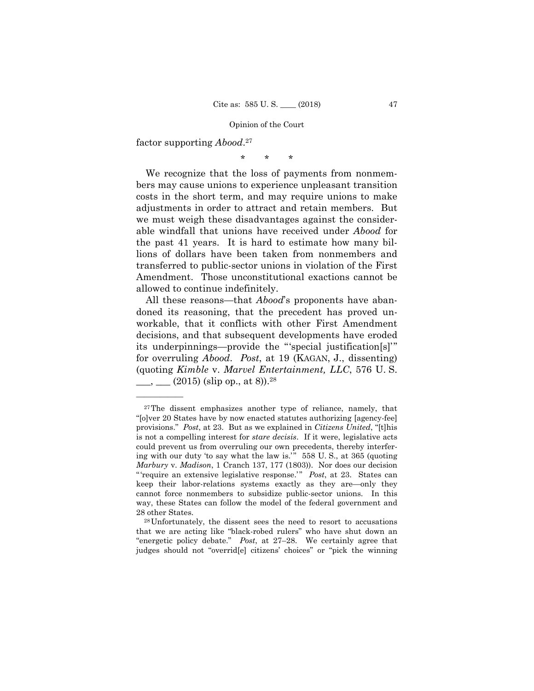factor supporting *Abood*.27

——————

\* \* \*

We recognize that the loss of payments from nonmembers may cause unions to experience unpleasant transition costs in the short term, and may require unions to make adjustments in order to attract and retain members. But we must weigh these disadvantages against the considerable windfall that unions have received under *Abood* for the past 41 years. It is hard to estimate how many billions of dollars have been taken from nonmembers and transferred to public-sector unions in violation of the First Amendment. Those unconstitutional exactions cannot be allowed to continue indefinitely.

All these reasons—that *Abood*'s proponents have abandoned its reasoning, that the precedent has proved unworkable, that it conflicts with other First Amendment decisions, and that subsequent developments have eroded its underpinnings—provide the "'special justification[s]'" for overruling *Abood*. *Post*, at 19 (KAGAN, J., dissenting) (quoting *Kimble* v. *Marvel Entertainment, LLC*, 576 U. S.  $\frac{1}{2}$ ,  $\frac{2015}{15}$  (slip op., at 8)).<sup>28</sup>

<sup>27</sup>The dissent emphasizes another type of reliance, namely, that "[o]ver 20 States have by now enacted statutes authorizing [agency-fee] provisions." *Post*, at 23. But as we explained in *Citizens United*, "[t]his is not a compelling interest for *stare decisis*. If it were, legislative acts could prevent us from overruling our own precedents, thereby interfering with our duty 'to say what the law is.'" 558 U.S., at 365 (quoting *Marbury* v. *Madison*, 1 Cranch 137, 177 (1803)). Nor does our decision " 'require an extensive legislative response.'" Post, at 23. States can keep their labor-relations systems exactly as they are—only they cannot force nonmembers to subsidize public-sector unions. In this way, these States can follow the model of the federal government and 28 other States.<br><sup>28</sup>Unfortunately, the dissent sees the need to resort to accusations

 "energetic policy debate." *Post*, at 27–28. We certainly agree that that we are acting like "black-robed rulers" who have shut down an judges should not "overrid[e] citizens' choices" or "pick the winning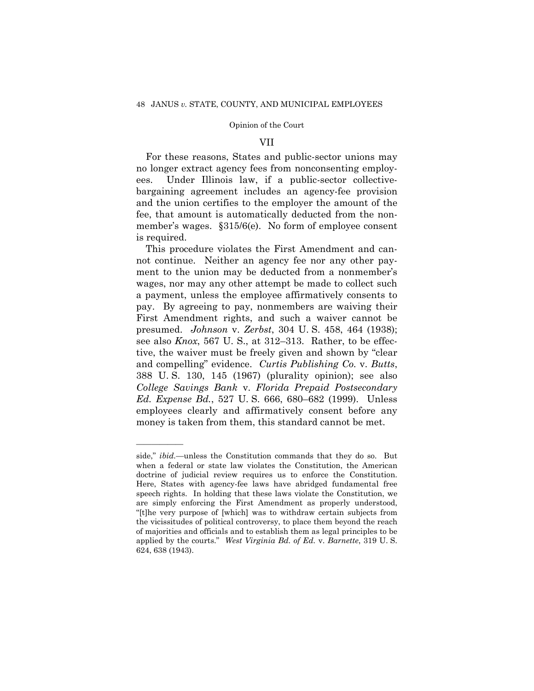### VII

For these reasons, States and public-sector unions may no longer extract agency fees from nonconsenting employees. Under Illinois law, if a public-sector collectivebargaining agreement includes an agency-fee provision and the union certifies to the employer the amount of the fee, that amount is automatically deducted from the nonmember's wages. §315/6(e). No form of employee consent is required.

This procedure violates the First Amendment and cannot continue. Neither an agency fee nor any other payment to the union may be deducted from a nonmember's wages, nor may any other attempt be made to collect such a payment, unless the employee affirmatively consents to pay. By agreeing to pay, nonmembers are waiving their First Amendment rights, and such a waiver cannot be presumed. *Johnson* v. *Zerbst*, 304 U. S. 458, 464 (1938); see also *Knox*, 567 U. S., at 312–313. Rather, to be effective, the waiver must be freely given and shown by "clear and compelling" evidence. *Curtis Publishing Co.* v. *Butts*, 388 U. S. 130, 145 (1967) (plurality opinion); see also *College Savings Bank* v. *Florida Prepaid Postsecondary Ed. Expense Bd.*, 527 U. S. 666, 680–682 (1999). Unless employees clearly and affirmatively consent before any money is taken from them, this standard cannot be met.

——————

doctrine of judicial review requires us to enforce the Constitution. side," *ibid.*—unless the Constitution commands that they do so. But when a federal or state law violates the Constitution, the American Here, States with agency-fee laws have abridged fundamental free speech rights. In holding that these laws violate the Constitution, we are simply enforcing the First Amendment as properly understood, "[t]he very purpose of [which] was to withdraw certain subjects from the vicissitudes of political controversy, to place them beyond the reach of majorities and officials and to establish them as legal principles to be applied by the courts." *West Virginia Bd. of Ed.* v. *Barnette*, 319 U. S. 624, 638 (1943).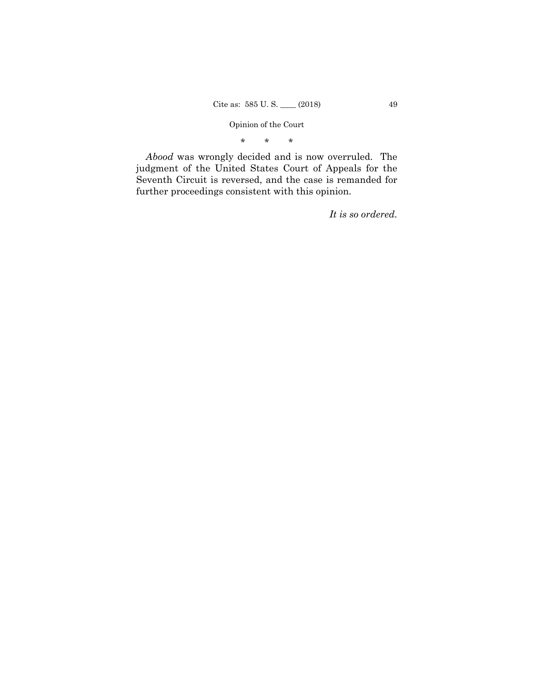\* \* \*

*Abood* was wrongly decided and is now overruled. The judgment of the United States Court of Appeals for the Seventh Circuit is reversed, and the case is remanded for further proceedings consistent with this opinion.

*It is so ordered.*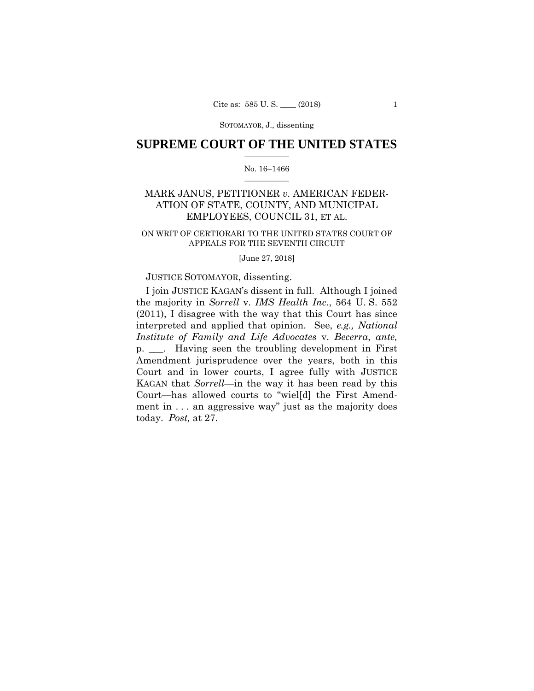SOTOMAYOR, J., dissenting

# $\frac{1}{2}$  ,  $\frac{1}{2}$  ,  $\frac{1}{2}$  ,  $\frac{1}{2}$  ,  $\frac{1}{2}$  ,  $\frac{1}{2}$  ,  $\frac{1}{2}$ **SUPREME COURT OF THE UNITED STATES**

# $\frac{1}{2}$  ,  $\frac{1}{2}$  ,  $\frac{1}{2}$  ,  $\frac{1}{2}$  ,  $\frac{1}{2}$  ,  $\frac{1}{2}$ No. 16–1466

# MARK JANUS, PETITIONER *v.* AMERICAN FEDER-ATION OF STATE, COUNTY, AND MUNICIPAL EMPLOYEES, COUNCIL 31, ET AL.

# ON WRIT OF CERTIORARI TO THE UNITED STATES COURT OF APPEALS FOR THE SEVENTH CIRCUIT

[June 27, 2018]

# JUSTICE SOTOMAYOR, dissenting.

I join JUSTICE KAGAN's dissent in full. Although I joined the majority in *Sorrell* v. *IMS Health Inc.*, 564 U. S. 552 (2011), I disagree with the way that this Court has since interpreted and applied that opinion. See, *e.g., National Institute of Family and Life Advocates* v. *Becerra*, *ante,* p. \_\_\_. Having seen the troubling development in First Amendment jurisprudence over the years, both in this Court and in lower courts, I agree fully with JUSTICE KAGAN that *Sorrell*—in the way it has been read by this Court—has allowed courts to "wiel[d] the First Amendment in . . . an aggressive way" just as the majority does today. *Post,* at 27.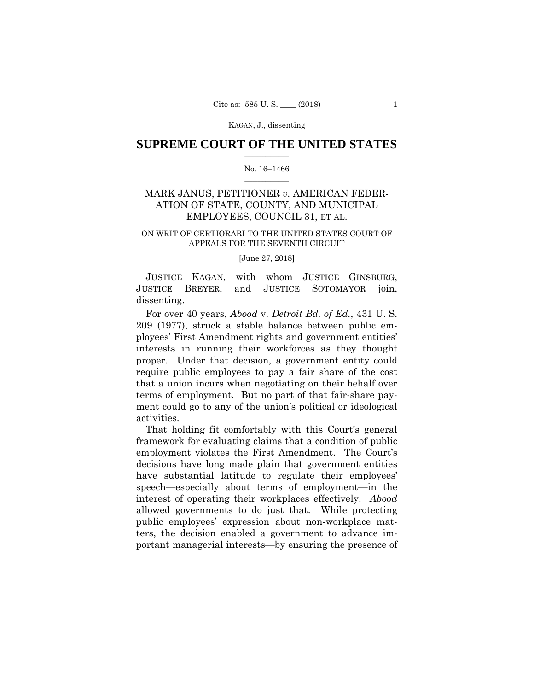# $\frac{1}{2}$  ,  $\frac{1}{2}$  ,  $\frac{1}{2}$  ,  $\frac{1}{2}$  ,  $\frac{1}{2}$  ,  $\frac{1}{2}$  ,  $\frac{1}{2}$ **SUPREME COURT OF THE UNITED STATES**

### $\frac{1}{2}$  ,  $\frac{1}{2}$  ,  $\frac{1}{2}$  ,  $\frac{1}{2}$  ,  $\frac{1}{2}$  ,  $\frac{1}{2}$ No. 16–1466

# MARK JANUS, PETITIONER *v.* AMERICAN FEDER-ATION OF STATE, COUNTY, AND MUNICIPAL EMPLOYEES, COUNCIL 31, ET AL.

# ON WRIT OF CERTIORARI TO THE UNITED STATES COURT OF APPEALS FOR THE SEVENTH CIRCUIT

### [June 27, 2018]

JUSTICE KAGAN, with whom JUSTICE GINSBURG, JUSTICE BREYER, and JUSTICE SOTOMAYOR join, dissenting.

For over 40 years, *Abood* v. *Detroit Bd. of Ed.*, 431 U. S. 209 (1977), struck a stable balance between public employees' First Amendment rights and government entities' interests in running their workforces as they thought proper. Under that decision, a government entity could require public employees to pay a fair share of the cost that a union incurs when negotiating on their behalf over terms of employment. But no part of that fair-share payment could go to any of the union's political or ideological activities.

That holding fit comfortably with this Court's general framework for evaluating claims that a condition of public employment violates the First Amendment. The Court's decisions have long made plain that government entities have substantial latitude to regulate their employees' speech—especially about terms of employment—in the interest of operating their workplaces effectively. *Abood*  allowed governments to do just that. While protecting public employees' expression about non-workplace matters, the decision enabled a government to advance important managerial interests—by ensuring the presence of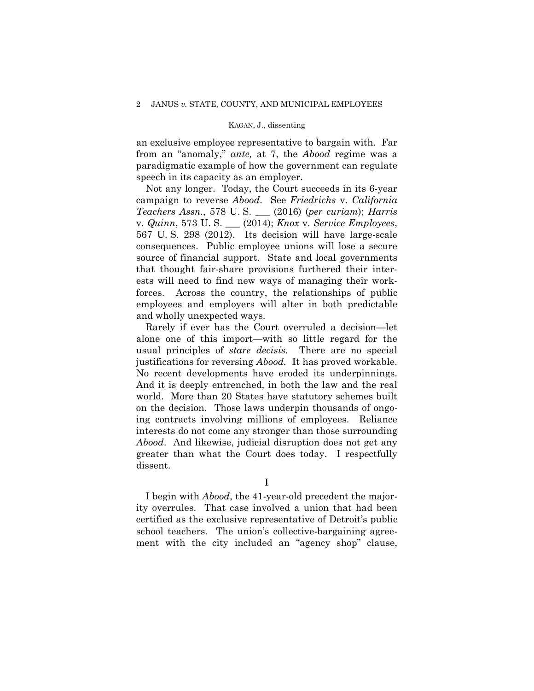an exclusive employee representative to bargain with. Far from an "anomaly," *ante,* at 7, the *Abood* regime was a paradigmatic example of how the government can regulate speech in its capacity as an employer.

Not any longer. Today, the Court succeeds in its 6-year campaign to reverse *Abood*. See *Friedrichs* v. *California Teachers Assn.*, 578 U. S. \_\_\_ (2016) (*per curiam*); *Harris*  v. *Quinn*, 573 U. S. \_\_\_ (2014); *Knox* v. *Service Employees*, 567 U. S. 298 (2012). Its decision will have large-scale consequences. Public employee unions will lose a secure source of financial support. State and local governments that thought fair-share provisions furthered their interests will need to find new ways of managing their workforces. Across the country, the relationships of public employees and employers will alter in both predictable and wholly unexpected ways.

 justifications for reversing *Abood.* It has proved workable. Rarely if ever has the Court overruled a decision—let alone one of this import—with so little regard for the usual principles of *stare decisis*. There are no special No recent developments have eroded its underpinnings. And it is deeply entrenched, in both the law and the real world. More than 20 States have statutory schemes built on the decision. Those laws underpin thousands of ongoing contracts involving millions of employees. Reliance interests do not come any stronger than those surrounding *Abood*. And likewise, judicial disruption does not get any greater than what the Court does today. I respectfully dissent.

I

I begin with *Abood*, the 41-year-old precedent the majority overrules. That case involved a union that had been certified as the exclusive representative of Detroit's public school teachers. The union's collective-bargaining agreement with the city included an "agency shop" clause,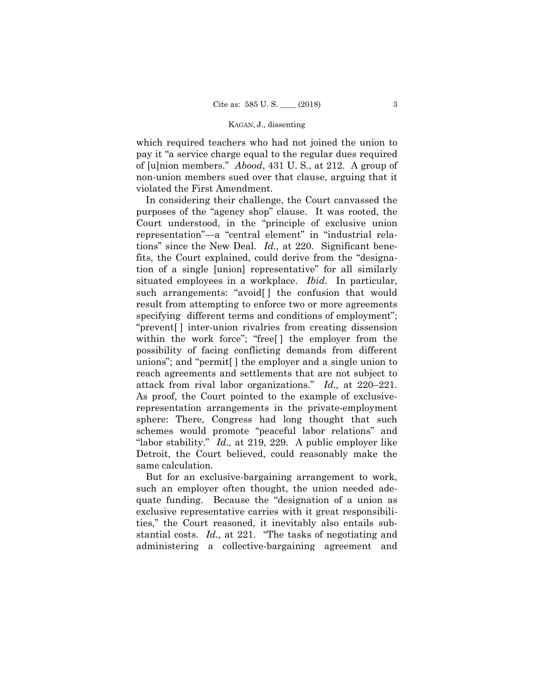which required teachers who had not joined the union to pay it "a service charge equal to the regular dues required of [u]nion members." *Abood*, 431 U. S., at 212. A group of non-union members sued over that clause, arguing that it violated the First Amendment.

In considering their challenge, the Court canvassed the purposes of the "agency shop" clause. It was rooted, the Court understood, in the "principle of exclusive union representation"—a "central element" in "industrial relations" since the New Deal. *Id.,* at 220. Significant benefits, the Court explained, could derive from the "designation of a single [union] representative" for all similarly situated employees in a workplace. *Ibid.* In particular, such arrangements: "avoid[] the confusion that would result from attempting to enforce two or more agreements specifying different terms and conditions of employment"; "prevent[ ] inter-union rivalries from creating dissension within the work force"; "free[] the employer from the possibility of facing conflicting demands from different unions"; and "permit[ ] the employer and a single union to reach agreements and settlements that are not subject to attack from rival labor organizations." *Id.,* at 220–221. As proof, the Court pointed to the example of exclusiverepresentation arrangements in the private-employment sphere: There, Congress had long thought that such schemes would promote "peaceful labor relations" and "labor stability." *Id.,* at 219, 229. A public employer like Detroit, the Court believed, could reasonably make the same calculation.

But for an exclusive-bargaining arrangement to work, such an employer often thought, the union needed adequate funding. Because the "designation of a union as exclusive representative carries with it great responsibilities," the Court reasoned, it inevitably also entails substantial costs. *Id.,* at 221. "The tasks of negotiating and administering a collective-bargaining agreement and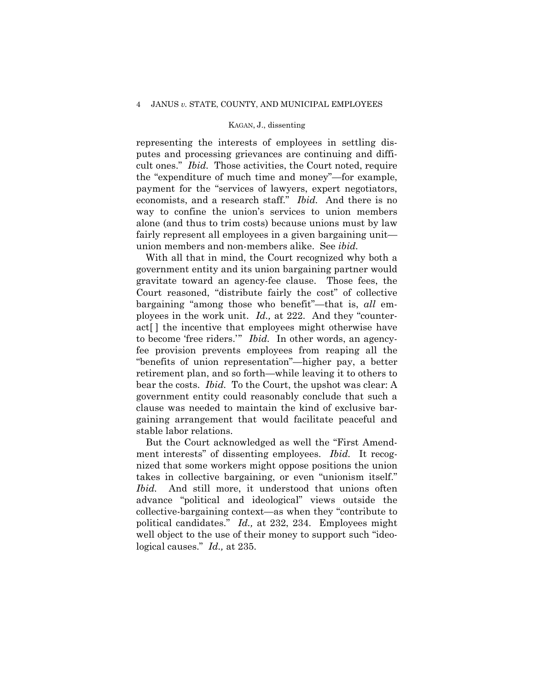economists, and a research staff." *Ibid.* And there is no representing the interests of employees in settling disputes and processing grievances are continuing and difficult ones." *Ibid.* Those activities, the Court noted, require the "expenditure of much time and money"—for example, payment for the "services of lawyers, expert negotiators, way to confine the union's services to union members alone (and thus to trim costs) because unions must by law fairly represent all employees in a given bargaining unit union members and non-members alike. See *ibid.* 

With all that in mind, the Court recognized why both a government entity and its union bargaining partner would gravitate toward an agency-fee clause. Those fees, the Court reasoned, "distribute fairly the cost" of collective bargaining "among those who benefit"—that is, *all* employees in the work unit. *Id.,* at 222. And they "counteract[ ] the incentive that employees might otherwise have to become 'free riders.'" *Ibid.* In other words, an agencyfee provision prevents employees from reaping all the "benefits of union representation"—higher pay, a better retirement plan, and so forth—while leaving it to others to bear the costs. *Ibid.* To the Court, the upshot was clear: A government entity could reasonably conclude that such a clause was needed to maintain the kind of exclusive bargaining arrangement that would facilitate peaceful and stable labor relations.

 takes in collective bargaining, or even "unionism itself." But the Court acknowledged as well the "First Amendment interests" of dissenting employees. *Ibid.* It recognized that some workers might oppose positions the union *Ibid.* And still more, it understood that unions often advance "political and ideological" views outside the collective-bargaining context—as when they "contribute to political candidates." *Id.,* at 232, 234. Employees might well object to the use of their money to support such "ideological causes." *Id.,* at 235.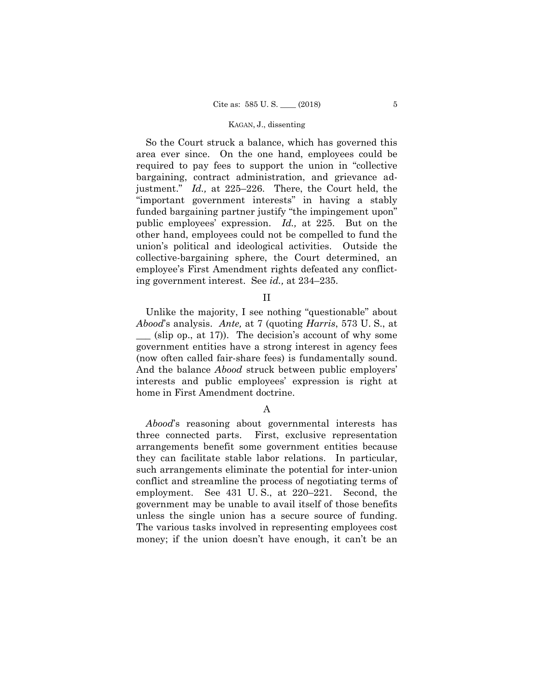So the Court struck a balance, which has governed this area ever since. On the one hand, employees could be required to pay fees to support the union in "collective bargaining, contract administration, and grievance adjustment." *Id.,* at 225–226. There, the Court held, the "important government interests" in having a stably funded bargaining partner justify "the impingement upon" public employees' expression. *Id.,* at 225. But on the other hand, employees could not be compelled to fund the union's political and ideological activities. Outside the collective-bargaining sphere, the Court determined, an employee's First Amendment rights defeated any conflicting government interest. See *id.,* at 234–235.

# II

Unlike the majority, I see nothing "questionable" about *Abood*'s analysis. *Ante,* at 7 (quoting *Harris*, 573 U. S., at  $\equiv$  (slip op., at 17). The decision's account of why some government entities have a strong interest in agency fees (now often called fair-share fees) is fundamentally sound. And the balance *Abood* struck between public employers' interests and public employees' expression is right at home in First Amendment doctrine.

# A

*Abood*'s reasoning about governmental interests has three connected parts. First, exclusive representation arrangements benefit some government entities because they can facilitate stable labor relations. In particular, such arrangements eliminate the potential for inter-union conflict and streamline the process of negotiating terms of employment. See 431 U. S., at 220–221. Second, the government may be unable to avail itself of those benefits unless the single union has a secure source of funding. The various tasks involved in representing employees cost money; if the union doesn't have enough, it can't be an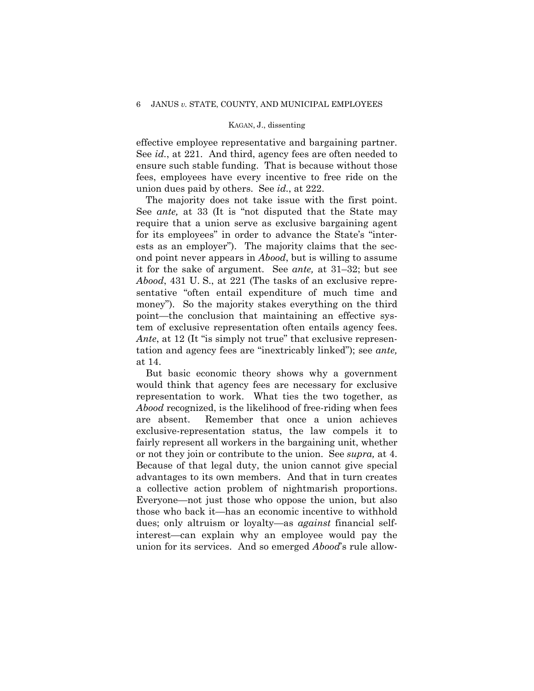effective employee representative and bargaining partner. See *id.*, at 221. And third, agency fees are often needed to ensure such stable funding. That is because without those fees, employees have every incentive to free ride on the union dues paid by others. See *id.*, at 222.

 The majority does not take issue with the first point. See *ante,* at 33 (It is "not disputed that the State may require that a union serve as exclusive bargaining agent for its employees" in order to advance the State's "interests as an employer"). The majority claims that the second point never appears in *Abood*, but is willing to assume it for the sake of argument. See *ante,* at 31–32; but see *Abood*, 431 U. S., at 221 (The tasks of an exclusive representative "often entail expenditure of much time and money"). So the majority stakes everything on the third point—the conclusion that maintaining an effective system of exclusive representation often entails agency fees. *Ante*, at 12 (It "is simply not true" that exclusive representation and agency fees are "inextricably linked"); see *ante,*  at 14.

 a collective action problem of nightmarish proportions. But basic economic theory shows why a government would think that agency fees are necessary for exclusive representation to work. What ties the two together, as *Abood* recognized, is the likelihood of free-riding when fees are absent. Remember that once a union achieves exclusive-representation status, the law compels it to fairly represent all workers in the bargaining unit, whether or not they join or contribute to the union. See *supra,* at 4. Because of that legal duty, the union cannot give special advantages to its own members. And that in turn creates Everyone—not just those who oppose the union, but also those who back it—has an economic incentive to withhold dues; only altruism or loyalty—as *against* financial selfinterest—can explain why an employee would pay the union for its services. And so emerged *Abood*'s rule allow-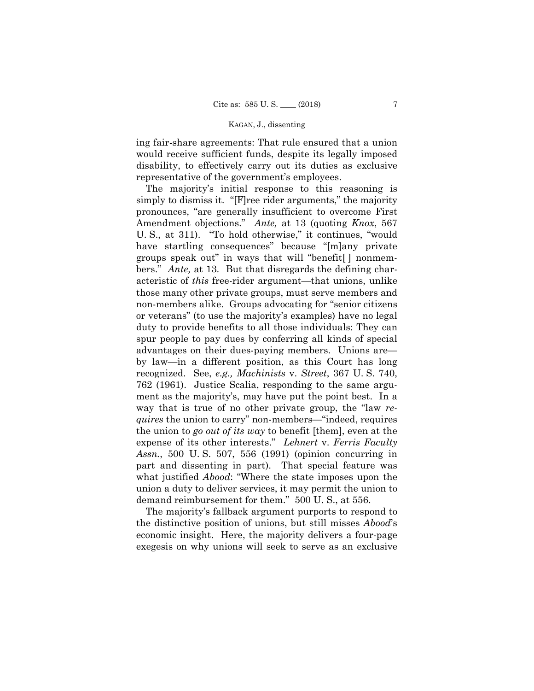ing fair-share agreements: That rule ensured that a union would receive sufficient funds, despite its legally imposed disability, to effectively carry out its duties as exclusive representative of the government's employees.

The majority's initial response to this reasoning is simply to dismiss it. "[F]ree rider arguments," the majority pronounces, "are generally insufficient to overcome First Amendment objections." *Ante,* at 13 (quoting *Knox*, 567 U. S., at 311). "To hold otherwise," it continues, "would have startling consequences" because "[m]any private groups speak out" in ways that will "benefit[ ] nonmembers." *Ante,* at 13*.* But that disregards the defining characteristic of *this* free-rider argument—that unions, unlike those many other private groups, must serve members and non-members alike. Groups advocating for "senior citizens or veterans" (to use the majority's examples) have no legal duty to provide benefits to all those individuals: They can spur people to pay dues by conferring all kinds of special advantages on their dues-paying members. Unions are by law—in a different position, as this Court has long recognized. See, *e.g., Machinists* v. *Street*, 367 U. S. 740, 762 (1961). Justice Scalia, responding to the same argument as the majority's, may have put the point best. In a way that is true of no other private group, the "law *requires* the union to carry" non-members—"indeed, requires the union to *go out of its way* to benefit [them], even at the expense of its other interests." *Lehnert* v. *Ferris Faculty Assn.*, 500 U. S. 507, 556 (1991) (opinion concurring in part and dissenting in part). That special feature was what justified *Abood*: "Where the state imposes upon the union a duty to deliver services, it may permit the union to demand reimbursement for them." 500 U. S., at 556.

The majority's fallback argument purports to respond to the distinctive position of unions, but still misses *Abood*'s economic insight. Here, the majority delivers a four-page exegesis on why unions will seek to serve as an exclusive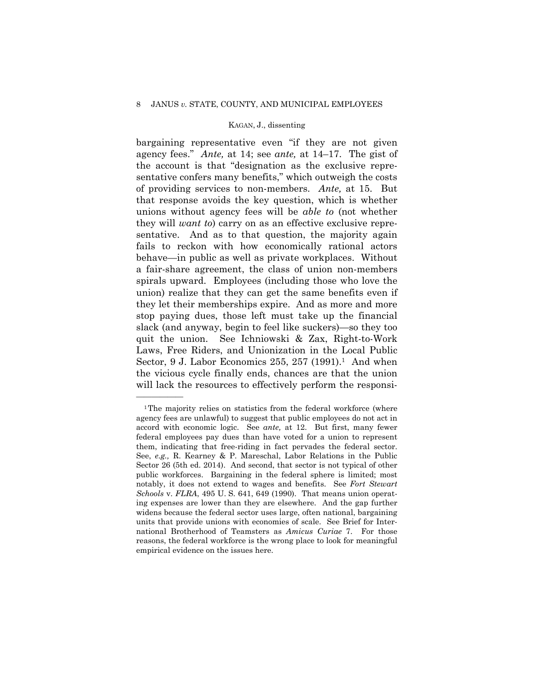# 8 JANUS *v.* STATE, COUNTY, AND MUNICIPAL EMPLOYEES

### KAGAN, J., dissenting

Sector,  $9$  J. Labor Economics 255, 257 (1991).<sup>1</sup> And when bargaining representative even "if they are not given agency fees." *Ante,* at 14; see *ante,* at 14–17. The gist of the account is that "designation as the exclusive representative confers many benefits," which outweigh the costs of providing services to non-members. *Ante,* at 15. But that response avoids the key question, which is whether unions without agency fees will be *able to* (not whether they will *want to*) carry on as an effective exclusive representative. And as to that question, the majority again fails to reckon with how economically rational actors behave—in public as well as private workplaces. Without a fair-share agreement, the class of union non-members spirals upward. Employees (including those who love the union) realize that they can get the same benefits even if they let their memberships expire. And as more and more stop paying dues, those left must take up the financial slack (and anyway, begin to feel like suckers)—so they too quit the union. See Ichniowski & Zax, Right-to-Work Laws, Free Riders, and Unionization in the Local Public the vicious cycle finally ends, chances are that the union will lack the resources to effectively perform the responsi-

——————

<sup>&</sup>lt;sup>1</sup>The majority relies on statistics from the federal workforce (where agency fees are unlawful) to suggest that public employees do not act in accord with economic logic. See *ante,* at 12. But first, many fewer federal employees pay dues than have voted for a union to represent them, indicating that free-riding in fact pervades the federal sector. See, *e.g.,* R. Kearney & P. Mareschal, Labor Relations in the Public Sector 26 (5th ed. 2014). And second, that sector is not typical of other public workforces. Bargaining in the federal sphere is limited; most notably, it does not extend to wages and benefits. See *Fort Stewart Schools* v. *FLRA*, 495 U. S. 641, 649 (1990). That means union operating expenses are lower than they are elsewhere. And the gap further widens because the federal sector uses large, often national, bargaining units that provide unions with economies of scale. See Brief for International Brotherhood of Teamsters as *Amicus Curiae* 7. For those reasons, the federal workforce is the wrong place to look for meaningful empirical evidence on the issues here.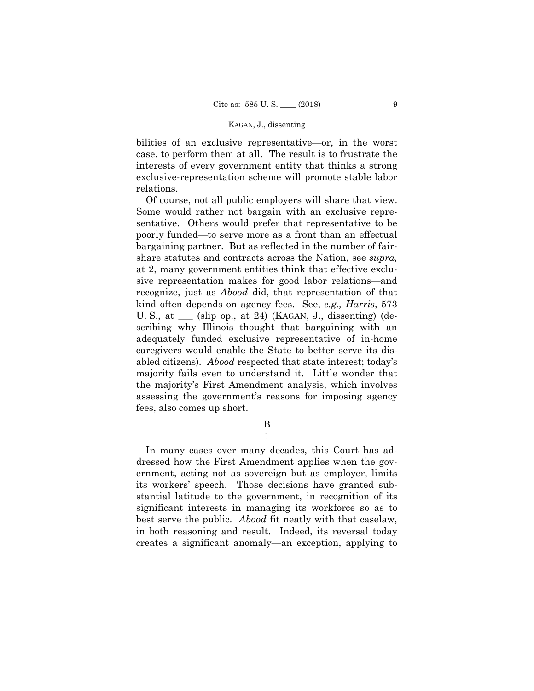bilities of an exclusive representative—or, in the worst case, to perform them at all. The result is to frustrate the interests of every government entity that thinks a strong exclusive-representation scheme will promote stable labor relations.

 U. S., at \_\_\_ (slip op., at 24) (KAGAN, J., dissenting) (de-Of course, not all public employers will share that view. Some would rather not bargain with an exclusive representative. Others would prefer that representative to be poorly funded—to serve more as a front than an effectual bargaining partner. But as reflected in the number of fairshare statutes and contracts across the Nation, see *supra,* at 2, many government entities think that effective exclusive representation makes for good labor relations—and recognize, just as *Abood* did, that representation of that kind often depends on agency fees. See, *e.g., Harris*, 573 scribing why Illinois thought that bargaining with an adequately funded exclusive representative of in-home caregivers would enable the State to better serve its disabled citizens). *Abood* respected that state interest; today's majority fails even to understand it. Little wonder that the majority's First Amendment analysis, which involves assessing the government's reasons for imposing agency fees, also comes up short.

B

1

In many cases over many decades, this Court has addressed how the First Amendment applies when the government, acting not as sovereign but as employer, limits its workers' speech. Those decisions have granted substantial latitude to the government, in recognition of its significant interests in managing its workforce so as to best serve the public. *Abood* fit neatly with that caselaw, in both reasoning and result. Indeed, its reversal today creates a significant anomaly—an exception, applying to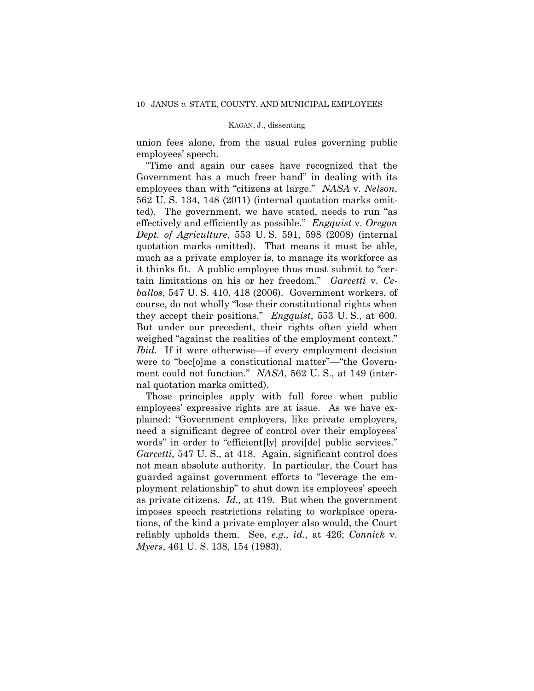union fees alone, from the usual rules governing public employees' speech.

 they accept their positions." *Engquist*, 553 U. S., at 600. But under our precedent, their rights often yield when "Time and again our cases have recognized that the Government has a much freer hand" in dealing with its employees than with "citizens at large." *NASA* v. *Nelson*, 562 U. S. 134, 148 (2011) (internal quotation marks omitted). The government, we have stated, needs to run "as effectively and efficiently as possible." *Engquist* v. *Oregon Dept. of Agriculture*, 553 U. S. 591, 598 (2008) (internal quotation marks omitted). That means it must be able, much as a private employer is, to manage its workforce as it thinks fit. A public employee thus must submit to "certain limitations on his or her freedom." *Garcetti* v. *Ceballos*, 547 U. S. 410, 418 (2006). Government workers, of course, do not wholly "lose their constitutional rights when weighed "against the realities of the employment context." *Ibid.* If it were otherwise—if every employment decision were to "bec[o]me a constitutional matter"—"the Government could not function." *NASA*, 562 U. S., at 149 (internal quotation marks omitted).

Those principles apply with full force when public employees' expressive rights are at issue. As we have explained: "Government employers, like private employers, need a significant degree of control over their employees' words" in order to "efficient[ly] provi[de] public services." *Garcetti*, 547 U. S., at 418. Again, significant control does not mean absolute authority. In particular, the Court has guarded against government efforts to "leverage the employment relationship" to shut down its employees' speech as private citizens. *Id.,* at 419. But when the government imposes speech restrictions relating to workplace operations, of the kind a private employer also would, the Court reliably upholds them. See, *e.g., id.*, at 426; *Connick* v. *Myers*, 461 U. S. 138, 154 (1983).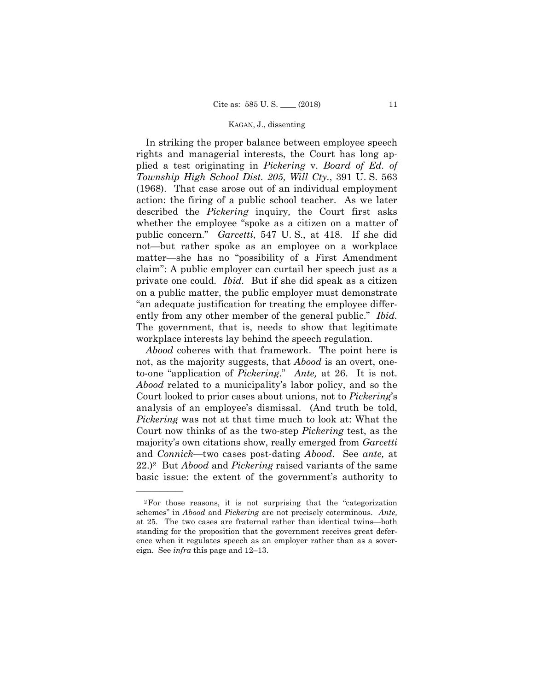In striking the proper balance between employee speech rights and managerial interests, the Court has long applied a test originating in *Pickering* v. *Board of Ed. of Township High School Dist. 205, Will Cty.*, 391 U. S. 563 (1968). That case arose out of an individual employment action: the firing of a public school teacher. As we later described the *Pickering* inquiry*,* the Court first asks whether the employee "spoke as a citizen on a matter of public concern." *Garcetti*, 547 U. S., at 418. If she did not—but rather spoke as an employee on a workplace matter—she has no "possibility of a First Amendment claim": A public employer can curtail her speech just as a private one could. *Ibid.* But if she did speak as a citizen on a public matter, the public employer must demonstrate "an adequate justification for treating the employee differently from any other member of the general public." *Ibid.*  The government, that is, needs to show that legitimate workplace interests lay behind the speech regulation.

*Abood* coheres with that framework. The point here is not, as the majority suggests, that *Abood* is an overt, oneto-one "application of *Pickering*." *Ante,* at 26. It is not. *Abood* related to a municipality's labor policy, and so the Court looked to prior cases about unions, not to *Pickering*'s analysis of an employee's dismissal. (And truth be told, *Pickering* was not at that time much to look at: What the Court now thinks of as the two-step *Pickering* test, as the majority's own citations show, really emerged from *Garcetti*  and *Connick*—two cases post-dating *Abood*. See *ante,* at 22.)2 But *Abood* and *Pickering* raised variants of the same basic issue: the extent of the government's authority to

——————

<sup>2</sup>For those reasons, it is not surprising that the "categorization schemes" in *Abood* and *Pickering* are not precisely coterminous. *Ante,*  at 25. The two cases are fraternal rather than identical twins—both standing for the proposition that the government receives great deference when it regulates speech as an employer rather than as a sovereign. See *infra* this page and 12–13.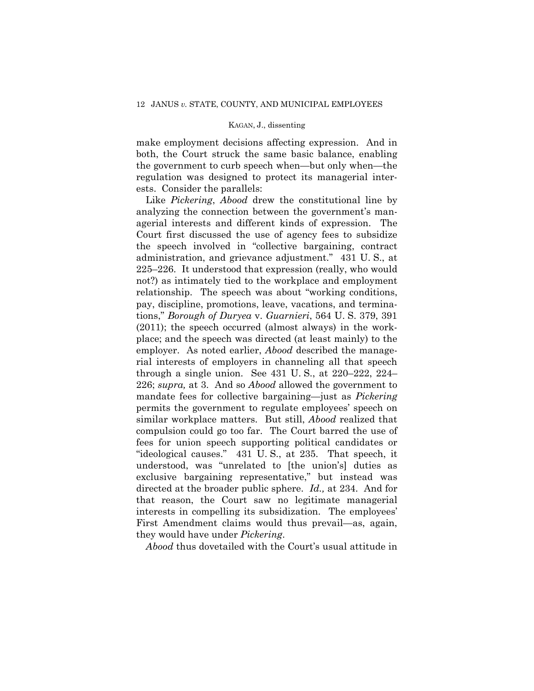make employment decisions affecting expression. And in both, the Court struck the same basic balance, enabling the government to curb speech when—but only when—the regulation was designed to protect its managerial interests. Consider the parallels:

Like *Pickering*, *Abood* drew the constitutional line by analyzing the connection between the government's managerial interests and different kinds of expression. The Court first discussed the use of agency fees to subsidize the speech involved in "collective bargaining, contract administration, and grievance adjustment." 431 U. S., at 225–226. It understood that expression (really, who would not?) as intimately tied to the workplace and employment relationship. The speech was about "working conditions, pay, discipline, promotions, leave, vacations, and terminations," *Borough of Duryea* v. *Guarnieri*, 564 U. S. 379, 391 (2011); the speech occurred (almost always) in the workplace; and the speech was directed (at least mainly) to the employer. As noted earlier, *Abood* described the managerial interests of employers in channeling all that speech through a single union. See 431 U. S., at 220–222, 224– 226; *supra,* at 3. And so *Abood* allowed the government to mandate fees for collective bargaining—just as *Pickering* permits the government to regulate employees' speech on similar workplace matters. But still, *Abood* realized that compulsion could go too far. The Court barred the use of fees for union speech supporting political candidates or "ideological causes." 431 U. S., at 235. That speech, it understood, was "unrelated to [the union's] duties as exclusive bargaining representative," but instead was directed at the broader public sphere. *Id.,* at 234. And for that reason, the Court saw no legitimate managerial interests in compelling its subsidization. The employees' First Amendment claims would thus prevail—as, again, they would have under *Pickering*.

*Abood* thus dovetailed with the Court's usual attitude in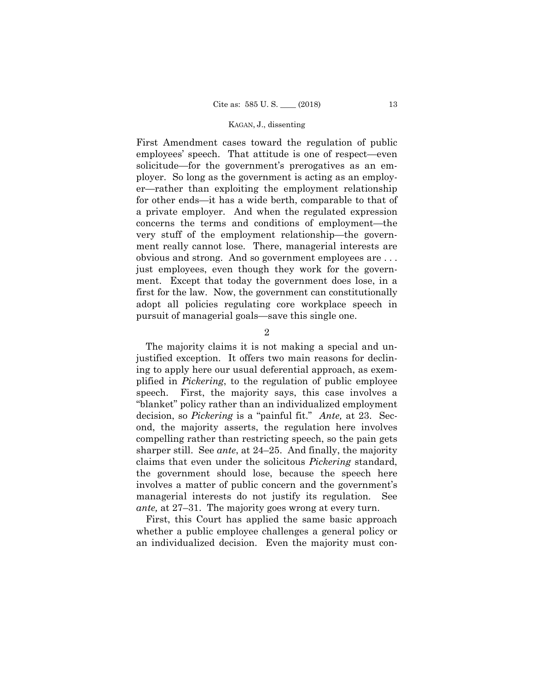First Amendment cases toward the regulation of public employees' speech. That attitude is one of respect—even solicitude—for the government's prerogatives as an employer. So long as the government is acting as an employer—rather than exploiting the employment relationship for other ends—it has a wide berth, comparable to that of a private employer. And when the regulated expression concerns the terms and conditions of employment—the very stuff of the employment relationship—the government really cannot lose. There, managerial interests are obvious and strong. And so government employees are . . . just employees, even though they work for the government. Except that today the government does lose, in a first for the law. Now, the government can constitutionally adopt all policies regulating core workplace speech in pursuit of managerial goals—save this single one.

2

 sharper still. See *ante*, at 24–25. And finally, the majority The majority claims it is not making a special and unjustified exception. It offers two main reasons for declining to apply here our usual deferential approach, as exemplified in *Pickering*, to the regulation of public employee speech. First, the majority says, this case involves a "blanket" policy rather than an individualized employment decision, so *Pickering* is a "painful fit." *Ante,* at 23. Second, the majority asserts, the regulation here involves compelling rather than restricting speech, so the pain gets claims that even under the solicitous *Pickering* standard, the government should lose, because the speech here involves a matter of public concern and the government's managerial interests do not justify its regulation. See *ante,* at 27–31. The majority goes wrong at every turn.

First, this Court has applied the same basic approach whether a public employee challenges a general policy or an individualized decision. Even the majority must con-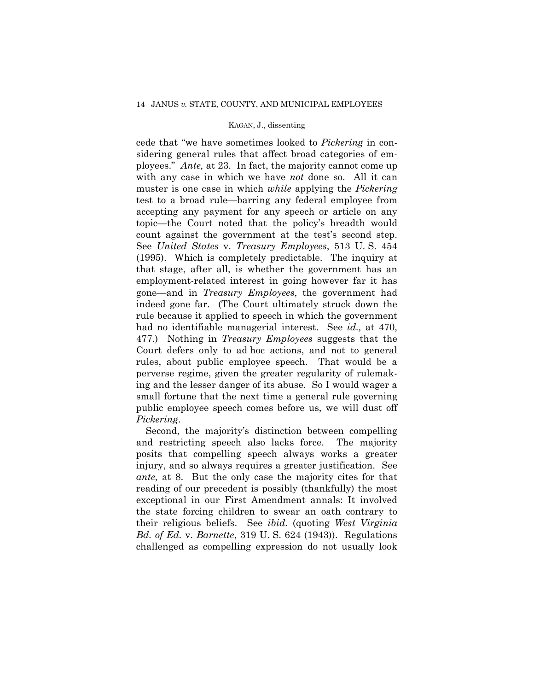## 14 JANUS *v.* STATE, COUNTY, AND MUNICIPAL EMPLOYEES

## KAGAN, J., dissenting

cede that "we have sometimes looked to *Pickering* in considering general rules that affect broad categories of employees." *Ante,* at 23. In fact, the majority cannot come up with any case in which we have *not* done so. All it can muster is one case in which *while* applying the *Pickering*  test to a broad rule—barring any federal employee from accepting any payment for any speech or article on any topic—the Court noted that the policy's breadth would count against the government at the test's second step. See *United States* v. *Treasury Employees*, 513 U. S. 454 (1995). Which is completely predictable. The inquiry at that stage, after all, is whether the government has an employment-related interest in going however far it has gone—and in *Treasury Employees*, the government had indeed gone far. (The Court ultimately struck down the rule because it applied to speech in which the government had no identifiable managerial interest. See *id.,* at 470, 477.) Nothing in *Treasury Employees* suggests that the Court defers only to ad hoc actions, and not to general rules, about public employee speech. That would be a perverse regime, given the greater regularity of rulemaking and the lesser danger of its abuse. So I would wager a small fortune that the next time a general rule governing public employee speech comes before us, we will dust off *Pickering*.

Second, the majority's distinction between compelling and restricting speech also lacks force. The majority posits that compelling speech always works a greater injury, and so always requires a greater justification. See *ante,* at 8. But the only case the majority cites for that reading of our precedent is possibly (thankfully) the most exceptional in our First Amendment annals: It involved the state forcing children to swear an oath contrary to their religious beliefs. See *ibid.* (quoting *West Virginia Bd. of Ed.* v. *Barnette*, 319 U. S. 624 (1943)). Regulations challenged as compelling expression do not usually look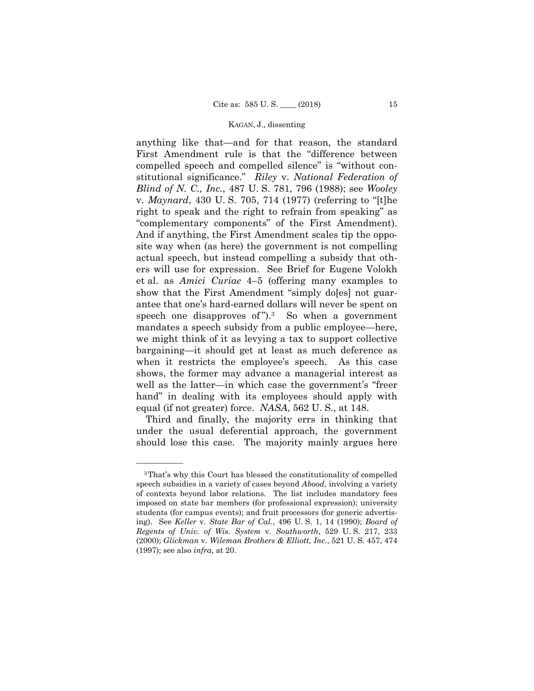"complementary components" of the First Amendment). anything like that—and for that reason, the standard First Amendment rule is that the "difference between compelled speech and compelled silence" is "without constitutional significance." *Riley* v. *National Federation of Blind of N. C., Inc.*, 487 U. S. 781, 796 (1988); see *Wooley*  v. *Maynard*, 430 U. S. 705, 714 (1977) (referring to "[t]he right to speak and the right to refrain from speaking" as And if anything, the First Amendment scales tip the opposite way when (as here) the government is not compelling actual speech, but instead compelling a subsidy that others will use for expression. See Brief for Eugene Volokh et al. as *Amici Curiae* 4–5 (offering many examples to show that the First Amendment "simply do[es] not guarantee that one's hard-earned dollars will never be spent on speech one disapproves of"). $3$  So when a government mandates a speech subsidy from a public employee—here, we might think of it as levying a tax to support collective bargaining—it should get at least as much deference as when it restricts the employee's speech. As this case shows, the former may advance a managerial interest as well as the latter—in which case the government's "freer hand" in dealing with its employees should apply with equal (if not greater) force. *NASA*, 562 U. S., at 148.

Third and finally, the majority errs in thinking that under the usual deferential approach, the government should lose this case. The majority mainly argues here

——————

<sup>3</sup>That's why this Court has blessed the constitutionality of compelled speech subsidies in a variety of cases beyond *Abood*, involving a variety of contexts beyond labor relations. The list includes mandatory fees imposed on state bar members (for professional expression); university students (for campus events); and fruit processors (for generic advertising). See *Keller* v. *State Bar of Cal.*, 496 U. S. 1, 14 (1990); *Board of Regents of Univ. of Wis. System* v. *Southworth*, 529 U. S. 217, 233 (2000); *Glickman* v. *Wileman Brothers & Elliott, Inc.*, 521 U. S. 457, 474 (1997); see also *infra*, at 20.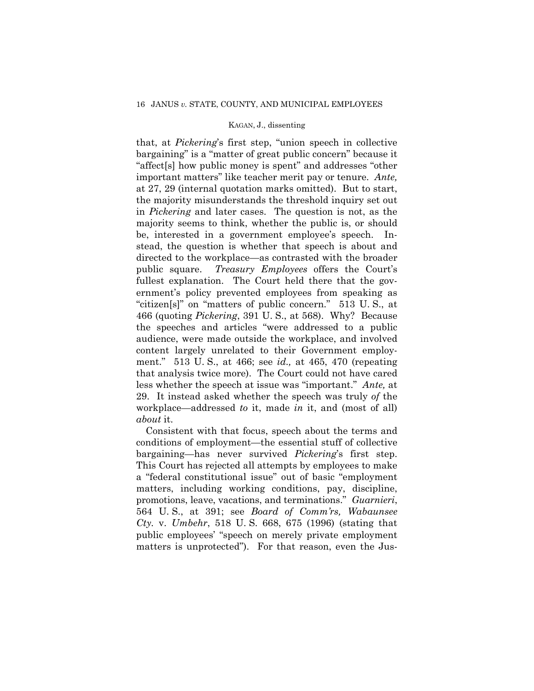## 16 JANUS *v.* STATE, COUNTY, AND MUNICIPAL EMPLOYEES

### KAGAN, J., dissenting

that, at *Pickering*'s first step, "union speech in collective bargaining" is a "matter of great public concern" because it "affect[s] how public money is spent" and addresses "other important matters" like teacher merit pay or tenure. *Ante,*  at 27, 29 (internal quotation marks omitted). But to start, the majority misunderstands the threshold inquiry set out in *Pickering* and later cases. The question is not, as the majority seems to think, whether the public is, or should be, interested in a government employee's speech. Instead, the question is whether that speech is about and directed to the workplace—as contrasted with the broader public square. *Treasury Employees* offers the Court's fullest explanation. The Court held there that the government's policy prevented employees from speaking as "citizen[s]" on "matters of public concern." 513 U. S., at 466 (quoting *Pickering*, 391 U. S., at 568). Why? Because the speeches and articles "were addressed to a public audience, were made outside the workplace, and involved content largely unrelated to their Government employment." 513 U. S., at 466; see *id.,* at 465, 470 (repeating that analysis twice more). The Court could not have cared less whether the speech at issue was "important." *Ante,* at 29. It instead asked whether the speech was truly *of* the workplace—addressed *to* it, made *in* it, and (most of all) *about* it.

Consistent with that focus, speech about the terms and conditions of employment—the essential stuff of collective bargaining—has never survived *Pickering*'s first step. This Court has rejected all attempts by employees to make a "federal constitutional issue" out of basic "employment matters, including working conditions, pay, discipline, promotions, leave, vacations, and terminations." *Guarnieri*, 564 U. S., at 391; see *Board of Comm'rs, Wabaunsee Cty.* v. *Umbehr*, 518 U. S. 668, 675 (1996) (stating that public employees' "speech on merely private employment matters is unprotected"). For that reason, even the Jus-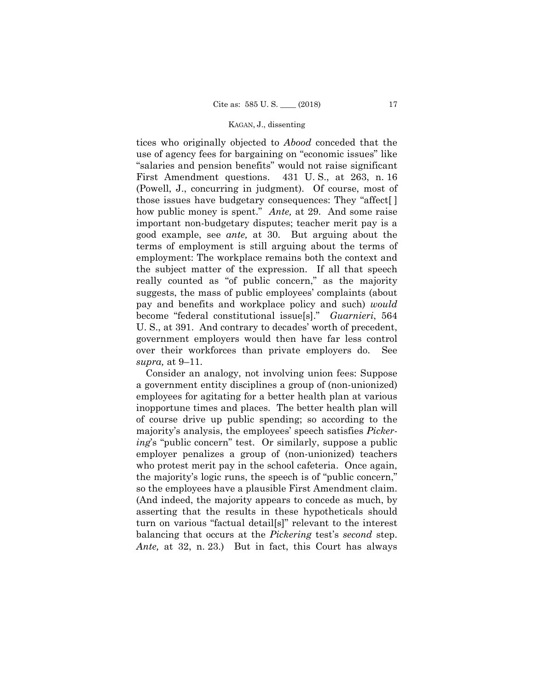tices who originally objected to *Abood* conceded that the use of agency fees for bargaining on "economic issues" like "salaries and pension benefits" would not raise significant First Amendment questions. 431 U. S., at 263, n. 16 (Powell, J., concurring in judgment). Of course, most of those issues have budgetary consequences: They "affect[ ] how public money is spent." *Ante,* at 29. And some raise important non-budgetary disputes; teacher merit pay is a good example, see *ante,* at 30. But arguing about the terms of employment is still arguing about the terms of employment: The workplace remains both the context and the subject matter of the expression. If all that speech really counted as "of public concern," as the majority suggests, the mass of public employees' complaints (about pay and benefits and workplace policy and such) *would*  become "federal constitutional issue[s]." *Guarnieri*, 564 U. S., at 391. And contrary to decades' worth of precedent, government employers would then have far less control over their workforces than private employers do. See *supra,* at 9–11.

Consider an analogy, not involving union fees: Suppose a government entity disciplines a group of (non-unionized) employees for agitating for a better health plan at various inopportune times and places. The better health plan will of course drive up public spending; so according to the majority's analysis, the employees' speech satisfies *Pickering*'s "public concern" test. Or similarly, suppose a public employer penalizes a group of (non-unionized) teachers who protest merit pay in the school cafeteria. Once again, the majority's logic runs, the speech is of "public concern," so the employees have a plausible First Amendment claim. (And indeed, the majority appears to concede as much, by asserting that the results in these hypotheticals should turn on various "factual detail[s]" relevant to the interest balancing that occurs at the *Pickering* test's *second* step. *Ante,* at 32, n. 23.) But in fact, this Court has always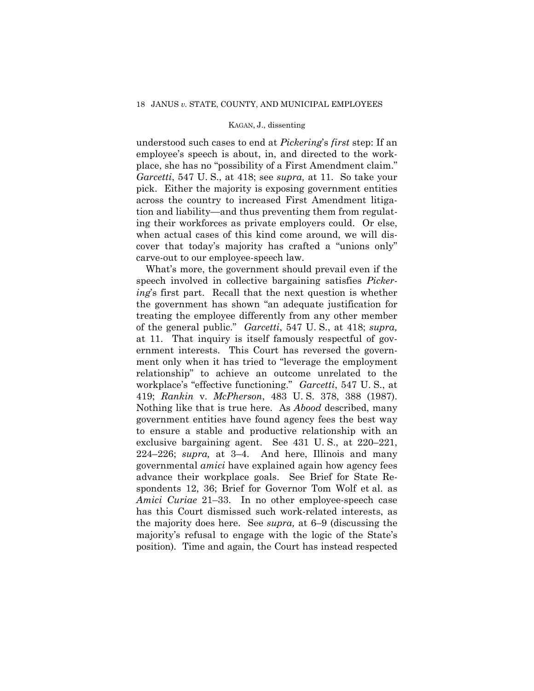understood such cases to end at *Pickering*'s *first* step: If an employee's speech is about, in, and directed to the workplace, she has no "possibility of a First Amendment claim." *Garcetti*, 547 U. S., at 418; see *supra,* at 11. So take your pick. Either the majority is exposing government entities across the country to increased First Amendment litigation and liability—and thus preventing them from regulating their workforces as private employers could. Or else, when actual cases of this kind come around, we will discover that today's majority has crafted a "unions only" carve-out to our employee-speech law.

What's more, the government should prevail even if the speech involved in collective bargaining satisfies *Pickering*'s first part. Recall that the next question is whether the government has shown "an adequate justification for treating the employee differently from any other member of the general public." *Garcetti*, 547 U. S., at 418; *supra,* at 11. That inquiry is itself famously respectful of government interests. This Court has reversed the government only when it has tried to "leverage the employment relationship" to achieve an outcome unrelated to the workplace's "effective functioning." *Garcetti*, 547 U. S., at 419; *Rankin* v. *McPherson*, 483 U. S. 378, 388 (1987). Nothing like that is true here. As *Abood* described, many government entities have found agency fees the best way to ensure a stable and productive relationship with an exclusive bargaining agent. See 431 U. S., at 220–221, 224–226; *supra,* at 3–4. And here, Illinois and many governmental *amici* have explained again how agency fees advance their workplace goals. See Brief for State Respondents 12, 36; Brief for Governor Tom Wolf et al. as *Amici Curiae* 21–33. In no other employee-speech case has this Court dismissed such work-related interests, as the majority does here. See *supra,* at 6–9 (discussing the majority's refusal to engage with the logic of the State's position). Time and again, the Court has instead respected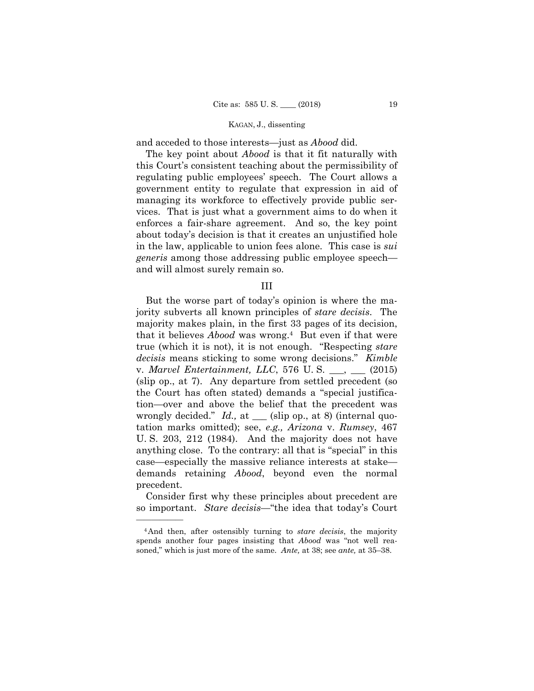and acceded to those interests—just as *Abood* did.

 vices. That is just what a government aims to do when it The key point about *Abood* is that it fit naturally with this Court's consistent teaching about the permissibility of regulating public employees' speech. The Court allows a government entity to regulate that expression in aid of managing its workforce to effectively provide public serenforces a fair-share agreement. And so, the key point about today's decision is that it creates an unjustified hole in the law, applicable to union fees alone. This case is *sui generis* among those addressing public employee speech and will almost surely remain so.

III

But the worse part of today's opinion is where the majority subverts all known principles of *stare decisis*. The majority makes plain, in the first 33 pages of its decision, that it believes *Abood* was wrong.4 But even if that were true (which it is not), it is not enough. "Respecting *stare decisis* means sticking to some wrong decisions." *Kimble*  v. *Marvel Entertainment, LLC*, 576 U. S. \_\_\_, \_\_\_ (2015) (slip op., at 7). Any departure from settled precedent (so the Court has often stated) demands a "special justification—over and above the belief that the precedent was wrongly decided." *Id.*, at \_\_\_ (slip op., at 8) (internal quotation marks omitted); see, *e.g., Arizona* v. *Rumsey*, 467 U. S. 203, 212 (1984). And the majority does not have anything close. To the contrary: all that is "special" in this case—especially the massive reliance interests at stake demands retaining *Abood*, beyond even the normal precedent.

Consider first why these principles about precedent are so important. *Stare decisis*—"the idea that today's Court

——————

<sup>4</sup>And then, after ostensibly turning to *stare decisis*, the majority spends another four pages insisting that *Abood* was "not well reasoned," which is just more of the same. *Ante,* at 38; see *ante,* at 35–38.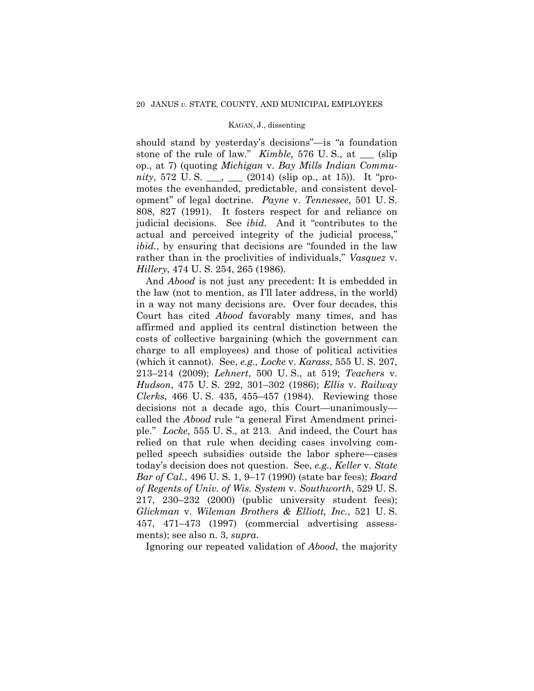should stand by yesterday's decisions"—is "a foundation stone of the rule of law." *Kimble,* 576 U. S., at \_\_\_ (slip op., at 7) (quoting *Michigan* v. *Bay Mills Indian Community*, 572 U.S. \_\_, \_\_ (2014) (slip op., at 15)). It "promotes the evenhanded, predictable, and consistent development" of legal doctrine. *Payne* v. *Tennessee*, 501 U. S. 808, 827 (1991). It fosters respect for and reliance on judicial decisions. See *ibid.* And it "contributes to the actual and perceived integrity of the judicial process," *ibid.*, by ensuring that decisions are "founded in the law rather than in the proclivities of individuals," *Vasquez* v. *Hillery*, 474 U. S. 254, 265 (1986).

 213–214 (2009); *Lehnert*, 500 U. S., at 519; *Teachers* v. And *Abood* is not just any precedent: It is embedded in the law (not to mention, as I'll later address, in the world) in a way not many decisions are. Over four decades, this Court has cited *Abood* favorably many times, and has affirmed and applied its central distinction between the costs of collective bargaining (which the government can charge to all employees) and those of political activities (which it cannot). See, *e.g., Locke* v. *Karass*, 555 U. S. 207, *Hudson*, 475 U. S. 292, 301–302 (1986); *Ellis* v. *Railway Clerks*, 466 U. S. 435, 455–457 (1984). Reviewing those decisions not a decade ago, this Court—unanimously called the *Abood* rule "a general First Amendment principle." *Locke*, 555 U. S., at 213. And indeed, the Court has relied on that rule when deciding cases involving compelled speech subsidies outside the labor sphere—cases today's decision does not question. See, *e.g., Keller* v. *State Bar of Cal.*, 496 U. S. 1, 9–17 (1990) (state bar fees); *Board of Regents of Univ. of Wis. System* v. *Southworth*, 529 U. S. 217, 230–232 (2000) (public university student fees); *Glickman* v. *Wileman Brothers & Elliott, Inc.*, 521 U. S. 457, 471–473 (1997) (commercial advertising assessments); see also n. 3, *supra*.

Ignoring our repeated validation of *Abood*, the majority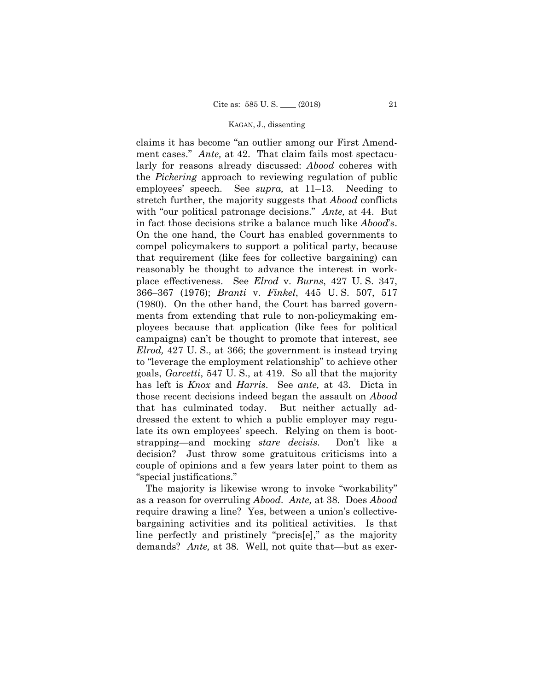claims it has become "an outlier among our First Amendment cases." *Ante,* at 42. That claim fails most spectacularly for reasons already discussed: *Abood* coheres with the *Pickering* approach to reviewing regulation of public employees' speech. See *supra,* at 11–13. Needing to stretch further, the majority suggests that *Abood* conflicts with "our political patronage decisions." *Ante,* at 44. But in fact those decisions strike a balance much like *Abood*'s. On the one hand, the Court has enabled governments to compel policymakers to support a political party, because that requirement (like fees for collective bargaining) can reasonably be thought to advance the interest in workplace effectiveness. See *Elrod* v. *Burns*, 427 U. S. 347, 366–367 (1976); *Branti* v. *Finkel*, 445 U. S. 507, 517 (1980). On the other hand, the Court has barred governments from extending that rule to non-policymaking employees because that application (like fees for political campaigns) can't be thought to promote that interest, see *Elrod,* 427 U. S., at 366; the government is instead trying to "leverage the employment relationship" to achieve other goals, *Garcetti*, 547 U. S., at 419. So all that the majority has left is *Knox* and *Harris*. See *ante,* at 43. Dicta in those recent decisions indeed began the assault on *Abood*  that has culminated today. But neither actually addressed the extent to which a public employer may regulate its own employees' speech. Relying on them is bootstrapping—and mocking *stare decisis*. Don't like a decision? Just throw some gratuitous criticisms into a couple of opinions and a few years later point to them as "special justifications."

The majority is likewise wrong to invoke "workability" as a reason for overruling *Abood*. *Ante,* at 38. Does *Abood*  require drawing a line? Yes, between a union's collectivebargaining activities and its political activities. Is that line perfectly and pristinely "precis[e]," as the majority demands? *Ante,* at 38. Well, not quite that—but as exer-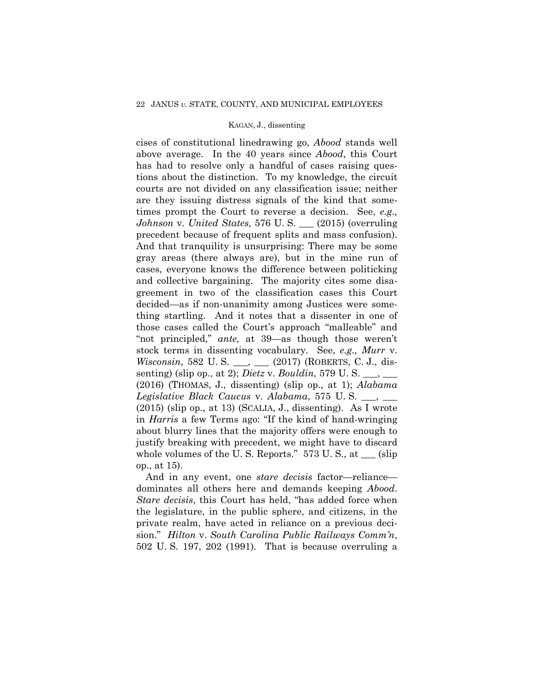(2015) (slip op., at 13) (SCALIA, J., dissenting). As I wrote cises of constitutional linedrawing go, *Abood* stands well above average. In the 40 years since *Abood*, this Court has had to resolve only a handful of cases raising questions about the distinction. To my knowledge, the circuit courts are not divided on any classification issue; neither are they issuing distress signals of the kind that sometimes prompt the Court to reverse a decision. See, *e.g., Johnson* v. *United States,* 576 U. S. \_\_\_ (2015) (overruling precedent because of frequent splits and mass confusion). And that tranquility is unsurprising: There may be some gray areas (there always are), but in the mine run of cases, everyone knows the difference between politicking and collective bargaining. The majority cites some disagreement in two of the classification cases this Court decided—as if non-unanimity among Justices were something startling. And it notes that a dissenter in one of those cases called the Court's approach "malleable" and "not principled," *ante,* at 39—as though those weren't stock terms in dissenting vocabulary. See, *e.g., Murr* v. *Wisconsin*, 582 U.S. \_\_\_, \_\_\_ (2017) (ROBERTS, C.J., dissenting) (slip op., at 2); *Dietz* v. *Bouldin*, 579 U. S. \_\_\_, \_\_\_ (2016) (THOMAS, J., dissenting) (slip op., at 1); *Alabama Legislative Black Caucus* v. *Alabama*, 575 U. S. \_\_\_, \_\_\_ in *Harris* a few Terms ago: "If the kind of hand-wringing about blurry lines that the majority offers were enough to justify breaking with precedent, we might have to discard whole volumes of the U.S. Reports."  $573$  U.S., at  $\_\_$  (slip op., at 15).

And in any event, one *stare decisis* factor—reliance dominates all others here and demands keeping *Abood*. *Stare decisis*, this Court has held, "has added force when the legislature, in the public sphere, and citizens, in the private realm, have acted in reliance on a previous decision." *Hilton* v. *South Carolina Public Railways Comm'n*, 502 U. S. 197, 202 (1991). That is because overruling a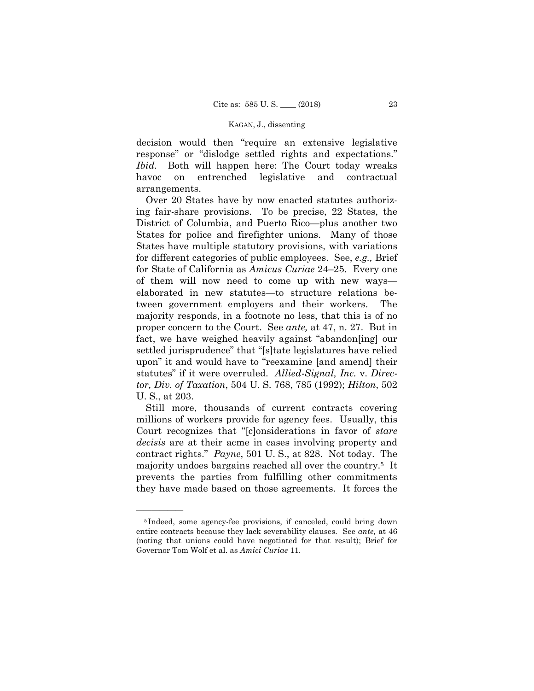decision would then "require an extensive legislative response" or "dislodge settled rights and expectations." *Ibid.* Both will happen here: The Court today wreaks havoc on entrenched legislative and contractual arrangements.

Over 20 States have by now enacted statutes authorizing fair-share provisions. To be precise, 22 States, the District of Columbia, and Puerto Rico—plus another two States for police and firefighter unions. Many of those States have multiple statutory provisions, with variations for different categories of public employees. See, *e.g.,* Brief for State of California as *Amicus Curiae* 24–25. Every one of them will now need to come up with new ways elaborated in new statutes—to structure relations between government employers and their workers. The majority responds, in a footnote no less, that this is of no proper concern to the Court. See *ante,* at 47, n. 27. But in fact, we have weighed heavily against "abandon[ing] our settled jurisprudence" that "[s]tate legislatures have relied upon" it and would have to "reexamine [and amend] their statutes" if it were overruled. *Allied-Signal, Inc.* v. *Director, Div. of Taxation*, 504 U. S. 768, 785 (1992); *Hilton*, 502 U. S., at 203.

Still more, thousands of current contracts covering millions of workers provide for agency fees. Usually, this Court recognizes that "[c]onsiderations in favor of *stare decisis* are at their acme in cases involving property and contract rights." *Payne*, 501 U. S., at 828. Not today. The majority undoes bargains reached all over the country.5 It prevents the parties from fulfilling other commitments they have made based on those agreements. It forces the

——————

<sup>5</sup> Indeed, some agency-fee provisions, if canceled, could bring down entire contracts because they lack severability clauses. See *ante,* at 46 (noting that unions could have negotiated for that result); Brief for Governor Tom Wolf et al. as *Amici Curiae* 11.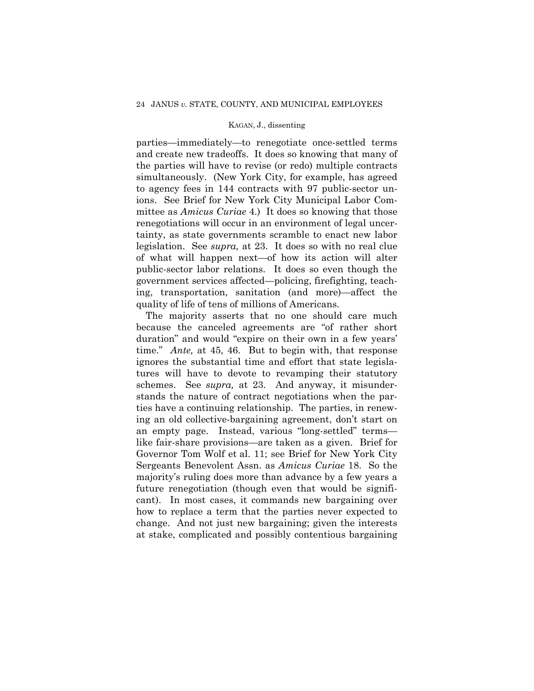parties—immediately—to renegotiate once-settled terms and create new tradeoffs. It does so knowing that many of the parties will have to revise (or redo) multiple contracts simultaneously. (New York City, for example, has agreed to agency fees in 144 contracts with 97 public-sector unions. See Brief for New York City Municipal Labor Committee as *Amicus Curiae* 4.) It does so knowing that those renegotiations will occur in an environment of legal uncertainty, as state governments scramble to enact new labor legislation. See *supra,* at 23. It does so with no real clue of what will happen next—of how its action will alter public-sector labor relations. It does so even though the government services affected—policing, firefighting, teaching, transportation, sanitation (and more)—affect the quality of life of tens of millions of Americans.

The majority asserts that no one should care much because the canceled agreements are "of rather short duration" and would "expire on their own in a few years' time." *Ante,* at 45, 46. But to begin with, that response ignores the substantial time and effort that state legislatures will have to devote to revamping their statutory schemes. See *supra,* at 23. And anyway, it misunderstands the nature of contract negotiations when the parties have a continuing relationship. The parties, in renewing an old collective-bargaining agreement, don't start on an empty page. Instead, various "long-settled" terms like fair-share provisions—are taken as a given. Brief for Governor Tom Wolf et al. 11; see Brief for New York City Sergeants Benevolent Assn. as *Amicus Curiae* 18. So the majority's ruling does more than advance by a few years a future renegotiation (though even that would be significant). In most cases, it commands new bargaining over how to replace a term that the parties never expected to change. And not just new bargaining; given the interests at stake, complicated and possibly contentious bargaining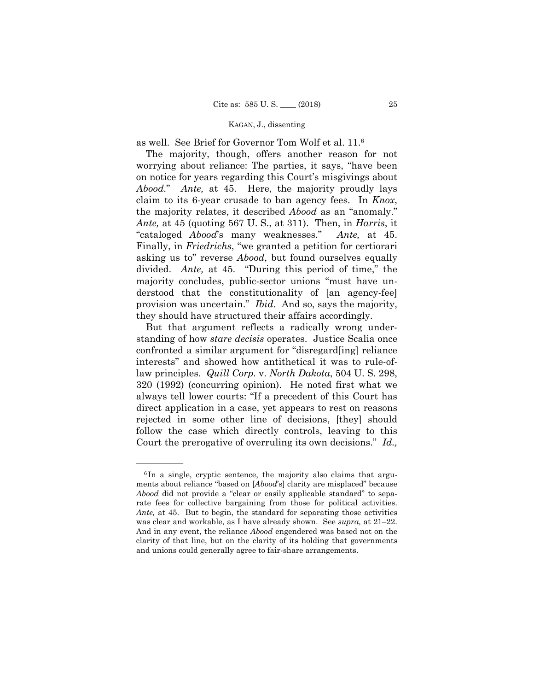as well. See Brief for Governor Tom Wolf et al. 11.6

Ante, at 45. divided. *Ante*, at 45. "During this period of time," the The majority, though, offers another reason for not worrying about reliance: The parties, it says, "have been on notice for years regarding this Court's misgivings about *Abood.*" *Ante,* at 45. Here, the majority proudly lays claim to its 6-year crusade to ban agency fees. In *Knox*, the majority relates, it described *Abood* as an "anomaly." *Ante,* at 45 (quoting 567 U. S., at 311). Then, in *Harris*, it "cataloged *Abood*'s many weaknesses." *Ante,* at 45. Finally, in *Friedrichs*, "we granted a petition for certiorari asking us to" reverse *Abood*, but found ourselves equally majority concludes, public-sector unions "must have understood that the constitutionality of [an agency-fee] provision was uncertain." *Ibid*. And so, says the majority, they should have structured their affairs accordingly.

But that argument reflects a radically wrong understanding of how *stare decisis* operates. Justice Scalia once confronted a similar argument for "disregard[ing] reliance interests" and showed how antithetical it was to rule-oflaw principles. *Quill Corp.* v. *North Dakota*, 504 U. S. 298, 320 (1992) (concurring opinion). He noted first what we always tell lower courts: "If a precedent of this Court has direct application in a case, yet appears to rest on reasons rejected in some other line of decisions, [they] should follow the case which directly controls, leaving to this Court the prerogative of overruling its own decisions." *Id.,* 

——————

 was clear and workable, as I have already shown. See *supra,* at 21–22. <sup>6</sup> In a single, cryptic sentence, the majority also claims that arguments about reliance "based on [*Abood*'s] clarity are misplaced" because *Abood* did not provide a "clear or easily applicable standard" to separate fees for collective bargaining from those for political activities. *Ante,* at 45. But to begin, the standard for separating those activities And in any event, the reliance *Abood* engendered was based not on the clarity of that line, but on the clarity of its holding that governments and unions could generally agree to fair-share arrangements.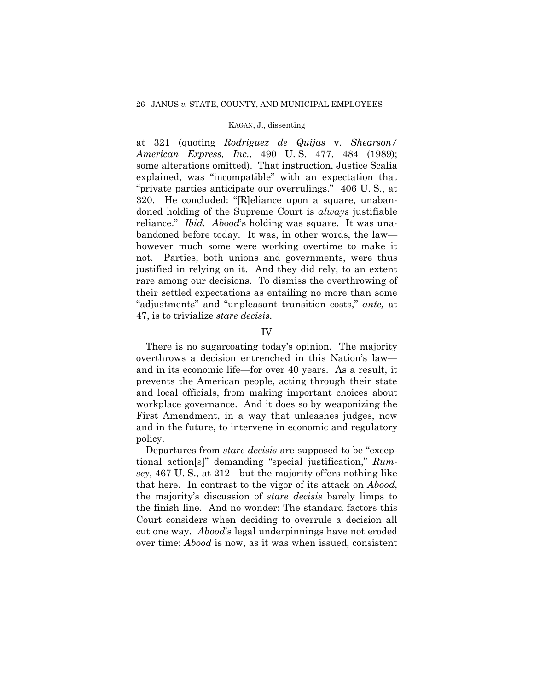## 26 JANUS *v.* STATE, COUNTY, AND MUNICIPAL EMPLOYEES

## KAGAN, J., dissenting

at 321 (quoting *Rodriguez de Quijas* v. *Shearson/ American Express, Inc.*, 490 U. S. 477, 484 (1989); some alterations omitted). That instruction, Justice Scalia explained, was "incompatible" with an expectation that "private parties anticipate our overrulings." 406 U. S., at 320. He concluded: "[R]eliance upon a square, unabandoned holding of the Supreme Court is *always* justifiable reliance." *Ibid. Abood*'s holding was square. It was unabandoned before today. It was, in other words, the law however much some were working overtime to make it not. Parties, both unions and governments, were thus justified in relying on it. And they did rely, to an extent rare among our decisions. To dismiss the overthrowing of their settled expectations as entailing no more than some "adjustments" and "unpleasant transition costs," *ante,* at 47, is to trivialize *stare decisis.* 

# IV

There is no sugarcoating today's opinion. The majority overthrows a decision entrenched in this Nation's law and in its economic life—for over 40 years. As a result, it prevents the American people, acting through their state and local officials, from making important choices about workplace governance. And it does so by weaponizing the First Amendment, in a way that unleashes judges, now and in the future, to intervene in economic and regulatory policy.

 cut one way. *Abood*'s legal underpinnings have not eroded Departures from *stare decisis* are supposed to be "exceptional action[s]" demanding "special justification," *Rumsey*, 467 U. S., at 212—but the majority offers nothing like that here. In contrast to the vigor of its attack on *Abood*, the majority's discussion of *stare decisis* barely limps to the finish line. And no wonder: The standard factors this Court considers when deciding to overrule a decision all over time: *Abood* is now, as it was when issued, consistent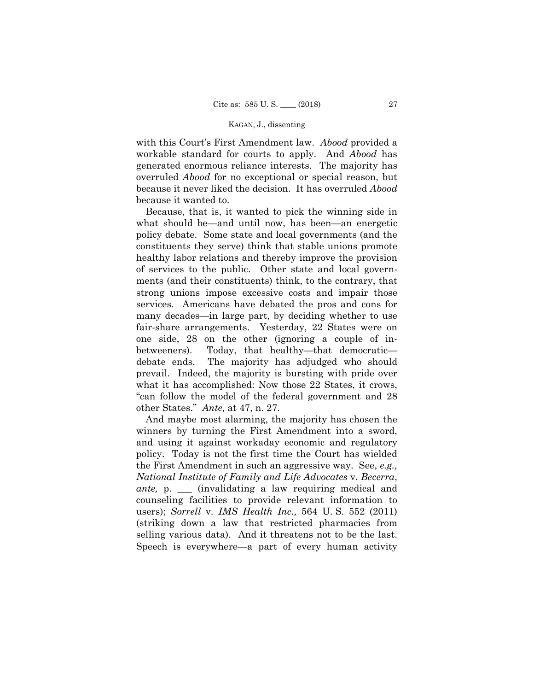with this Court's First Amendment law. *Abood* provided a workable standard for courts to apply. And *Abood* has generated enormous reliance interests. The majority has overruled *Abood* for no exceptional or special reason, but because it never liked the decision. It has overruled *Abood*  because it wanted to.

Because, that is, it wanted to pick the winning side in what should be—and until now, has been—an energetic policy debate. Some state and local governments (and the constituents they serve) think that stable unions promote healthy labor relations and thereby improve the provision of services to the public. Other state and local governments (and their constituents) think, to the contrary, that strong unions impose excessive costs and impair those services. Americans have debated the pros and cons for many decades—in large part, by deciding whether to use fair-share arrangements. Yesterday, 22 States were on one side, 28 on the other (ignoring a couple of inbetweeners). Today, that healthy—that democratic debate ends. The majority has adjudged who should prevail. Indeed, the majority is bursting with pride over what it has accomplished: Now those 22 States, it crows, "can follow the model of the federal government and 28 other States." *Ante,* at 47, n. 27.

selling various data). And it threatens not to be the last. And maybe most alarming, the majority has chosen the winners by turning the First Amendment into a sword, and using it against workaday economic and regulatory policy. Today is not the first time the Court has wielded the First Amendment in such an aggressive way. See, *e.g., National Institute of Family and Life Advocates* v. *Becerra*, *ante,* p. \_\_\_ (invalidating a law requiring medical and counseling facilities to provide relevant information to users); *Sorrell* v. *IMS Health Inc.,* 564 U. S. 552 (2011) (striking down a law that restricted pharmacies from Speech is everywhere—a part of every human activity